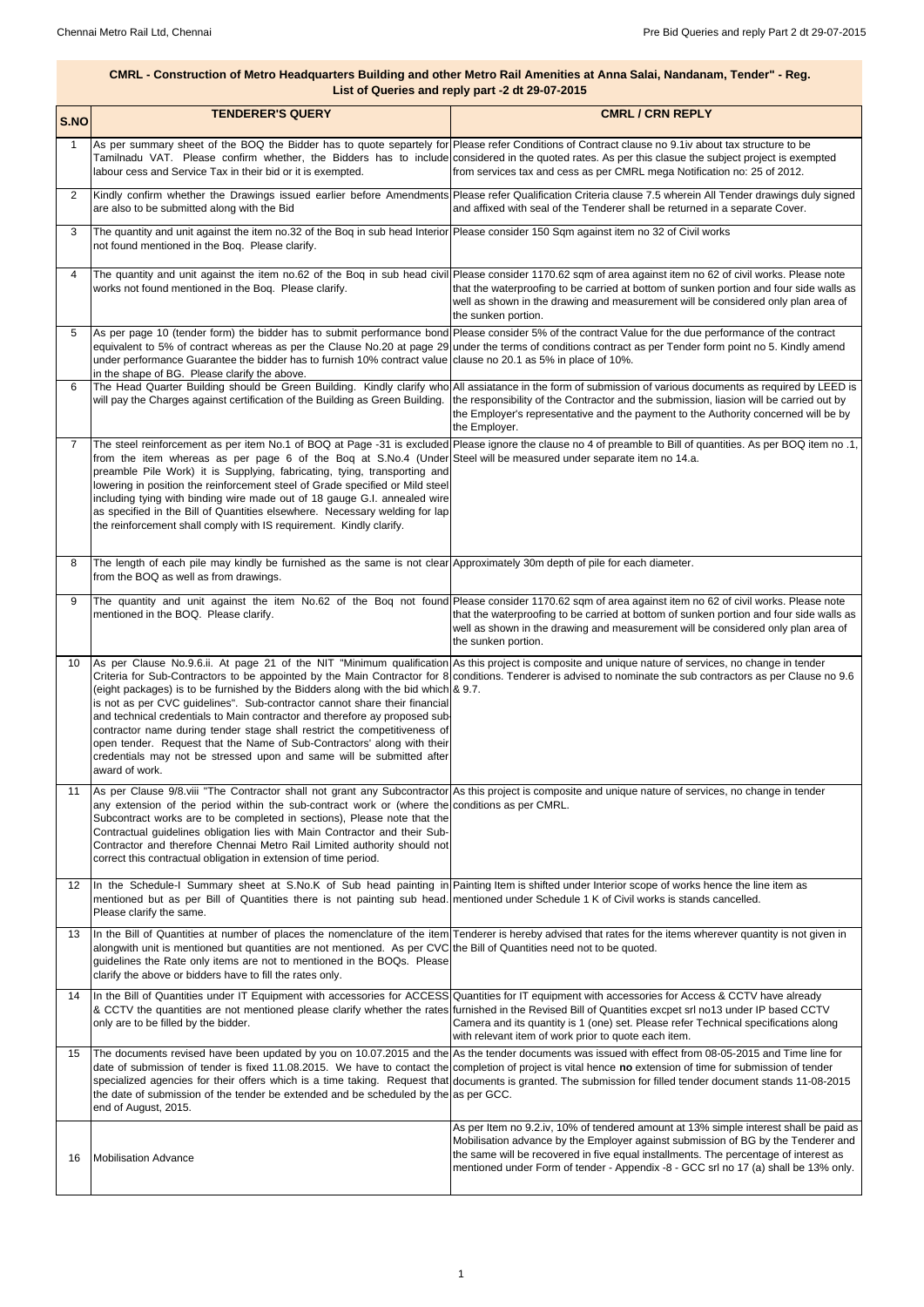| S.NO | <b>TENDERER'S QUERY</b>                                                                                                                                                                                                                                                                                                                                                                                                                                                                                              | <b>CMRL / CRN REPLY</b>                                                                                                                                                                                                                                                                                                                                                                                                                                                              |
|------|----------------------------------------------------------------------------------------------------------------------------------------------------------------------------------------------------------------------------------------------------------------------------------------------------------------------------------------------------------------------------------------------------------------------------------------------------------------------------------------------------------------------|--------------------------------------------------------------------------------------------------------------------------------------------------------------------------------------------------------------------------------------------------------------------------------------------------------------------------------------------------------------------------------------------------------------------------------------------------------------------------------------|
|      | labour cess and Service Tax in their bid or it is exempted.                                                                                                                                                                                                                                                                                                                                                                                                                                                          | As per summary sheet of the BOQ the Bidder has to quote separtely for Please refer Conditions of Contract clause no 9.1iv about tax structure to be<br>Tamilnadu VAT. Please confirm whether, the Bidders has to include considered in the quoted rates. As per this clasue the subject project is exempted<br>from services tax and cess as per CMRL mega Notification no: 25 of 2012.                                                                                              |
| 2    | are also to be submitted along with the Bid                                                                                                                                                                                                                                                                                                                                                                                                                                                                          | Kindly confirm whether the Drawings issued earlier before Amendments Please refer Qualification Criteria clause 7.5 wherein All Tender drawings duly signed<br>and affixed with seal of the Tenderer shall be returned in a separate Cover.                                                                                                                                                                                                                                          |
| 3    | The quantity and unit against the item no.32 of the Boq in sub head Interior Please consider 150 Sqm against item no 32 of Civil works<br>not found mentioned in the Bog. Please clarify.                                                                                                                                                                                                                                                                                                                            |                                                                                                                                                                                                                                                                                                                                                                                                                                                                                      |
| 4    | works not found mentioned in the Boq. Please clarify.                                                                                                                                                                                                                                                                                                                                                                                                                                                                | The quantity and unit against the item no.62 of the Boq in sub head civil Please consider 1170.62 sqm of area against item no 62 of civil works. Please note<br>that the waterproofing to be carried at bottom of sunken portion and four side walls as<br>well as shown in the drawing and measurement will be considered only plan area of<br>the sunken portion.                                                                                                                  |
| 5    | under performance Guarantee the bidder has to furnish 10% contract value clause no 20.1 as 5% in place of 10%.<br>in the shape of BG. Please clarify the above.                                                                                                                                                                                                                                                                                                                                                      | As per page 10 (tender form) the bidder has to submit performance bond Please consider 5% of the contract Value for the due performance of the contract<br>equivalent to 5% of contract whereas as per the Clause No.20 at page 29 under the terms of conditions contract as per Tender form point no 5. Kindly amend                                                                                                                                                                |
| 6    |                                                                                                                                                                                                                                                                                                                                                                                                                                                                                                                      | The Head Quarter Building should be Green Building. Kindly clarify who All assiatance in the form of submission of various documents as required by LEED is<br>will pay the Charges against certification of the Building as Green Building. the responsibility of the Contractor and the submission, liasion will be carried out by<br>the Employer's representative and the payment to the Authority concerned will be by<br>the Employer.                                         |
| 7    | from the item whereas as per page 6 of the Boq at S.No.4 (Under Steel will be measured under separate item no 14.a.<br>preamble Pile Work) it is Supplying, fabricating, tying, transporting and<br>lowering in position the reinforcement steel of Grade specified or Mild steel<br>including tying with binding wire made out of 18 gauge G.I. annealed wire<br>as specified in the Bill of Quantities elsewhere. Necessary welding for lap<br>the reinforcement shall comply with IS requirement. Kindly clarify. | The steel reinforcement as per item No.1 of BOQ at Page -31 is excluded Please ignore the clause no 4 of preamble to Bill of quantities. As per BOQ item no .1,                                                                                                                                                                                                                                                                                                                      |
| 8    | The length of each pile may kindly be furnished as the same is not clear Approximately 30m depth of pile for each diameter.<br>from the BOQ as well as from drawings.                                                                                                                                                                                                                                                                                                                                                |                                                                                                                                                                                                                                                                                                                                                                                                                                                                                      |
| 9    | mentioned in the BOQ. Please clarify.                                                                                                                                                                                                                                                                                                                                                                                                                                                                                | The quantity and unit against the item No.62 of the Bog not found Please consider 1170.62 sqm of area against item no 62 of civil works. Please note<br>that the waterproofing to be carried at bottom of sunken portion and four side walls as<br>well as shown in the drawing and measurement will be considered only plan area of<br>the sunken portion.                                                                                                                          |
| 10   | (eight packages) is to be furnished by the Bidders along with the bid which $\&$ 9.7.<br>is not as per CVC guidelines". Sub-contractor cannot share their financial<br>and technical credentials to Main contractor and therefore ay proposed sub-<br>contractor name during tender stage shall restrict the competitiveness of<br>open tender. Request that the Name of Sub-Contractors' along with their<br>credentials may not be stressed upon and same will be submitted after<br>award of work.                | As per Clause No.9.6.ii. At page 21 of the NIT "Minimum qualification As this project is composite and unique nature of services, no change in tender<br>Criteria for Sub-Contractors to be appointed by the Main Contractor for 8 conditions. Tenderer is advised to nominate the sub contractors as per Clause no 9.6                                                                                                                                                              |
| 11   | any extension of the period within the sub-contract work or (where the conditions as per CMRL.<br>Subcontract works are to be completed in sections), Please note that the<br>Contractual guidelines obligation lies with Main Contractor and their Sub-<br>Contractor and therefore Chennai Metro Rail Limited authority should not<br>correct this contractual obligation in extension of time period.                                                                                                             | As per Clause 9/8 viii "The Contractor shall not grant any Subcontractor As this project is composite and unique nature of services, no change in tender                                                                                                                                                                                                                                                                                                                             |
|      | mentioned but as per Bill of Quantities there is not painting sub head. mentioned under Schedule 1 K of Civil works is stands cancelled.<br>Please clarify the same.                                                                                                                                                                                                                                                                                                                                                 | 12 In the Schedule-I Summary sheet at S.No.K of Sub head painting in Painting Item is shifted under Interior scope of works hence the line item as                                                                                                                                                                                                                                                                                                                                   |
| 13   | alongwith unit is mentioned but quantities are not mentioned. As per CVC the Bill of Quantities need not to be quoted.<br>guidelines the Rate only items are not to mentioned in the BOQs. Please<br>clarify the above or bidders have to fill the rates only.                                                                                                                                                                                                                                                       | In the Bill of Quantities at number of places the nomenclature of the item Tenderer is hereby advised that rates for the items wherever quantity is not given in                                                                                                                                                                                                                                                                                                                     |
| 14   | only are to be filled by the bidder.                                                                                                                                                                                                                                                                                                                                                                                                                                                                                 | In the Bill of Quantities under IT Equipment with accessories for ACCESS Quantities for IT equipment with accessories for Access & CCTV have already<br>& CCTV the quantities are not mentioned please clarify whether the rates furnished in the Revised Bill of Quantities excpet srl no13 under IP based CCTV<br>Camera and its quantity is 1 (one) set. Please refer Technical specifications along<br>with relevant item of work prior to quote each item.                      |
| 15   | the date of submission of the tender be extended and be scheduled by the as per GCC.<br>end of August, 2015.                                                                                                                                                                                                                                                                                                                                                                                                         | The documents revised have been updated by you on 10.07.2015 and the As the tender documents was issued with effect from 08-05-2015 and Time line for<br>date of submission of tender is fixed 11.08.2015. We have to contact the completion of project is vital hence no extension of time for submission of tender<br>specialized agencies for their offers which is a time taking. Request that documents is granted. The submission for filled tender document stands 11-08-2015 |
| 16   | <b>Mobilisation Advance</b>                                                                                                                                                                                                                                                                                                                                                                                                                                                                                          | As per Item no 9.2.iv, 10% of tendered amount at 13% simple interest shall be paid as<br>Mobilisation advance by the Employer against submission of BG by the Tenderer and<br>the same will be recovered in five equal installments. The percentage of interest as<br>mentioned under Form of tender - Appendix -8 - GCC srl no 17 (a) shall be 13% only.                                                                                                                            |

## **CMRL - Construction of Metro Headquarters Building and other Metro Rail Amenities at Anna Salai, Nandanam, Tender" - Reg. List of Queries and reply part -2 dt 29-07-2015**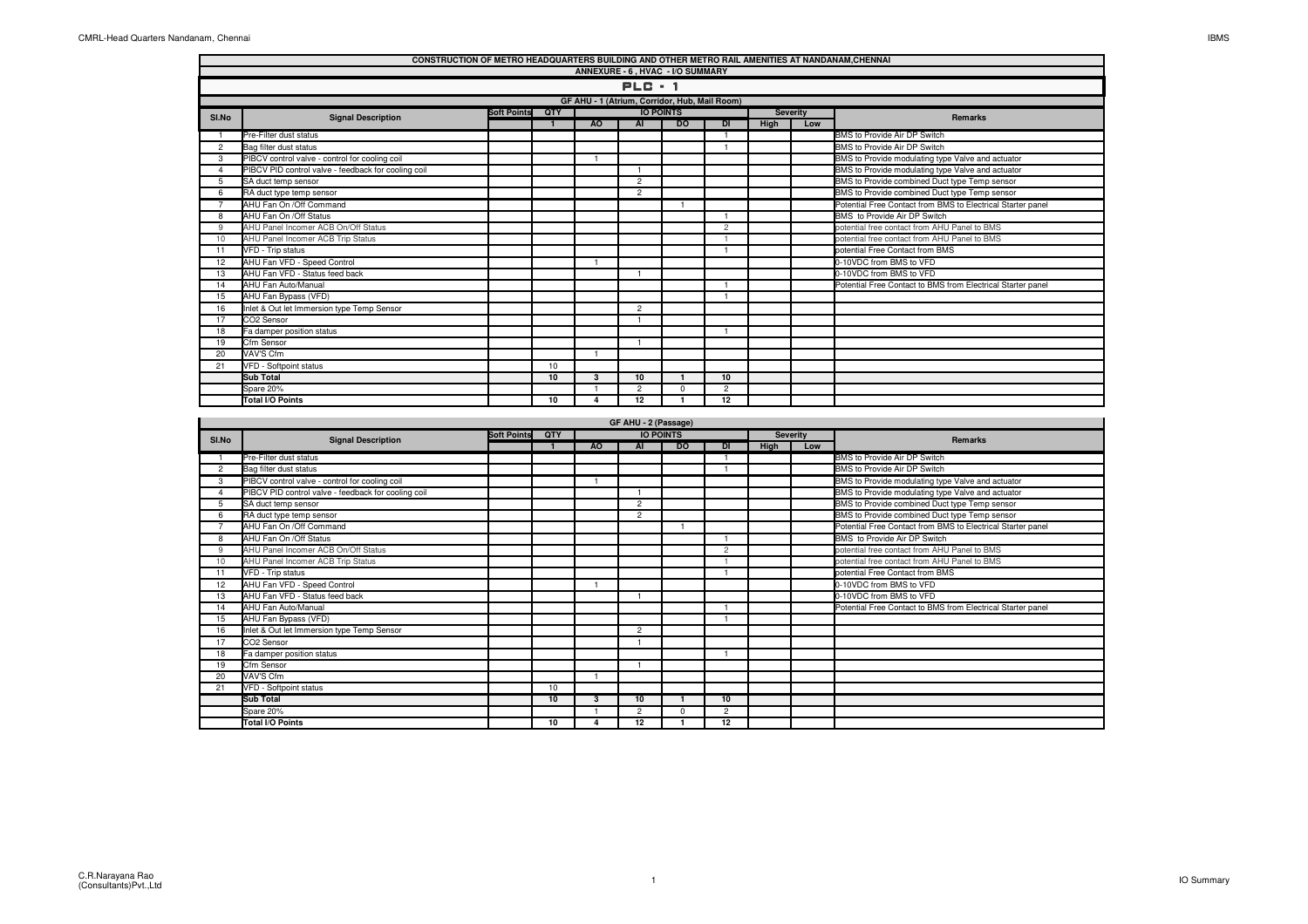| CONSTRUCTION OF METRO HEADQUARTERS BUILDING AND OTHER METRO RAIL AMENITIES AT NANDANAM, CHENNAI<br>ANNEXURE - 6, HVAC - I/O SUMMARY |                                                     |                    |                |                |                      |                                               |                |      |                 |                                                             |  |
|-------------------------------------------------------------------------------------------------------------------------------------|-----------------------------------------------------|--------------------|----------------|----------------|----------------------|-----------------------------------------------|----------------|------|-----------------|-------------------------------------------------------------|--|
|                                                                                                                                     |                                                     |                    |                |                |                      |                                               |                |      |                 |                                                             |  |
|                                                                                                                                     |                                                     |                    |                |                | $PLC - 1$            |                                               |                |      |                 |                                                             |  |
|                                                                                                                                     |                                                     |                    |                |                |                      | GF AHU - 1 (Atrium, Corridor, Hub, Mail Room) |                |      |                 |                                                             |  |
| SI.No                                                                                                                               | <b>Signal Description</b>                           | <b>Soft Points</b> | QTY            |                |                      | <b>IO POINTS</b>                              |                |      | <b>Severity</b> |                                                             |  |
|                                                                                                                                     |                                                     |                    | $\overline{1}$ | A <sub>O</sub> | AI                   | <b>DO</b>                                     | $\overline{D}$ | High | Low             | <b>Remarks</b>                                              |  |
| -1                                                                                                                                  | Pre-Filter dust status                              |                    |                |                |                      |                                               | $\overline{1}$ |      |                 | BMS to Provide Air DP Switch                                |  |
| $\overline{2}$                                                                                                                      | Bag filter dust status                              |                    |                |                |                      |                                               | $\overline{1}$ |      |                 | BMS to Provide Air DP Switch                                |  |
| 3                                                                                                                                   | PIBCV control valve - control for cooling coil      |                    |                | $\mathbf{1}$   |                      |                                               |                |      |                 | BMS to Provide modulating type Valve and actuator           |  |
| $\overline{4}$                                                                                                                      | PIBCV PID control valve - feedback for cooling coil |                    |                |                | $\overline{1}$       |                                               |                |      |                 | BMS to Provide modulating type Valve and actuator           |  |
| 5                                                                                                                                   | SA duct temp sensor                                 |                    |                |                | $\overline{c}$       |                                               |                |      |                 | BMS to Provide combined Duct type Temp sensor               |  |
| 6                                                                                                                                   | RA duct type temp sensor                            |                    |                |                | $\overline{c}$       |                                               |                |      |                 | BMS to Provide combined Duct type Temp sensor               |  |
| $\overline{7}$                                                                                                                      | AHU Fan On / Off Command                            |                    |                |                |                      |                                               |                |      |                 | Potential Free Contact from BMS to Electrical Starter panel |  |
| 8                                                                                                                                   | AHU Fan On /Off Status                              |                    |                |                |                      |                                               |                |      |                 | BMS to Provide Air DP Switch                                |  |
| 9                                                                                                                                   | AHU Panel Incomer ACB On/Off Status                 |                    |                |                |                      |                                               | $\overline{2}$ |      |                 | potential free contact from AHU Panel to BMS                |  |
| 10                                                                                                                                  | AHU Panel Incomer ACB Trip Status                   |                    |                |                |                      |                                               | $\overline{1}$ |      |                 | potential free contact from AHU Panel to BMS                |  |
| 11                                                                                                                                  | VFD - Trip status                                   |                    |                |                |                      |                                               | $\overline{1}$ |      |                 | potential Free Contact from BMS                             |  |
| 12                                                                                                                                  | AHU Fan VFD - Speed Control                         |                    |                | $\mathbf{1}$   |                      |                                               |                |      |                 | 0-10VDC from BMS to VFD                                     |  |
| 13                                                                                                                                  | AHU Fan VFD - Status feed back                      |                    |                |                | $\mathbf{1}$         |                                               |                |      |                 | 0-10VDC from BMS to VFD                                     |  |
| 14                                                                                                                                  | AHU Fan Auto/Manual                                 |                    |                |                |                      |                                               | $\overline{1}$ |      |                 | Potential Free Contact to BMS from Electrical Starter panel |  |
| 15                                                                                                                                  | AHU Fan Bypass (VFD)                                |                    |                |                |                      |                                               | $\overline{1}$ |      |                 |                                                             |  |
| 16                                                                                                                                  | Inlet & Out let Immersion type Temp Sensor          |                    |                |                | $\overline{2}$       |                                               |                |      |                 |                                                             |  |
| 17                                                                                                                                  | CO2 Sensor                                          |                    |                |                | $\overline{1}$       |                                               |                |      |                 |                                                             |  |
| 18                                                                                                                                  | Fa damper position status                           |                    |                |                |                      |                                               | $\overline{1}$ |      |                 |                                                             |  |
| 19                                                                                                                                  | Cfm Sensor                                          |                    |                |                | $\mathbf{1}$         |                                               |                |      |                 |                                                             |  |
| 20                                                                                                                                  | VAV'S Cfm                                           |                    |                | $\overline{1}$ |                      |                                               |                |      |                 |                                                             |  |
| 21                                                                                                                                  | VFD - Softpoint status                              |                    | 10             |                |                      |                                               |                |      |                 |                                                             |  |
|                                                                                                                                     | <b>Sub Total</b>                                    |                    | 10             | 3              | 10                   | $\mathbf{1}$                                  | 10             |      |                 |                                                             |  |
|                                                                                                                                     | Spare 20%                                           |                    |                | 1              | $\overline{2}$       | $\mathbf 0$                                   | $\overline{2}$ |      |                 |                                                             |  |
|                                                                                                                                     | Total I/O Points                                    |                    | 10             | $\overline{4}$ | 12                   | $\mathbf{1}$                                  | 12             |      |                 |                                                             |  |
|                                                                                                                                     |                                                     |                    |                |                |                      |                                               |                |      |                 |                                                             |  |
|                                                                                                                                     |                                                     |                    |                |                | GF AHU - 2 (Passage) |                                               |                |      |                 |                                                             |  |
|                                                                                                                                     |                                                     | <b>Soft Points</b> | QTY            |                |                      | <b>IO POINTS</b>                              |                |      | <b>Severity</b> |                                                             |  |
| SI.No                                                                                                                               | <b>Signal Description</b>                           |                    | $\overline{1}$ | <b>AO</b>      | <b>AI</b>            | <b>DO</b>                                     | $\overline{D}$ | High | Low             | <b>Remarks</b>                                              |  |
| $\overline{1}$                                                                                                                      | Pre-Filter dust status                              |                    |                |                |                      |                                               |                |      |                 | BMS to Provide Air DP Switch                                |  |
| $\overline{2}$                                                                                                                      | Bag filter dust status                              |                    |                |                |                      |                                               | $\overline{1}$ |      |                 | BMS to Provide Air DP Switch                                |  |
| 3                                                                                                                                   | PIBCV control valve - control for cooling coil      |                    |                | $\mathbf{1}$   |                      |                                               |                |      |                 | BMS to Provide modulating type Valve and actuator           |  |
| $\overline{4}$                                                                                                                      | PIBCV PID control valve - feedback for cooling coil |                    |                |                | $\overline{1}$       |                                               |                |      |                 | BMS to Provide modulating type Valve and actuator           |  |
| 5                                                                                                                                   | SA duct temp sensor                                 |                    |                |                | $\overline{c}$       |                                               |                |      |                 | BMS to Provide combined Duct type Temp sensor               |  |
| 6                                                                                                                                   | RA duct type temp sensor                            |                    |                |                | $\overline{2}$       |                                               |                |      |                 | BMS to Provide combined Duct type Temp sensor               |  |
| $\overline{7}$                                                                                                                      | AHU Fan On /Off Command                             |                    |                |                |                      |                                               |                |      |                 | Potential Free Contact from BMS to Electrical Starter panel |  |
| 8                                                                                                                                   | AHU Fan On /Off Status                              |                    |                |                |                      |                                               | $\overline{1}$ |      |                 | BMS to Provide Air DP Switch                                |  |
| 9                                                                                                                                   | AHU Panel Incomer ACB On/Off Status                 |                    |                |                |                      |                                               | $\overline{2}$ |      |                 | potential free contact from AHU Panel to BMS                |  |
| 10                                                                                                                                  | AHU Panel Incomer ACB Trip Status                   |                    |                |                |                      |                                               | $\overline{1}$ |      |                 | potential free contact from AHU Panel to BMS                |  |

k 1999 – 1999 – 1999 – 1999 – 1999 – 1999 – 1999 – 1999 – 1999 – 1999 – 1999 – 1999 – 1999 – 1999 – 1999 – 19

**10 3 10 1 10**

 $\frac{9}{2}$ 

**<sup>10</sup> <sup>4</sup> <sup>12</sup> <sup>1</sup> <sup>12</sup>**

<sup>1</sup>

<sup>1</sup>

<sup>1</sup>

s 10

) and the contract of the contract of  $\mathbb{I}$  and  $\mathbb{I}$  and  $\mathbb{I}$  and  $\mathbb{I}$  and  $\mathbb{I}$  and  $\mathbb{I}$  and  $\mathbb{I}$  and  $\mathbb{I}$  and  $\mathbb{I}$  and  $\mathbb{I}$  and  $\mathbb{I}$  and  $\mathbb{I}$  and  $\mathbb{I}$  and  $\mathbb{I}$  and

s and the set of the set of  $\mathbb{R}^n$  . The set of the set of the set of the set of the set of the set of the set of the set of the set of the set of the set of the set of the set of the set of the set of the set of the

 $10$ 

r 2001 - 100 - 100 - 100 - 100 - 100 - 100 - 100 - 100 - 100 - 100 - 100 - 100 - 100 - 100 - 100 - 100 - 100 -

1 **potential Free Contact from BMS** 

0-10VDC from BMS to VFD<br>1 1 **0-10VDC** from BMS to VFD

 $\overline{2}$ 

| <b>IBMS</b> |
|-------------|
|-------------|

11 VFD - Trip status

17 CO2 Sensor<br>18 Fa damper po

19 Cfm Sensor<br>20 VAV'S Cfm

20 VAV'S Cfm<br>21 VFD - Softpo

**Sub Total**

Spare 20%

12 AHU Fan VFD - Speed Control<br>13 AHU Fan VFD - Status feed bac

15 AHU Fan Bypass (VFD)

18 Fa damper position status<br>19 Cfm Sensor

**Total I/O Points**

VFD - Softpoint status

13 AHU Fan VFD - Status feed back<br>14 AHU Fan Auto/Manual

16 Inlet & Out let Immersion type Temp Sensor<br>17 CO2 Sensor

14 AHU Fan Auto/Manual 1 2021 1 2022 1 Potential Free Contact to BMS from Electrical Starter panel

 $\overline{1}$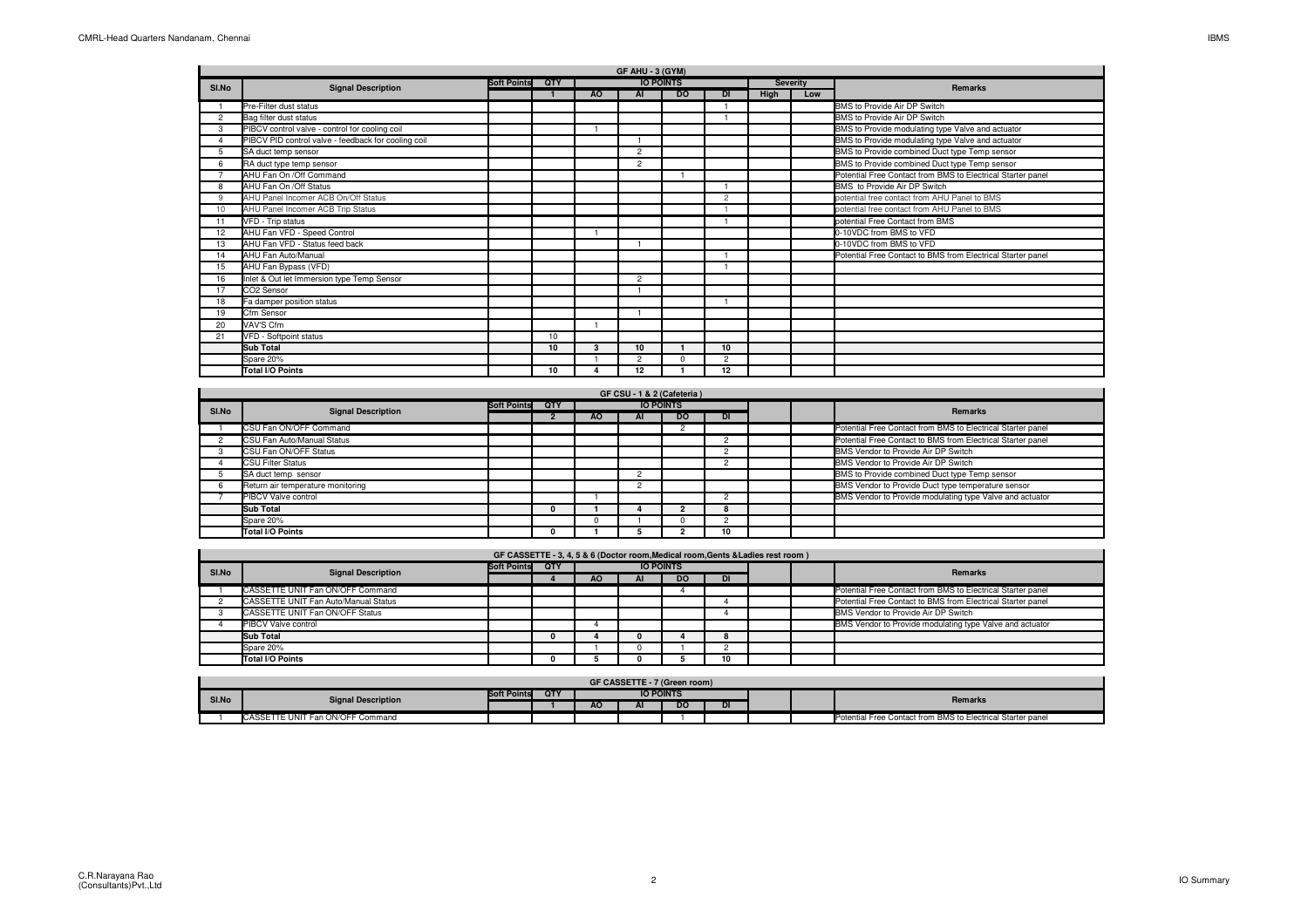| GF AHU - 3 (GYM) |                                                     |                    |     |           |                |                  |                |      |                 |                                                             |  |  |
|------------------|-----------------------------------------------------|--------------------|-----|-----------|----------------|------------------|----------------|------|-----------------|-------------------------------------------------------------|--|--|
| SI.No            | <b>Signal Description</b>                           | <b>Soft Points</b> | QTY |           |                | <b>IO POINTS</b> |                |      | <b>Severity</b> | <b>Remarks</b>                                              |  |  |
|                  |                                                     |                    |     | <b>AO</b> | <b>AI</b>      | <b>DO</b>        | <b>DI</b>      | High | Low             |                                                             |  |  |
|                  | Pre-Filter dust status                              |                    |     |           |                |                  |                |      |                 | BMS to Provide Air DP Switch                                |  |  |
| 2                | Bag filter dust status                              |                    |     |           |                |                  |                |      |                 | BMS to Provide Air DP Switch                                |  |  |
| 3                | PIBCV control valve - control for cooling coil      |                    |     |           |                |                  |                |      |                 | BMS to Provide modulating type Valve and actuator           |  |  |
|                  | PIBCV PID control valve - feedback for cooling coil |                    |     |           |                |                  |                |      |                 | BMS to Provide modulating type Valve and actuator           |  |  |
| 5                | SA duct temp sensor                                 |                    |     |           | $\overline{2}$ |                  |                |      |                 | BMS to Provide combined Duct type Temp sensor               |  |  |
| 6                | RA duct type temp sensor                            |                    |     |           | $\overline{2}$ |                  |                |      |                 | BMS to Provide combined Duct type Temp sensor               |  |  |
|                  | AHU Fan On /Off Command                             |                    |     |           |                |                  |                |      |                 | Potential Free Contact from BMS to Electrical Starter panel |  |  |
|                  | AHU Fan On /Off Status                              |                    |     |           |                |                  |                |      |                 | BMS to Provide Air DP Switch                                |  |  |
| $\mathbf{Q}$     | AHU Panel Incomer ACB On/Off Status                 |                    |     |           |                |                  | $\overline{c}$ |      |                 | potential free contact from AHU Panel to BMS                |  |  |
| 10               | AHU Panel Incomer ACB Trip Status                   |                    |     |           |                |                  |                |      |                 | potential free contact from AHU Panel to BMS                |  |  |
| 11               | VFD - Trip status                                   |                    |     |           |                |                  |                |      |                 | potential Free Contact from BMS                             |  |  |
| 12               | AHU Fan VFD - Speed Control                         |                    |     |           |                |                  |                |      |                 | 0-10VDC from BMS to VFD                                     |  |  |
| 13               | AHU Fan VFD - Status feed back                      |                    |     |           |                |                  |                |      |                 | 0-10VDC from BMS to VFD                                     |  |  |
| 14               | AHU Fan Auto/Manual                                 |                    |     |           |                |                  |                |      |                 | Potential Free Contact to BMS from Electrical Starter panel |  |  |
| 15               | AHU Fan Bypass (VFD)                                |                    |     |           |                |                  |                |      |                 |                                                             |  |  |
| 16               | Inlet & Out let Immersion type Temp Sensor          |                    |     |           | $\overline{2}$ |                  |                |      |                 |                                                             |  |  |
| 17               | CO2 Sensor                                          |                    |     |           |                |                  |                |      |                 |                                                             |  |  |
| 18               | Fa damper position status                           |                    |     |           |                |                  |                |      |                 |                                                             |  |  |
| 19               | Cfm Sensor                                          |                    |     |           |                |                  |                |      |                 |                                                             |  |  |
| 20               | VAV'S Cfm                                           |                    |     |           |                |                  |                |      |                 |                                                             |  |  |
| 21               | VFD - Softpoint status                              |                    | 10  |           |                |                  |                |      |                 |                                                             |  |  |
|                  | <b>Sub Total</b>                                    |                    | 10  | 3         | 10             |                  | 10             |      |                 |                                                             |  |  |
|                  | Spare 20%                                           |                    |     |           | $\overline{2}$ | $\Omega$         | $\overline{2}$ |      |                 |                                                             |  |  |
|                  | <b>Total I/O Points</b>                             |                    | 10  |           | 12             |                  | 12             |      |                 |                                                             |  |  |

|       | GF CSU - 1 & 2 (Cafeteria)        |                    |     |     |                  |           |    |  |         |                                                             |  |  |  |
|-------|-----------------------------------|--------------------|-----|-----|------------------|-----------|----|--|---------|-------------------------------------------------------------|--|--|--|
| SI.No | <b>Signal Description</b>         | <b>Soft Points</b> | QTY |     | <b>IO POINTS</b> |           |    |  | Remarks |                                                             |  |  |  |
|       |                                   |                    |     | AO. | AI               | <b>DO</b> | DI |  |         |                                                             |  |  |  |
|       | CSU Fan ON/OFF Command            |                    |     |     |                  |           |    |  |         | Potential Free Contact from BMS to Electrical Starter panel |  |  |  |
|       | CSU Fan Auto/Manual Status        |                    |     |     |                  |           |    |  |         | Potential Free Contact to BMS from Electrical Starter panel |  |  |  |
|       | CSU Fan ON/OFF Status             |                    |     |     |                  |           |    |  |         | BMS Vendor to Provide Air DP Switch                         |  |  |  |
|       | <b>CSU Filter Status</b>          |                    |     |     |                  |           |    |  |         | BMS Vendor to Provide Air DP Switch                         |  |  |  |
|       | SA duct temp sensor               |                    |     |     |                  |           |    |  |         | BMS to Provide combined Duct type Temp sensor               |  |  |  |
|       | Return air temperature monitoring |                    |     |     |                  |           |    |  |         | BMS Vendor to Provide Duct type temperature sensor          |  |  |  |
|       | PIBCV Valve control               |                    |     |     |                  |           |    |  |         | BMS Vendor to Provide modulating type Valve and actuator    |  |  |  |
|       | Sub Total                         |                    |     |     |                  |           |    |  |         |                                                             |  |  |  |
|       | Spare 20%                         |                    |     | o   |                  |           |    |  |         |                                                             |  |  |  |
|       | Total I/O Points                  |                    |     |     |                  |           | 10 |  |         |                                                             |  |  |  |

|       |                                      |                    | GF CASSETTE - 3, 4, 5 & 6 (Doctor room, Medical room, Gents & Ladies rest room) |     |                  |     |    |  |                                                             |
|-------|--------------------------------------|--------------------|---------------------------------------------------------------------------------|-----|------------------|-----|----|--|-------------------------------------------------------------|
| SI.No | <b>Signal Description</b>            | <b>Soft Points</b> | <b>OTY</b>                                                                      |     | <b>IO POINTS</b> |     |    |  | <b>Remarks</b>                                              |
|       |                                      |                    |                                                                                 | AO. | AI               | DO. | DI |  |                                                             |
|       | CASSETTE UNIT Fan ON/OFF Command     |                    |                                                                                 |     |                  |     |    |  | Potential Free Contact from BMS to Electrical Starter panel |
|       | CASSETTE UNIT Fan Auto/Manual Status |                    |                                                                                 |     |                  |     |    |  | Potential Free Contact to BMS from Electrical Starter panel |
|       | CASSETTE UNIT Fan ON/OFF Status      |                    |                                                                                 |     |                  |     |    |  | BMS Vendor to Provide Air DP Switch                         |
|       | <b>PIBCV Valve control</b>           |                    |                                                                                 |     |                  |     |    |  | BMS Vendor to Provide modulating type Valve and actuator    |
|       | <b>Sub Total</b>                     |                    |                                                                                 |     |                  |     | ŏ  |  |                                                             |
|       | Spare 20%                            |                    |                                                                                 |     |                  |     |    |  |                                                             |
|       | <b>Total I/O Points</b>              |                    |                                                                                 |     |                  |     |    |  |                                                             |

|       | GF CASSETTE - 7 (Green room)     |                    |     |    |                  |           |    |  |  |                                                             |  |  |
|-------|----------------------------------|--------------------|-----|----|------------------|-----------|----|--|--|-------------------------------------------------------------|--|--|
| SI.No |                                  | <b>Soft Points</b> | QTY |    | <b>IO POINTS</b> |           |    |  |  | Remarks                                                     |  |  |
|       | <b>Signal Description</b>        |                    |     | AΟ | ы.               | <b>DO</b> | DI |  |  |                                                             |  |  |
|       | CASSETTE UNIT Fan ON/OFF Command |                    |     |    |                  |           |    |  |  | Potential Free Contact from BMS to Electrical Starter panel |  |  |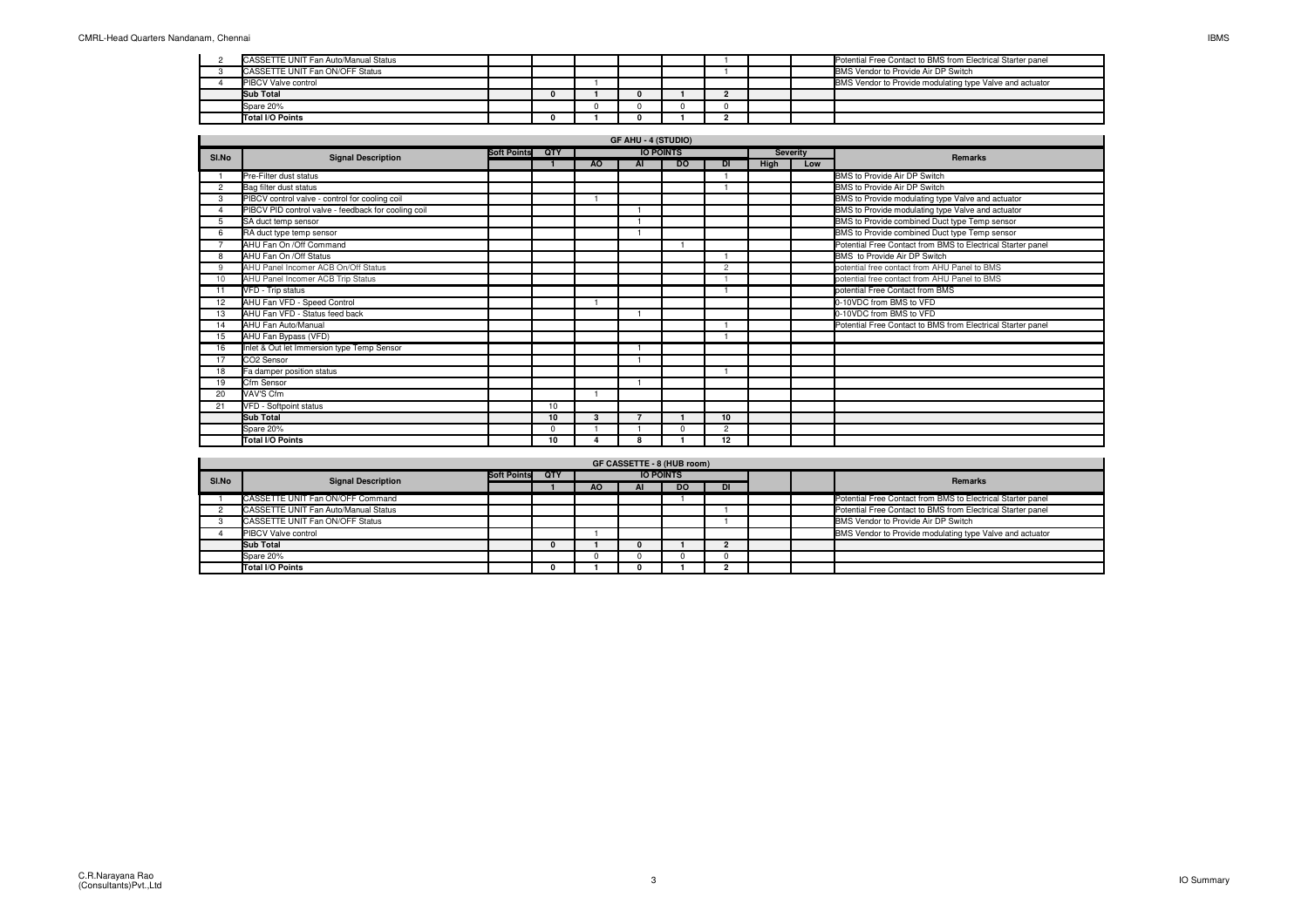| CASSETTE UNIT Fan Auto/Manual Status |  |  |  |  | Potential Free Contact to BMS from Electrical Starter panel |
|--------------------------------------|--|--|--|--|-------------------------------------------------------------|
| CASSETTE UNIT Fan ON/OFF Status      |  |  |  |  | BMS Vendor to Provide Air DP Switch                         |
| <b>PIBCV Valve control</b>           |  |  |  |  | BMS Vendor to Provide modulating type Valve and actuator    |
| <b>Sub Total</b>                     |  |  |  |  |                                                             |
| Spare 20%                            |  |  |  |  |                                                             |
| Total I/O Points                     |  |  |  |  |                                                             |

|    | <b>GF AHU - 4 (STUDIO)</b>                               |  |    |     |                          |                  |           |      |                 |                                                             |  |  |  |
|----|----------------------------------------------------------|--|----|-----|--------------------------|------------------|-----------|------|-----------------|-------------------------------------------------------------|--|--|--|
|    | <b>Soft Points</b><br>SI.No<br><b>Signal Description</b> |  |    |     |                          | <b>IO POINTS</b> |           |      | <b>Severity</b> | Remarks                                                     |  |  |  |
|    |                                                          |  |    | AO. | AI                       | <b>DO</b>        | <b>DI</b> | High | Low             |                                                             |  |  |  |
|    | Pre-Filter dust status                                   |  |    |     |                          |                  |           |      |                 | BMS to Provide Air DP Switch                                |  |  |  |
| 2  | Bag filter dust status                                   |  |    |     |                          |                  |           |      |                 | BMS to Provide Air DP Switch                                |  |  |  |
| 3  | PIBCV control valve - control for cooling coil           |  |    |     |                          |                  |           |      |                 | BMS to Provide modulating type Valve and actuator           |  |  |  |
|    | PIBCV PID control valve - feedback for cooling coil      |  |    |     |                          |                  |           |      |                 | BMS to Provide modulating type Valve and actuator           |  |  |  |
| 5  | SA duct temp sensor                                      |  |    |     |                          |                  |           |      |                 | BMS to Provide combined Duct type Temp sensor               |  |  |  |
|    | RA duct type temp sensor                                 |  |    |     |                          |                  |           |      |                 | BMS to Provide combined Duct type Temp sensor               |  |  |  |
|    | AHU Fan On / Off Command                                 |  |    |     |                          |                  |           |      |                 | Potential Free Contact from BMS to Electrical Starter panel |  |  |  |
| 8  | AHU Fan On /Off Status                                   |  |    |     |                          |                  |           |      |                 | BMS to Provide Air DP Switch                                |  |  |  |
| 9  | AHU Panel Incomer ACB On/Off Status                      |  |    |     |                          |                  | 2         |      |                 | potential free contact from AHU Panel to BMS                |  |  |  |
| 10 | AHU Panel Incomer ACB Trip Status                        |  |    |     |                          |                  |           |      |                 | potential free contact from AHU Panel to BMS                |  |  |  |
| 11 | VFD - Trip status                                        |  |    |     |                          |                  |           |      |                 | potential Free Contact from BMS                             |  |  |  |
| 12 | AHU Fan VFD - Speed Control                              |  |    |     |                          |                  |           |      |                 | 0-10VDC from BMS to VFD                                     |  |  |  |
| 13 | AHU Fan VFD - Status feed back                           |  |    |     |                          |                  |           |      |                 | 0-10VDC from BMS to VFD                                     |  |  |  |
| 14 | AHU Fan Auto/Manual                                      |  |    |     |                          |                  |           |      |                 | Potential Free Contact to BMS from Electrical Starter panel |  |  |  |
| 15 | AHU Fan Bypass (VFD)                                     |  |    |     |                          |                  |           |      |                 |                                                             |  |  |  |
| 16 | Inlet & Out let Immersion type Temp Sensor               |  |    |     |                          |                  |           |      |                 |                                                             |  |  |  |
| 17 | CO <sub>2</sub> Sensor                                   |  |    |     |                          |                  |           |      |                 |                                                             |  |  |  |
| 18 | Fa damper position status                                |  |    |     |                          |                  |           |      |                 |                                                             |  |  |  |
| 19 | Cfm Sensor                                               |  |    |     |                          |                  |           |      |                 |                                                             |  |  |  |
| 20 | VAV'S Cfm                                                |  |    |     |                          |                  |           |      |                 |                                                             |  |  |  |
| 21 | VFD - Softpoint status                                   |  | 10 |     |                          |                  |           |      |                 |                                                             |  |  |  |
|    | <b>Sub Total</b>                                         |  | 10 | 3   | $\overline{\phantom{a}}$ |                  | 10        |      |                 |                                                             |  |  |  |
|    | Spare 20%                                                |  | O  |     |                          | $\sqrt{2}$       | 2         |      |                 |                                                             |  |  |  |
|    | Total I/O Points                                         |  | 10 |     | 8                        |                  | 12        |      |                 |                                                             |  |  |  |

|       | <b>GF CASSETTE - 8 (HUB room)</b>           |                    |     |           |    |                  |    |  |  |                                                             |  |  |  |
|-------|---------------------------------------------|--------------------|-----|-----------|----|------------------|----|--|--|-------------------------------------------------------------|--|--|--|
| SI.No | <b>Signal Description</b>                   | <b>Soft Points</b> | QTY |           |    | <b>IO POINTS</b> |    |  |  | Remarks                                                     |  |  |  |
|       |                                             |                    |     | <b>AO</b> | AI | <b>DO</b>        | DI |  |  |                                                             |  |  |  |
|       | CASSETTE UNIT Fan ON/OFF Command            |                    |     |           |    |                  |    |  |  | Potential Free Contact from BMS to Electrical Starter panel |  |  |  |
|       | <b>CASSETTE UNIT Fan Auto/Manual Status</b> |                    |     |           |    |                  |    |  |  | Potential Free Contact to BMS from Electrical Starter panel |  |  |  |
|       | CASSETTE UNIT Fan ON/OFF Status             |                    |     |           |    |                  |    |  |  | BMS Vendor to Provide Air DP Switch                         |  |  |  |
|       | <b>PIBCV Valve control</b>                  |                    |     |           |    |                  |    |  |  | BMS Vendor to Provide modulating type Valve and actuator    |  |  |  |
|       | <b>Sub Total</b>                            |                    |     |           |    |                  |    |  |  |                                                             |  |  |  |
|       | Spare 20%                                   |                    |     |           |    |                  |    |  |  |                                                             |  |  |  |
|       | Total I/O Points                            |                    |     |           |    |                  |    |  |  |                                                             |  |  |  |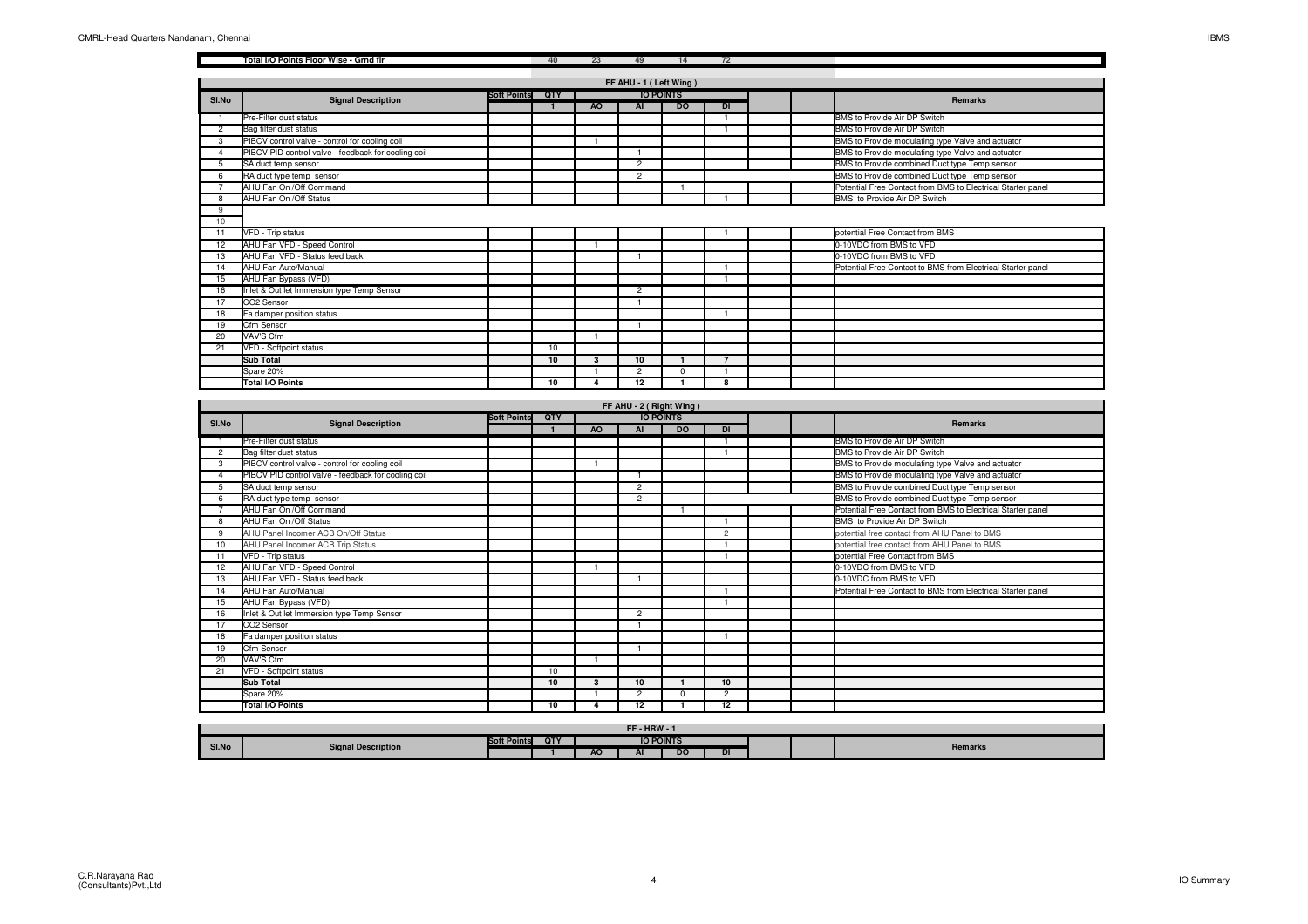|                | Total I/O Points Floor Wise - Grnd flr              |                    | 40                    | 23             | 49                      | 14                   | 72             |                                                             |
|----------------|-----------------------------------------------------|--------------------|-----------------------|----------------|-------------------------|----------------------|----------------|-------------------------------------------------------------|
|                |                                                     |                    |                       |                |                         |                      |                |                                                             |
|                |                                                     |                    |                       |                | FF AHU - 1 (Left Wing)  | <b>IO POINTS</b>     |                |                                                             |
| SI.No          | <b>Signal Description</b>                           | <b>Soft Points</b> | QTY<br>$\overline{1}$ | A <sub>O</sub> | AI                      | D <sub>O</sub>       | DI             | Remarks                                                     |
| $\overline{1}$ | Pre-Filter dust status                              |                    |                       |                |                         |                      | -1             | BMS to Provide Air DP Switch                                |
| $\overline{c}$ | Bag filter dust status                              |                    |                       |                |                         |                      |                | BMS to Provide Air DP Switch                                |
| 3              | PIBCV control valve - control for cooling coil      |                    |                       | $\overline{1}$ |                         |                      |                | BMS to Provide modulating type Valve and actuator           |
| $\overline{4}$ | PIBCV PID control valve - feedback for cooling coil |                    |                       |                | $\overline{1}$          |                      |                | BMS to Provide modulating type Valve and actuator           |
| 5              | SA duct temp sensor                                 |                    |                       |                | $\overline{2}$          |                      |                | BMS to Provide combined Duct type Temp sensor               |
| 6              | RA duct type temp sensor                            |                    |                       |                | $\overline{2}$          |                      |                | BMS to Provide combined Duct type Temp sensor               |
| $\overline{7}$ | AHU Fan On /Off Command                             |                    |                       |                |                         |                      |                | Potential Free Contact from BMS to Electrical Starter panel |
| 8              | AHU Fan On / Off Status                             |                    |                       |                |                         |                      |                | BMS to Provide Air DP Switch                                |
| 9              |                                                     |                    |                       |                |                         |                      |                |                                                             |
| 10             |                                                     |                    |                       |                |                         |                      |                |                                                             |
| 11             | VFD - Trip status                                   |                    |                       |                |                         |                      |                | potential Free Contact from BMS                             |
| 12             | AHU Fan VFD - Speed Control                         |                    |                       | $\overline{1}$ |                         |                      |                | 0-10VDC from BMS to VFD                                     |
| 13             | AHU Fan VFD - Status feed back                      |                    |                       |                | $\mathbf{1}$            |                      |                | 0-10VDC from BMS to VFD                                     |
| 14             | AHU Fan Auto/Manual                                 |                    |                       |                |                         |                      | -1             | Potential Free Contact to BMS from Electrical Starter panel |
| 15             | AHU Fan Bypass (VFD)                                |                    |                       |                |                         |                      |                |                                                             |
| 16             | Inlet & Out let Immersion type Temp Sensor          |                    |                       |                | $\overline{2}$          |                      |                |                                                             |
| 17             | CO <sub>2</sub> Sensor                              |                    |                       |                | $\mathbf{1}$            |                      |                |                                                             |
| 18             | Fa damper position status                           |                    |                       |                |                         |                      |                |                                                             |
| 19             | Cfm Sensor                                          |                    |                       |                | $\overline{1}$          |                      |                |                                                             |
| 20             | VAV'S Cfm                                           |                    |                       | $\overline{1}$ |                         |                      |                |                                                             |
| 21             | VFD - Softpoint status                              |                    | 10                    |                |                         |                      |                |                                                             |
|                | <b>Sub Total</b>                                    |                    | 10                    | 3              | 10                      | $\mathbf{1}$         | $\overline{7}$ |                                                             |
|                | Spare 20%                                           |                    |                       |                | $\overline{2}$          | $\Omega$             |                |                                                             |
|                | Total I/O Points                                    |                    | 10                    | Δ              | 12                      | $\blacktriangleleft$ | 8              |                                                             |
|                |                                                     |                    |                       |                |                         |                      |                |                                                             |
|                |                                                     |                    |                       |                | FF AHU - 2 (Right Wing) |                      |                |                                                             |
| SI.No          | <b>Signal Description</b>                           | <b>Soft Points</b> | QTY                   |                |                         | <b>IO POINTS</b>     |                | Remarks                                                     |
|                |                                                     |                    | -1                    | AO             | AI                      | <b>DO</b>            | DI             |                                                             |
| -1             | Pre-Filter dust status                              |                    |                       |                |                         |                      |                | BMS to Provide Air DP Switch                                |
| $\overline{2}$ | Bag filter dust status                              |                    |                       |                |                         |                      |                | BMS to Provide Air DP Switch                                |
| 3              | PIBCV control valve - control for cooling coil      |                    |                       | -1             |                         |                      |                | BMS to Provide modulating type Valve and actuator           |
| $\overline{a}$ | PIBCV PID control valve - feedback for cooling coil |                    |                       |                |                         |                      |                | BMS to Provide modulating type Valve and actuator           |
| 5              | SA duct temp sensor                                 |                    |                       |                | $\overline{2}$          |                      |                | BMS to Provide combined Duct type Temp sensor               |

|    | Bag filter dust status                              |    |   |                |                |  | BMS to Provide Air DP Switch                                |
|----|-----------------------------------------------------|----|---|----------------|----------------|--|-------------------------------------------------------------|
| 3  | PIBCV control valve - control for cooling coil      |    |   |                |                |  | BMS to Provide modulating type Valve and actuator           |
|    | PIBCV PID control valve - feedback for cooling coil |    |   |                |                |  | BMS to Provide modulating type Valve and actuator           |
|    | SA duct temp sensor                                 |    |   | $\overline{2}$ |                |  | BMS to Provide combined Duct type Temp sensor               |
| 6  | RA duct type temp sensor                            |    |   | $\overline{2}$ |                |  | BMS to Provide combined Duct type Temp sensor               |
|    | AHU Fan On /Off Command                             |    |   |                |                |  | Potential Free Contact from BMS to Electrical Starter panel |
| 8  | AHU Fan On /Off Status                              |    |   |                |                |  | BMS to Provide Air DP Switch                                |
| 9  | AHU Panel Incomer ACB On/Off Status                 |    |   |                | $\overline{c}$ |  | potential free contact from AHU Panel to BMS                |
| 10 | AHU Panel Incomer ACB Trip Status                   |    |   |                |                |  | potential free contact from AHU Panel to BMS                |
|    | VFD - Trip status                                   |    |   |                |                |  | potential Free Contact from BMS                             |
| 12 | AHU Fan VFD - Speed Control                         |    |   |                |                |  | 0-10VDC from BMS to VFD                                     |
| 13 | AHU Fan VFD - Status feed back                      |    |   |                |                |  | 0-10VDC from BMS to VFD                                     |
| 14 | AHU Fan Auto/Manual                                 |    |   |                |                |  | Potential Free Contact to BMS from Electrical Starter panel |
| 15 | AHU Fan Bypass (VFD)                                |    |   |                |                |  |                                                             |
| 16 | Inlet & Out let Immersion type Temp Sensor          |    |   | $\overline{2}$ |                |  |                                                             |
| 17 | CO2 Sensor                                          |    |   |                |                |  |                                                             |
| 18 | Fa damper position status                           |    |   |                |                |  |                                                             |
| 19 | Cfm Sensor                                          |    |   |                |                |  |                                                             |
| 20 | VAV'S Cfm                                           |    |   |                |                |  |                                                             |
| 21 | VFD - Softpoint status                              | 10 |   |                |                |  |                                                             |
|    | <b>Sub Total</b>                                    | 10 | 3 | 10             | 10             |  |                                                             |
|    | Spare 20%                                           |    |   | $\overline{2}$ | $\overline{2}$ |  |                                                             |
|    | Total I/O Points                                    | 10 |   | 12             | 12             |  |                                                             |

|       | FF-HRW-                   |                    |     |           |    |                  |           |  |  |         |  |  |  |
|-------|---------------------------|--------------------|-----|-----------|----|------------------|-----------|--|--|---------|--|--|--|
| SI.No | <b>Signal Description</b> | <b>Soft Points</b> | QTY |           |    | <b>IO POINTS</b> |           |  |  | Remarks |  |  |  |
|       |                           |                    |     | <b>AO</b> | -- | DΩ<br>--         | <b>DI</b> |  |  |         |  |  |  |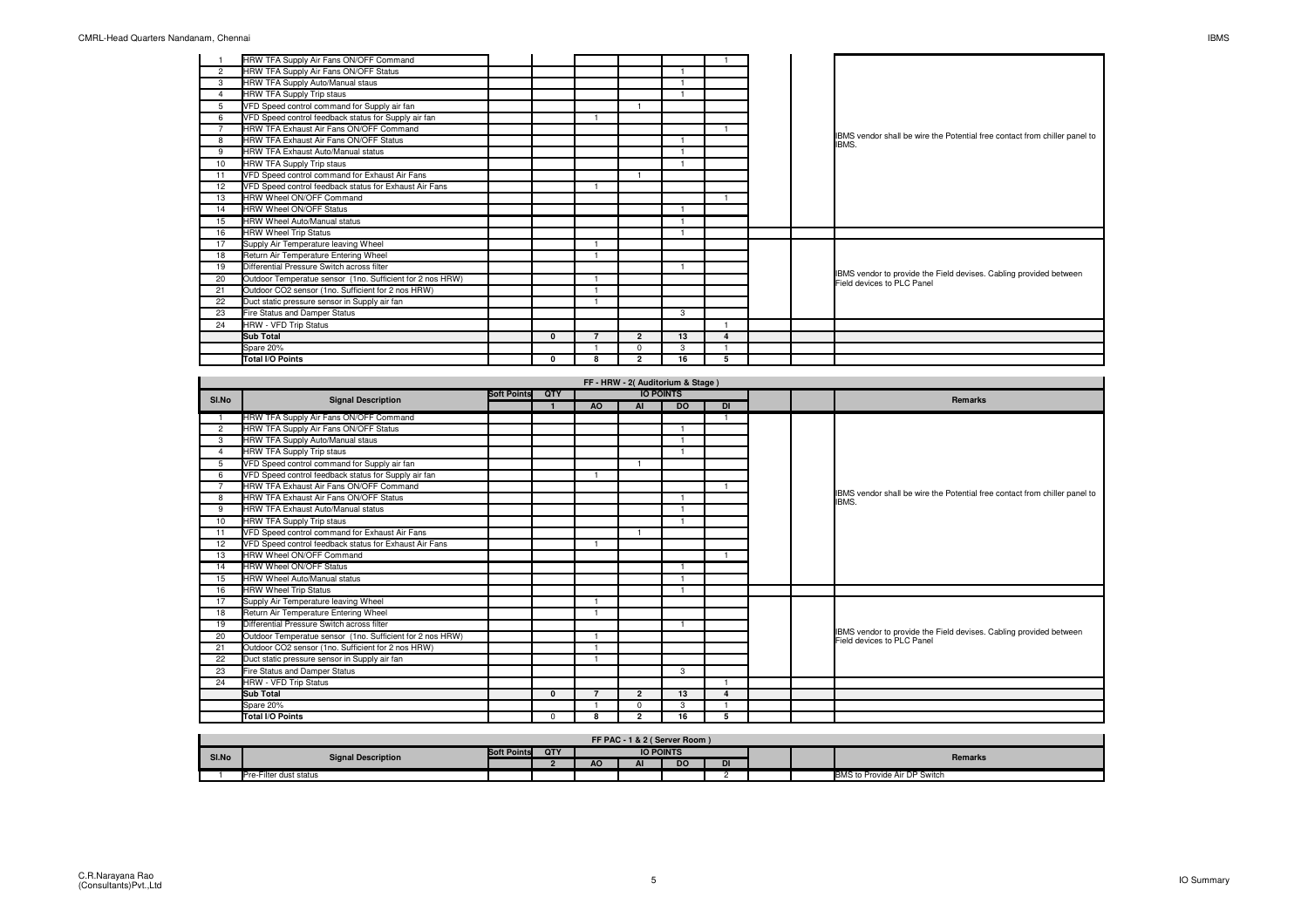|                | HRW TFA Supply Air Fans ON/OFF Command                    |   |                          |                |    |          |  |                                                                                                  |
|----------------|-----------------------------------------------------------|---|--------------------------|----------------|----|----------|--|--------------------------------------------------------------------------------------------------|
| 2              | HRW TFA Supply Air Fans ON/OFF Status                     |   |                          |                |    |          |  |                                                                                                  |
| 3              | HRW TFA Supply Auto/Manual staus                          |   |                          |                |    |          |  |                                                                                                  |
| $\overline{4}$ | <b>HRW TFA Supply Trip staus</b>                          |   |                          |                |    |          |  |                                                                                                  |
| 5              | VFD Speed control command for Supply air fan              |   |                          |                |    |          |  |                                                                                                  |
| 6              | VFD Speed control feedback status for Supply air fan      |   |                          |                |    |          |  |                                                                                                  |
|                | HRW TFA Exhaust Air Fans ON/OFF Command                   |   |                          |                |    |          |  |                                                                                                  |
| 8              | HRW TFA Exhaust Air Fans ON/OFF Status                    |   |                          |                |    |          |  | IBMS vendor shall be wire the Potential free contact from chiller panel to<br>IBMS.              |
| 9              | HRW TFA Exhaust Auto/Manual status                        |   |                          |                |    |          |  |                                                                                                  |
| 10             | HRW TFA Supply Trip staus                                 |   |                          |                |    |          |  |                                                                                                  |
| 11             | VFD Speed control command for Exhaust Air Fans            |   |                          |                |    |          |  |                                                                                                  |
| 12             | VFD Speed control feedback status for Exhaust Air Fans    |   |                          |                |    |          |  |                                                                                                  |
| 13             | HRW Wheel ON/OFF Command                                  |   |                          |                |    |          |  |                                                                                                  |
| 14             | <b>HRW Wheel ON/OFF Status</b>                            |   |                          |                |    |          |  |                                                                                                  |
| 15             | HRW Wheel Auto/Manual status                              |   |                          |                |    |          |  |                                                                                                  |
| 16             | <b>HRW Wheel Trip Status</b>                              |   |                          |                |    |          |  |                                                                                                  |
| 17             | Supply Air Temperature leaving Wheel                      |   |                          |                |    |          |  |                                                                                                  |
| 18             | Return Air Temperature Entering Wheel                     |   |                          |                |    |          |  |                                                                                                  |
| 19             | Differential Pressure Switch across filter                |   |                          |                |    |          |  |                                                                                                  |
| 20             | Outdoor Temperatue sensor (1no. Sufficient for 2 nos HRW) |   |                          |                |    |          |  | IBMS vendor to provide the Field devises. Cabling provided between<br>Field devices to PLC Panel |
| 21             | Outdoor CO2 sensor (1no. Sufficient for 2 nos HRW)        |   |                          |                |    |          |  |                                                                                                  |
| 22             | Duct static pressure sensor in Supply air fan             |   |                          |                |    |          |  |                                                                                                  |
| 23             | Fire Status and Damper Status                             |   |                          |                | 3  |          |  |                                                                                                  |
| 24             | <b>HRW - VFD Trip Status</b>                              |   |                          |                |    |          |  |                                                                                                  |
|                | <b>Sub Total</b>                                          | 0 | $\overline{\phantom{a}}$ | $\overline{2}$ | 13 | $\Delta$ |  |                                                                                                  |
|                | Spare 20%                                                 |   |                          | $\Omega$       | 3  |          |  |                                                                                                  |
|                | <b>Total I/O Points</b>                                   | 0 | 8                        | $\overline{2}$ | 16 | 5        |  |                                                                                                  |

| SI.No          | <b>Signal Description</b>                                 | <b>Soft Points</b> | QTY      |                          |                | <b>IO POINTS</b> |    |  | <b>Remarks</b>                                                                                   |
|----------------|-----------------------------------------------------------|--------------------|----------|--------------------------|----------------|------------------|----|--|--------------------------------------------------------------------------------------------------|
|                |                                                           |                    |          | AO                       | <b>AI</b>      | <b>DO</b>        | DI |  |                                                                                                  |
|                | HRW TFA Supply Air Fans ON/OFF Command                    |                    |          |                          |                |                  |    |  |                                                                                                  |
| $\overline{2}$ | HRW TFA Supply Air Fans ON/OFF Status                     |                    |          |                          |                |                  |    |  |                                                                                                  |
| 3              | HRW TFA Supply Auto/Manual staus                          |                    |          |                          |                |                  |    |  |                                                                                                  |
| 4              | HRW TFA Supply Trip staus                                 |                    |          |                          |                |                  |    |  |                                                                                                  |
| 5              | VFD Speed control command for Supply air fan              |                    |          |                          |                |                  |    |  |                                                                                                  |
| 6              | VFD Speed control feedback status for Supply air fan      |                    |          |                          |                |                  |    |  |                                                                                                  |
|                | HRW TFA Exhaust Air Fans ON/OFF Command                   |                    |          |                          |                |                  |    |  |                                                                                                  |
| 8              | HRW TFA Exhaust Air Fans ON/OFF Status                    |                    |          |                          |                |                  |    |  | IBMS vendor shall be wire the Potential free contact from chiller panel to<br>IBMS.              |
| 9              | HRW TFA Exhaust Auto/Manual status                        |                    |          |                          |                |                  |    |  |                                                                                                  |
| 10             | HRW TFA Supply Trip staus                                 |                    |          |                          |                |                  |    |  |                                                                                                  |
| 11             | VFD Speed control command for Exhaust Air Fans            |                    |          |                          |                |                  |    |  |                                                                                                  |
| 12             | VFD Speed control feedback status for Exhaust Air Fans    |                    |          |                          |                |                  |    |  |                                                                                                  |
| 13             | HRW Wheel ON/OFF Command                                  |                    |          |                          |                |                  |    |  |                                                                                                  |
| 14             | <b>HRW Wheel ON/OFF Status</b>                            |                    |          |                          |                |                  |    |  |                                                                                                  |
| 15             | <b>HRW Wheel Auto/Manual status</b>                       |                    |          |                          |                |                  |    |  |                                                                                                  |
| 16             | <b>HRW Wheel Trip Status</b>                              |                    |          |                          |                |                  |    |  |                                                                                                  |
| 17             | Supply Air Temperature leaving Wheel                      |                    |          | $\overline{1}$           |                |                  |    |  |                                                                                                  |
| 18             | Return Air Temperature Entering Wheel                     |                    |          |                          |                |                  |    |  |                                                                                                  |
| 19             | Differential Pressure Switch across filter                |                    |          |                          |                |                  |    |  |                                                                                                  |
| 20             | Outdoor Temperatue sensor (1no. Sufficient for 2 nos HRW) |                    |          |                          |                |                  |    |  | IBMS vendor to provide the Field devises. Cabling provided between<br>Field devices to PLC Panel |
| 21             | Outdoor CO2 sensor (1no. Sufficient for 2 nos HRW)        |                    |          | -1                       |                |                  |    |  |                                                                                                  |
| 22             | Duct static pressure sensor in Supply air fan             |                    |          |                          |                |                  |    |  |                                                                                                  |
| 23             | Fire Status and Damper Status                             |                    |          |                          |                | 3                |    |  |                                                                                                  |
| 24             | <b>HRW - VFD Trip Status</b>                              |                    |          |                          |                |                  |    |  |                                                                                                  |
|                | <b>Sub Total</b>                                          |                    | $\Omega$ | $\overline{\phantom{a}}$ | $\overline{2}$ | 13               | Δ  |  |                                                                                                  |
|                | Spare 20%                                                 |                    |          |                          | $\Omega$       | 3                |    |  |                                                                                                  |
|                | Total I/O Points                                          |                    | $\Omega$ | я                        | $\overline{2}$ | 16               | 5  |  |                                                                                                  |

|       | FF PAC - 1 & 2 (Server Room) |        |     |    |                  |    |    |  |  |                              |  |  |
|-------|------------------------------|--------|-----|----|------------------|----|----|--|--|------------------------------|--|--|
| SI.No | <b>Signal Description</b>    | Points | QTY |    | <b>IO POINTS</b> |    |    |  |  |                              |  |  |
|       |                              |        |     | -w | --               | DO | DI |  |  | Remarks                      |  |  |
|       | Pre-Filter dust status       |        |     |    |                  |    |    |  |  | BMS to Provide Air DP Switch |  |  |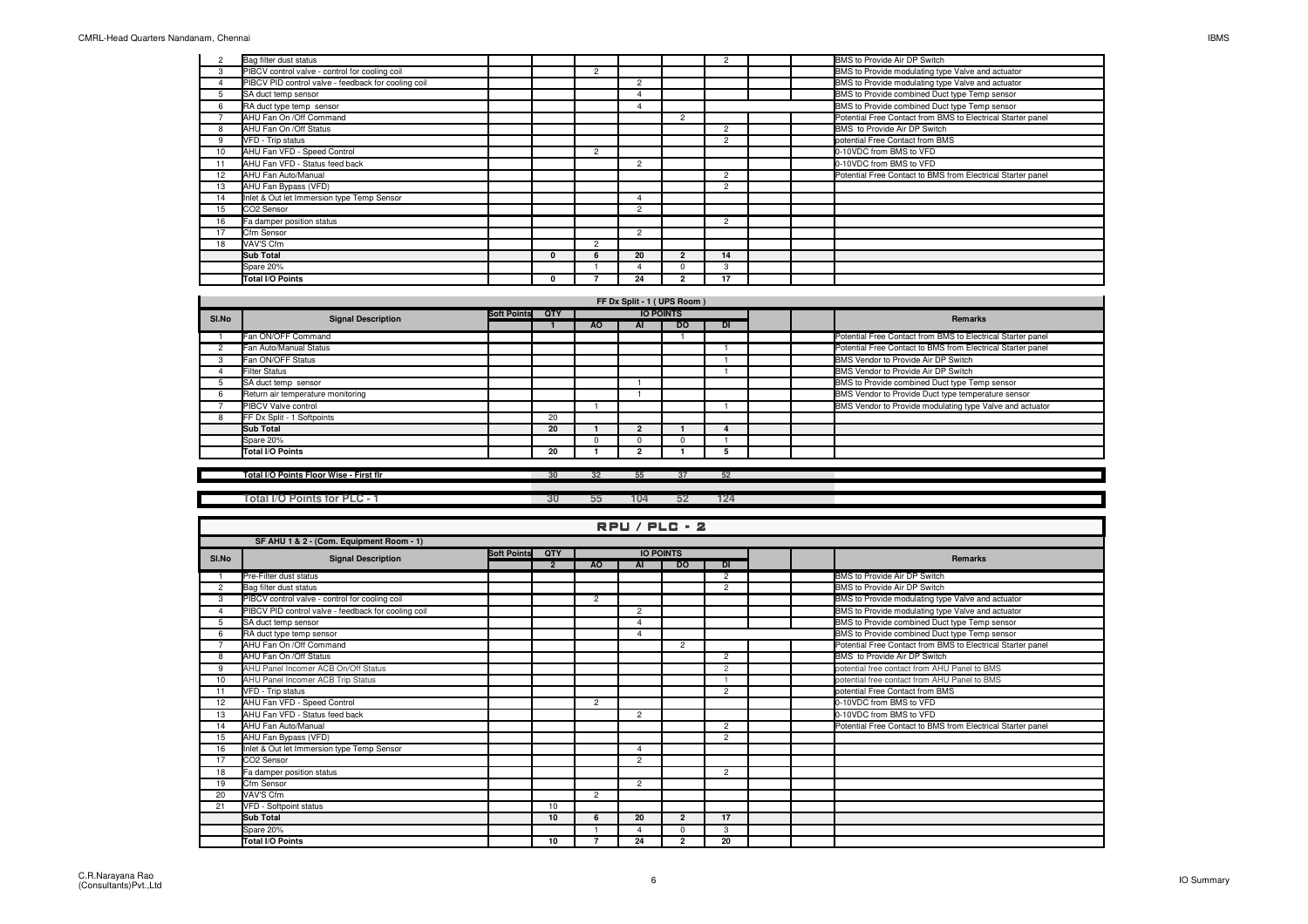|                 | Bag filter dust status                              |  |                |                |                | $\Omega$       |  | BMS to Provide Air DP Switch                                |
|-----------------|-----------------------------------------------------|--|----------------|----------------|----------------|----------------|--|-------------------------------------------------------------|
| 3               | PIBCV control valve - control for cooling coil      |  | $\overline{2}$ |                |                |                |  | BMS to Provide modulating type Valve and actuator           |
|                 | PIBCV PID control valve - feedback for cooling coil |  |                | $\overline{2}$ |                |                |  | BMS to Provide modulating type Valve and actuator           |
|                 | SA duct temp sensor                                 |  |                |                |                |                |  | BMS to Provide combined Duct type Temp sensor               |
| 6               | RA duct type temp sensor                            |  |                |                |                |                |  | BMS to Provide combined Duct type Temp sensor               |
|                 | AHU Fan On /Off Command                             |  |                |                | $\overline{c}$ |                |  | Potential Free Contact from BMS to Electrical Starter panel |
|                 | AHU Fan On / Off Status                             |  |                |                |                | $\circ$        |  | BMS to Provide Air DP Switch                                |
| 9               | VFD - Trip status                                   |  |                |                |                | $\mathfrak{p}$ |  | potential Free Contact from BMS                             |
| 10 <sup>1</sup> | AHU Fan VFD - Speed Control                         |  | $\overline{2}$ |                |                |                |  | 0-10VDC from BMS to VFD                                     |
|                 | AHU Fan VFD - Status feed back                      |  |                | $\overline{2}$ |                |                |  | 0-10VDC from BMS to VFD                                     |
| 12              | AHU Fan Auto/Manual                                 |  |                |                |                | $\mathfrak{p}$ |  | Potential Free Contact to BMS from Electrical Starter panel |
| 13              | AHU Fan Bypass (VFD)                                |  |                |                |                | $\overline{2}$ |  |                                                             |
| 14              | Inlet & Out let Immersion type Temp Sensor          |  |                |                |                |                |  |                                                             |
| 15              | CO2 Sensor                                          |  |                | $\overline{2}$ |                |                |  |                                                             |
| 16              | Fa damper position status                           |  |                |                |                | $\overline{2}$ |  |                                                             |
| 17              | Cfm Sensor                                          |  |                | $\overline{2}$ |                |                |  |                                                             |
| 18              | VAV'S Cfm                                           |  | $\overline{2}$ |                |                |                |  |                                                             |
|                 | <b>Sub Total</b>                                    |  | -6             | 20             |                | 14             |  |                                                             |
|                 | Spare 20%                                           |  |                |                |                | 3              |  |                                                             |
|                 | Total I/O Points                                    |  |                | 24             | ົ              | 17             |  |                                                             |

| SI.No | <b>Signal Description</b>         | <b>Soft Points</b> | <b>OTY</b> |              | <b>IO POINTS</b> |           |           |  | Remarks                                                     |
|-------|-----------------------------------|--------------------|------------|--------------|------------------|-----------|-----------|--|-------------------------------------------------------------|
|       |                                   |                    |            | AO.          | ΑI               | <b>DO</b> | <b>DI</b> |  |                                                             |
|       | Fan ON/OFF Command                |                    |            |              |                  |           |           |  | Potential Free Contact from BMS to Electrical Starter panel |
|       | Fan Auto/Manual Status            |                    |            |              |                  |           |           |  | Potential Free Contact to BMS from Electrical Starter panel |
|       | Fan ON/OFF Status                 |                    |            |              |                  |           |           |  | BMS Vendor to Provide Air DP Switch                         |
|       | <b>Filter Status</b>              |                    |            |              |                  |           |           |  | BMS Vendor to Provide Air DP Switch                         |
|       | SA duct temp sensor               |                    |            |              |                  |           |           |  | BMS to Provide combined Duct type Temp sensor               |
|       | Return air temperature monitoring |                    |            |              |                  |           |           |  | BMS Vendor to Provide Duct type temperature sensor          |
|       | <b>PIBCV Valve control</b>        |                    |            |              |                  |           |           |  | BMS Vendor to Provide modulating type Valve and actuator    |
|       | FF Dx Split - 1 Softpoints        |                    | 20         |              |                  |           |           |  |                                                             |
|       | Sub Total                         |                    | 20         |              |                  |           |           |  |                                                             |
|       | Spare 20%                         |                    |            | <sup>n</sup> |                  |           |           |  |                                                             |
|       | Total I/O Points                  |                    | 20         |              |                  |           |           |  |                                                             |

## **Total I/O Points Floor Wise - First flr**

**<sup>30</sup> <sup>32</sup> <sup>55</sup> <sup>37</sup> <sup>52</sup>**

**Total I/O Points for PLC - 1 30 55 104 52 124**

## RPU / PLC - 2

|                | RFU/FLL:4                                           |                    |                |                |                          |                  |                |  |  |                                                             |  |  |  |  |
|----------------|-----------------------------------------------------|--------------------|----------------|----------------|--------------------------|------------------|----------------|--|--|-------------------------------------------------------------|--|--|--|--|
|                | SF AHU 1 & 2 - (Com. Equipment Room - 1)            |                    |                |                |                          |                  |                |  |  |                                                             |  |  |  |  |
| SI.No          | <b>Signal Description</b>                           | <b>Soft Points</b> | QTY            |                |                          | <b>IO POINTS</b> |                |  |  | <b>Remarks</b>                                              |  |  |  |  |
|                |                                                     |                    | $\overline{2}$ | AO             | AI                       | <b>DO</b>        | DI             |  |  |                                                             |  |  |  |  |
|                | Pre-Filter dust status                              |                    |                |                |                          |                  | $\overline{2}$ |  |  | BMS to Provide Air DP Switch                                |  |  |  |  |
| $\overline{2}$ | Bag filter dust status                              |                    |                |                |                          |                  | $\mathcal{P}$  |  |  | BMS to Provide Air DP Switch                                |  |  |  |  |
| 3              | PIBCV control valve - control for cooling coil      |                    |                | $\overline{2}$ |                          |                  |                |  |  | BMS to Provide modulating type Valve and actuator           |  |  |  |  |
|                | PIBCV PID control valve - feedback for cooling coil |                    |                |                | $\overline{2}$           |                  |                |  |  | BMS to Provide modulating type Valve and actuator           |  |  |  |  |
|                | SA duct temp sensor                                 |                    |                |                |                          |                  |                |  |  | BMS to Provide combined Duct type Temp sensor               |  |  |  |  |
|                | RA duct type temp sensor                            |                    |                |                |                          |                  |                |  |  | BMS to Provide combined Duct type Temp sensor               |  |  |  |  |
|                | AHU Fan On /Off Command                             |                    |                |                |                          | $\overline{2}$   |                |  |  | Potential Free Contact from BMS to Electrical Starter panel |  |  |  |  |
| 8              | AHU Fan On /Off Status                              |                    |                |                |                          |                  | $\overline{2}$ |  |  | BMS to Provide Air DP Switch                                |  |  |  |  |
| 9              | AHU Panel Incomer ACB On/Off Status                 |                    |                |                |                          |                  | $\overline{c}$ |  |  | potential free contact from AHU Panel to BMS                |  |  |  |  |
| 10             | AHU Panel Incomer ACB Trip Status                   |                    |                |                |                          |                  |                |  |  | potential free contact from AHU Panel to BMS                |  |  |  |  |
| 11             | VFD - Trip status                                   |                    |                |                |                          |                  | $\overline{2}$ |  |  | potential Free Contact from BMS                             |  |  |  |  |
| 12             | AHU Fan VFD - Speed Control                         |                    |                | $\overline{2}$ |                          |                  |                |  |  | 0-10VDC from BMS to VFD                                     |  |  |  |  |
| 13             | AHU Fan VFD - Status feed back                      |                    |                |                | $\overline{2}$           |                  |                |  |  | 0-10VDC from BMS to VFD                                     |  |  |  |  |
| 14             | AHU Fan Auto/Manual                                 |                    |                |                |                          |                  | $\overline{2}$ |  |  | Potential Free Contact to BMS from Electrical Starter panel |  |  |  |  |
| 15             | AHU Fan Bypass (VFD)                                |                    |                |                |                          |                  | $\overline{2}$ |  |  |                                                             |  |  |  |  |
| 16             | Inlet & Out let Immersion type Temp Sensor          |                    |                |                | $\Delta$                 |                  |                |  |  |                                                             |  |  |  |  |
| 17             | CO <sub>2</sub> Sensor                              |                    |                |                | $\overline{2}$           |                  |                |  |  |                                                             |  |  |  |  |
| 18             | Fa damper position status                           |                    |                |                |                          |                  | $\overline{2}$ |  |  |                                                             |  |  |  |  |
| 19             | Cfm Sensor                                          |                    |                |                | $\overline{2}$           |                  |                |  |  |                                                             |  |  |  |  |
| 20             | VAV'S Cfm                                           |                    |                | $\overline{2}$ |                          |                  |                |  |  |                                                             |  |  |  |  |
| 21             | VFD - Softpoint status                              |                    | 10             |                |                          |                  |                |  |  |                                                             |  |  |  |  |
|                | Sub Total                                           |                    | 10             | 6              | 20                       | $\overline{2}$   | 17             |  |  |                                                             |  |  |  |  |
|                | Spare 20%                                           |                    |                |                | $\overline{\phantom{a}}$ | $\Omega$         | $\mathcal{R}$  |  |  |                                                             |  |  |  |  |
|                | Total I/O Points                                    |                    | 10             |                | 24                       | $\overline{2}$   | 20             |  |  |                                                             |  |  |  |  |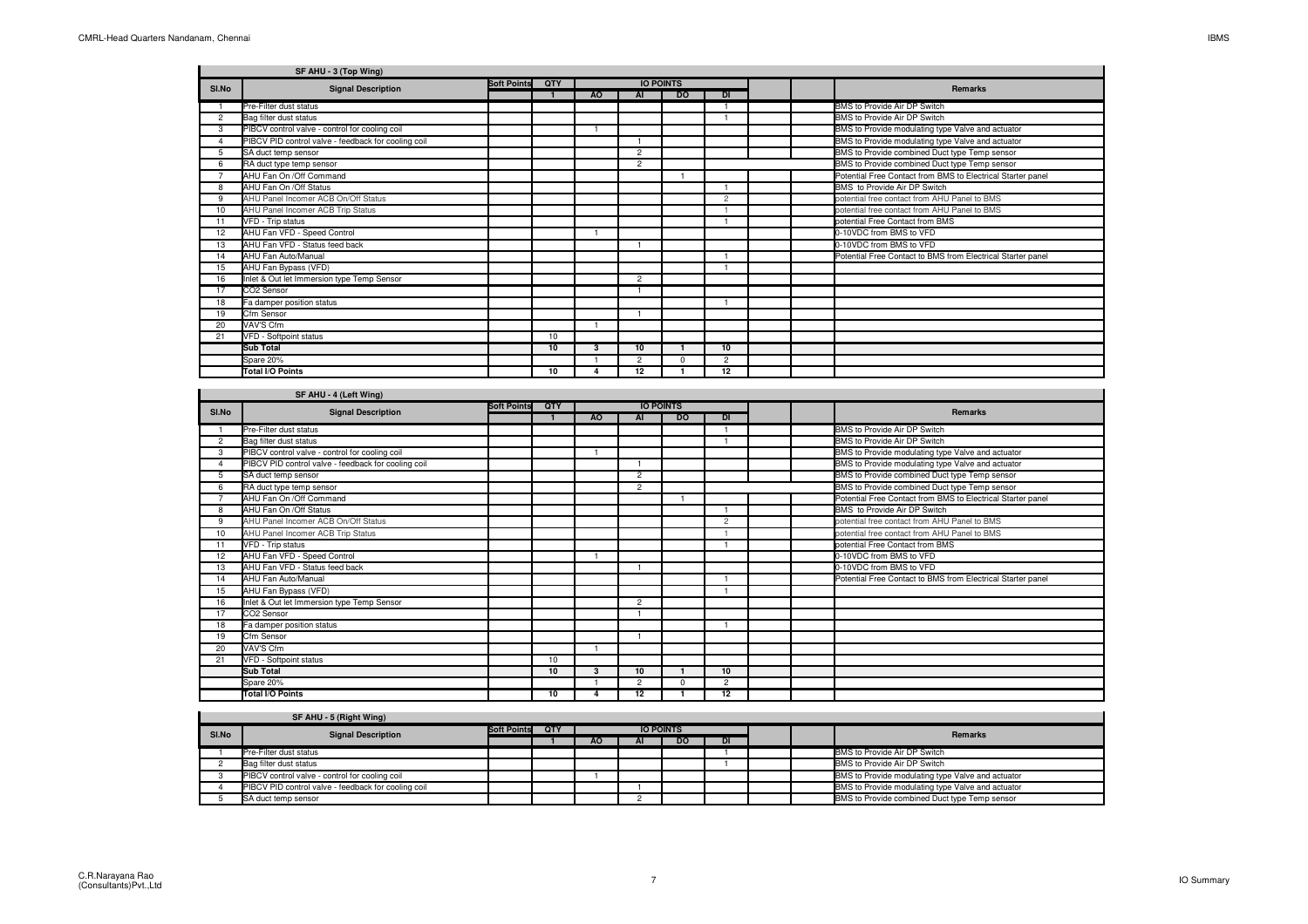$\sim$ 

|          | SF AHU - 3 (Top Wing)                               |                    |            |     |                  |           |                |  |                                                             |
|----------|-----------------------------------------------------|--------------------|------------|-----|------------------|-----------|----------------|--|-------------------------------------------------------------|
| SI.No    | <b>Signal Description</b>                           | <b>Soft Points</b> | <b>OTY</b> |     | <b>IO POINTS</b> |           |                |  | <b>Remarks</b>                                              |
|          |                                                     |                    |            | AO. | AI               | <b>DO</b> | <b>DI</b>      |  |                                                             |
|          | Pre-Filter dust status                              |                    |            |     |                  |           |                |  | BMS to Provide Air DP Switch                                |
| 2        | Bag filter dust status                              |                    |            |     |                  |           |                |  | BMS to Provide Air DP Switch                                |
| 3        | PIBCV control valve - control for cooling coil      |                    |            |     |                  |           |                |  | BMS to Provide modulating type Valve and actuator           |
| $\Delta$ | PIBCV PID control valve - feedback for cooling coil |                    |            |     |                  |           |                |  | BMS to Provide modulating type Valve and actuator           |
| 5        | SA duct temp sensor                                 |                    |            |     | $\overline{2}$   |           |                |  | BMS to Provide combined Duct type Temp sensor               |
| 6        | RA duct type temp sensor                            |                    |            |     | $\overline{2}$   |           |                |  | BMS to Provide combined Duct type Temp sensor               |
|          | AHU Fan On /Off Command                             |                    |            |     |                  |           |                |  | Potential Free Contact from BMS to Electrical Starter panel |
| 8        | AHU Fan On /Off Status                              |                    |            |     |                  |           |                |  | BMS to Provide Air DP Switch                                |
| 9        | AHU Panel Incomer ACB On/Off Status                 |                    |            |     |                  |           | $\overline{2}$ |  | potential free contact from AHU Panel to BMS                |
| 10       | AHU Panel Incomer ACB Trip Status                   |                    |            |     |                  |           |                |  | potential free contact from AHU Panel to BMS                |
| 11       | VFD - Trip status                                   |                    |            |     |                  |           |                |  | potential Free Contact from BMS                             |
| 12       | AHU Fan VFD - Speed Control                         |                    |            |     |                  |           |                |  | 0-10VDC from BMS to VFD                                     |
| 13       | AHU Fan VFD - Status feed back                      |                    |            |     |                  |           |                |  | 0-10VDC from BMS to VFD                                     |
| 14       | AHU Fan Auto/Manual                                 |                    |            |     |                  |           |                |  | Potential Free Contact to BMS from Electrical Starter panel |
| 15       | AHU Fan Bypass (VFD)                                |                    |            |     |                  |           |                |  |                                                             |
| 16       | Inlet & Out let Immersion type Temp Sensor          |                    |            |     | $\overline{2}$   |           |                |  |                                                             |
| 17       | CO <sub>2</sub> Sensor                              |                    |            |     |                  |           |                |  |                                                             |
| 18       | Fa damper position status                           |                    |            |     |                  |           |                |  |                                                             |
| 19       | Cfm Sensor                                          |                    |            |     |                  |           |                |  |                                                             |
| 20       | VAV'S Cfm                                           |                    |            |     |                  |           |                |  |                                                             |
| 21       | VFD - Softpoint status                              |                    | 10         |     |                  |           |                |  |                                                             |
|          | <b>Sub Total</b>                                    |                    | 10         | 3   | 10               |           | 10             |  |                                                             |
|          | Spare 20%                                           |                    |            |     | $\overline{2}$   | U         | $\overline{2}$ |  |                                                             |
|          | <b>Total I/O Points</b>                             |                    | 10         |     | 12               |           | 12             |  |                                                             |

|       | SF AHU - 4 (Left Wing)                              |                    |            |    |                |                  |                |  |                                                             |
|-------|-----------------------------------------------------|--------------------|------------|----|----------------|------------------|----------------|--|-------------------------------------------------------------|
| SI.No | <b>Signal Description</b>                           | <b>Soft Points</b> | <b>QTY</b> |    |                | <b>IO POINTS</b> |                |  | <b>Remarks</b>                                              |
|       |                                                     |                    |            | AO | AI             | <b>DO</b>        | <b>DI</b>      |  |                                                             |
|       | Pre-Filter dust status                              |                    |            |    |                |                  |                |  | BMS to Provide Air DP Switch                                |
| 2     | Bag filter dust status                              |                    |            |    |                |                  |                |  | BMS to Provide Air DP Switch                                |
| 3     | PIBCV control valve - control for cooling coil      |                    |            |    |                |                  |                |  | BMS to Provide modulating type Valve and actuator           |
|       | PIBCV PID control valve - feedback for cooling coil |                    |            |    |                |                  |                |  | BMS to Provide modulating type Valve and actuator           |
| 5     | SA duct temp sensor                                 |                    |            |    | $\overline{2}$ |                  |                |  | BMS to Provide combined Duct type Temp sensor               |
| 6     | RA duct type temp sensor                            |                    |            |    | $\overline{2}$ |                  |                |  | BMS to Provide combined Duct type Temp sensor               |
|       | AHU Fan On /Off Command                             |                    |            |    |                |                  |                |  | Potential Free Contact from BMS to Electrical Starter panel |
| 8     | AHU Fan On / Off Status                             |                    |            |    |                |                  |                |  | BMS to Provide Air DP Switch                                |
| 9     | AHU Panel Incomer ACB On/Off Status                 |                    |            |    |                |                  | $\overline{c}$ |  | potential free contact from AHU Panel to BMS                |
| 10    | AHU Panel Incomer ACB Trip Status                   |                    |            |    |                |                  |                |  | potential free contact from AHU Panel to BMS                |
|       | VFD - Trip status                                   |                    |            |    |                |                  |                |  | potential Free Contact from BMS                             |
| 12    | AHU Fan VFD - Speed Control                         |                    |            |    |                |                  |                |  | 0-10VDC from BMS to VFD                                     |
| 13    | AHU Fan VFD - Status feed back                      |                    |            |    |                |                  |                |  | 0-10VDC from BMS to VFD                                     |
| 14    | AHU Fan Auto/Manual                                 |                    |            |    |                |                  |                |  | Potential Free Contact to BMS from Electrical Starter panel |
| 15    | AHU Fan Bypass (VFD)                                |                    |            |    |                |                  |                |  |                                                             |
| 16    | Inlet & Out let Immersion type Temp Sensor          |                    |            |    | $\overline{2}$ |                  |                |  |                                                             |
| 17    | CO <sub>2</sub> Sensor                              |                    |            |    |                |                  |                |  |                                                             |
| 18    | Fa damper position status                           |                    |            |    |                |                  |                |  |                                                             |
| 19    | Cfm Sensor                                          |                    |            |    |                |                  |                |  |                                                             |
| 20    | VAV'S Cfm                                           |                    |            |    |                |                  |                |  |                                                             |
| 21    | VFD - Softpoint status                              |                    | 10         |    |                |                  |                |  |                                                             |
|       | <b>Sub Total</b>                                    |                    | 10         | 3  | 10             |                  | 10             |  |                                                             |
|       | Spare 20%                                           |                    |            |    | $\overline{2}$ | 0                | $\overline{2}$ |  |                                                             |
|       | <b>Total I/O Points</b>                             |                    | 10         |    | 12             |                  | 12             |  |                                                             |

|       | SF AHU - 5 (Right Wing)                             |                    |     |           |    |                  |           |  |                                                   |
|-------|-----------------------------------------------------|--------------------|-----|-----------|----|------------------|-----------|--|---------------------------------------------------|
| SI.No | <b>Signal Description</b>                           | <b>Soft Points</b> | QTY |           |    | <b>IO POINTS</b> |           |  | <b>Remarks</b>                                    |
|       |                                                     |                    |     | <b>AO</b> | ΑI | <b>DO</b>        | <b>DI</b> |  |                                                   |
|       | Pre-Filter dust status                              |                    |     |           |    |                  |           |  | BMS to Provide Air DP Switch                      |
|       | Bag filter dust status                              |                    |     |           |    |                  |           |  | BMS to Provide Air DP Switch                      |
|       | PIBCV control valve - control for cooling coil      |                    |     |           |    |                  |           |  | BMS to Provide modulating type Valve and actuator |
|       | PIBCV PID control valve - feedback for cooling coil |                    |     |           |    |                  |           |  | BMS to Provide modulating type Valve and actuator |
|       | SA duct temp sensor                                 |                    |     |           |    |                  |           |  | BMS to Provide combined Duct type Temp sensor     |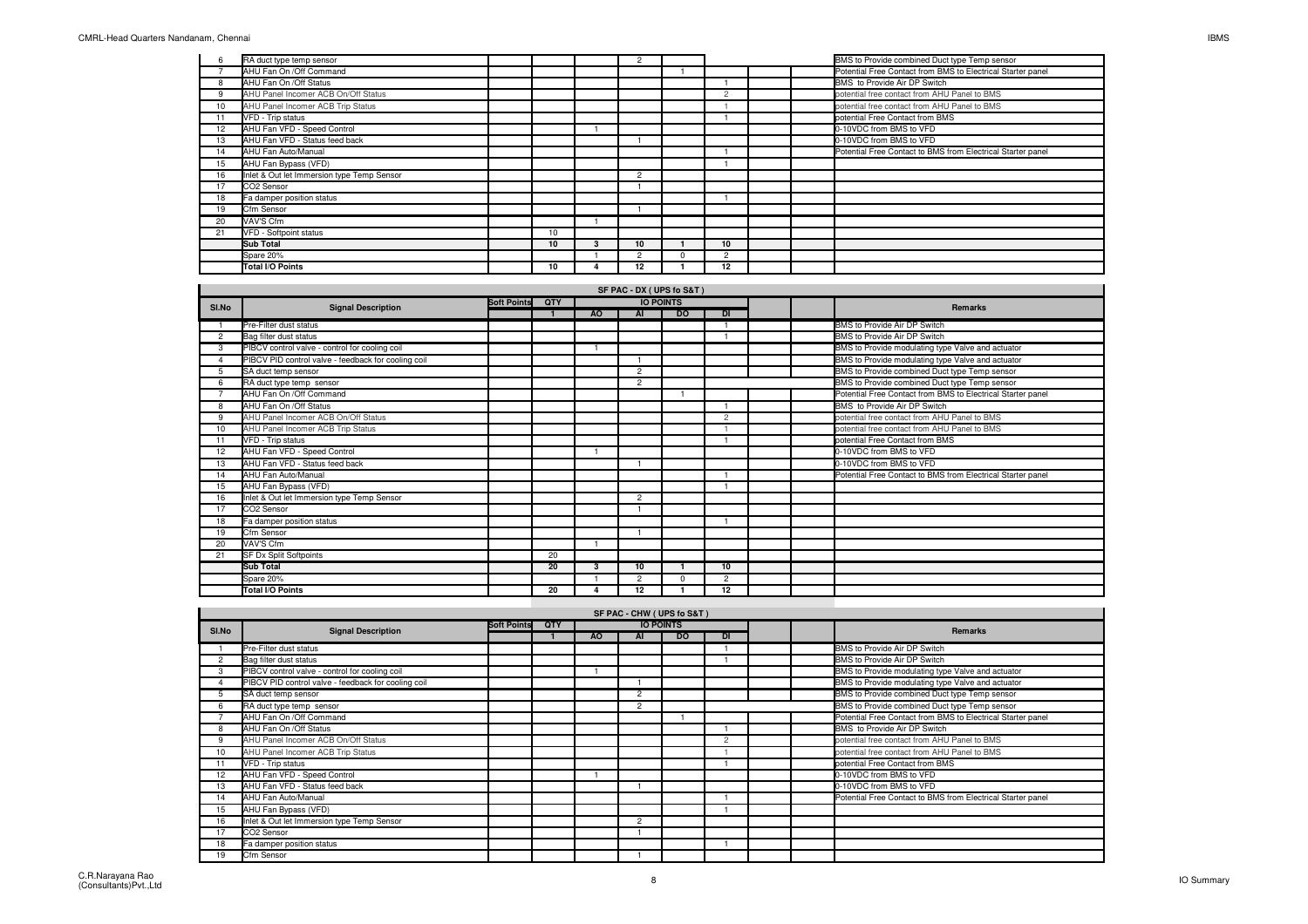|    | RA duct type temp sensor                   |    | 2              |               |  | BMS to Provide combined Duct type Temp sensor               |
|----|--------------------------------------------|----|----------------|---------------|--|-------------------------------------------------------------|
|    | AHU Fan On /Off Command                    |    |                |               |  | Potential Free Contact from BMS to Electrical Starter panel |
|    | AHU Fan On /Off Status                     |    |                |               |  | BMS to Provide Air DP Switch                                |
| 9  | AHU Panel Incomer ACB On/Off Status        |    |                | $\Omega$      |  | potential free contact from AHU Panel to BMS                |
| 10 | AHU Panel Incomer ACB Trip Status          |    |                |               |  | potential free contact from AHU Panel to BMS                |
|    | VFD - Trip status                          |    |                |               |  | potential Free Contact from BMS                             |
| 12 | AHU Fan VFD - Speed Control                |    |                |               |  | 0-10VDC from BMS to VFD                                     |
| 13 | AHU Fan VFD - Status feed back             |    |                |               |  | 0-10VDC from BMS to VFD                                     |
| 14 | AHU Fan Auto/Manual                        |    |                |               |  | Potential Free Contact to BMS from Electrical Starter panel |
| 15 | AHU Fan Bypass (VFD)                       |    |                |               |  |                                                             |
| 16 | Inlet & Out let Immersion type Temp Sensor |    | $\overline{2}$ |               |  |                                                             |
| 17 | CO2 Sensor                                 |    |                |               |  |                                                             |
| 18 | Fa damper position status                  |    |                |               |  |                                                             |
| 19 | Cfm Sensor                                 |    |                |               |  |                                                             |
| 20 | VAV'S Cfm                                  |    |                |               |  |                                                             |
| 21 | VFD - Softpoint status                     | 10 |                |               |  |                                                             |
|    | <b>Sub Total</b>                           | 10 | 10             | 10            |  |                                                             |
|    | Spare 20%                                  |    | $\overline{c}$ | $\mathcal{P}$ |  |                                                             |
|    | Total I/O Points                           | 10 | 12             | 12            |  |                                                             |

| SI.No          | <b>Signal Description</b>                           | <b>Soft Points</b> | QTY |                | <b>IO POINTS</b> |           |                |  | Remarks                                                     |
|----------------|-----------------------------------------------------|--------------------|-----|----------------|------------------|-----------|----------------|--|-------------------------------------------------------------|
|                |                                                     |                    |     | A <sub>O</sub> | AI               | <b>DO</b> | DI             |  |                                                             |
|                | Pre-Filter dust status                              |                    |     |                |                  |           |                |  | BMS to Provide Air DP Switch                                |
| $\overline{c}$ | Bag filter dust status                              |                    |     |                |                  |           |                |  | BMS to Provide Air DP Switch                                |
| 3              | PIBCV control valve - control for cooling coil      |                    |     |                |                  |           |                |  | BMS to Provide modulating type Valve and actuator           |
|                | PIBCV PID control valve - feedback for cooling coil |                    |     |                |                  |           |                |  | BMS to Provide modulating type Valve and actuator           |
| 5              | SA duct temp sensor                                 |                    |     |                | $\overline{2}$   |           |                |  | BMS to Provide combined Duct type Temp sensor               |
| 6              | RA duct type temp sensor                            |                    |     |                | $\overline{2}$   |           |                |  | BMS to Provide combined Duct type Temp sensor               |
|                | AHU Fan On / Off Command                            |                    |     |                |                  |           |                |  | Potential Free Contact from BMS to Electrical Starter panel |
| 8              | AHU Fan On / Off Status                             |                    |     |                |                  |           |                |  | BMS to Provide Air DP Switch                                |
| 9              | AHU Panel Incomer ACB On/Off Status                 |                    |     |                |                  |           | $\overline{c}$ |  | potential free contact from AHU Panel to BMS                |
| 10             | AHU Panel Incomer ACB Trip Status                   |                    |     |                |                  |           |                |  | potential free contact from AHU Panel to BMS                |
| 11             | VFD - Trip status                                   |                    |     |                |                  |           |                |  | potential Free Contact from BMS                             |
| 12             | AHU Fan VFD - Speed Control                         |                    |     |                |                  |           |                |  | 0-10VDC from BMS to VFD                                     |
| 13             | AHU Fan VFD - Status feed back                      |                    |     |                |                  |           |                |  | 0-10VDC from BMS to VFD                                     |
| 14             | AHU Fan Auto/Manual                                 |                    |     |                |                  |           |                |  | Potential Free Contact to BMS from Electrical Starter panel |
| 15             | AHU Fan Bypass (VFD)                                |                    |     |                |                  |           |                |  |                                                             |
| 16             | Inlet & Out let Immersion type Temp Sensor          |                    |     |                | $\overline{2}$   |           |                |  |                                                             |
| 17             | CO2 Sensor                                          |                    |     |                |                  |           |                |  |                                                             |
| 18             | Fa damper position status                           |                    |     |                |                  |           |                |  |                                                             |
| 19             | Cfm Sensor                                          |                    |     |                |                  |           |                |  |                                                             |
| 20             | VAV'S Cfm                                           |                    |     |                |                  |           |                |  |                                                             |
| 21             | SF Dx Split Softpoints                              |                    | 20  |                |                  |           |                |  |                                                             |
|                | <b>Sub Total</b>                                    |                    | 20  | 3              | 10               |           | 10             |  |                                                             |
|                | Spare 20%                                           |                    |     |                | $\overline{2}$   |           | $\overline{2}$ |  |                                                             |
|                | <b>Total I/O Points</b>                             |                    | 20  |                | 12               |           | 12             |  |                                                             |

|       | SF PAC - CHW (UPS fo S&T)                           |                    |            |     |                |                  |           |  |  |                                                             |  |  |  |  |
|-------|-----------------------------------------------------|--------------------|------------|-----|----------------|------------------|-----------|--|--|-------------------------------------------------------------|--|--|--|--|
| SI.No | <b>Signal Description</b>                           | <b>Soft Points</b> | <b>OTY</b> |     |                | <b>IO POINTS</b> |           |  |  | <b>Remarks</b>                                              |  |  |  |  |
|       |                                                     |                    |            | AO. | AI             | <b>DO</b>        | <b>DI</b> |  |  |                                                             |  |  |  |  |
|       | Pre-Filter dust status                              |                    |            |     |                |                  |           |  |  | BMS to Provide Air DP Switch                                |  |  |  |  |
| 2     | Bag filter dust status                              |                    |            |     |                |                  |           |  |  | BMS to Provide Air DP Switch                                |  |  |  |  |
|       | PIBCV control valve - control for cooling coil      |                    |            |     |                |                  |           |  |  | BMS to Provide modulating type Valve and actuator           |  |  |  |  |
|       | PIBCV PID control valve - feedback for cooling coil |                    |            |     |                |                  |           |  |  | BMS to Provide modulating type Valve and actuator           |  |  |  |  |
| 5     | SA duct temp sensor                                 |                    |            |     | $\overline{2}$ |                  |           |  |  | BMS to Provide combined Duct type Temp sensor               |  |  |  |  |
|       | RA duct type temp sensor                            |                    |            |     | $\overline{2}$ |                  |           |  |  | BMS to Provide combined Duct type Temp sensor               |  |  |  |  |
|       | AHU Fan On /Off Command                             |                    |            |     |                |                  |           |  |  | Potential Free Contact from BMS to Electrical Starter panel |  |  |  |  |
|       | AHU Fan On /Off Status                              |                    |            |     |                |                  |           |  |  | BMS to Provide Air DP Switch                                |  |  |  |  |
| 9     | AHU Panel Incomer ACB On/Off Status                 |                    |            |     |                |                  | $\Omega$  |  |  | potential free contact from AHU Panel to BMS                |  |  |  |  |
| 10    | AHU Panel Incomer ACB Trip Status                   |                    |            |     |                |                  |           |  |  | potential free contact from AHU Panel to BMS                |  |  |  |  |
| 11    | VFD - Trip status                                   |                    |            |     |                |                  |           |  |  | potential Free Contact from BMS                             |  |  |  |  |
| 12    | AHU Fan VFD - Speed Control                         |                    |            |     |                |                  |           |  |  | 0-10VDC from BMS to VFD                                     |  |  |  |  |
| 13    | AHU Fan VFD - Status feed back                      |                    |            |     |                |                  |           |  |  | 0-10VDC from BMS to VFD                                     |  |  |  |  |
| 14    | AHU Fan Auto/Manual                                 |                    |            |     |                |                  |           |  |  | Potential Free Contact to BMS from Electrical Starter panel |  |  |  |  |
| 15    | AHU Fan Bypass (VFD)                                |                    |            |     |                |                  |           |  |  |                                                             |  |  |  |  |
| 16    | Inlet & Out let Immersion type Temp Sensor          |                    |            |     | $\overline{2}$ |                  |           |  |  |                                                             |  |  |  |  |
| 17    | CO2 Sensor                                          |                    |            |     |                |                  |           |  |  |                                                             |  |  |  |  |
| 18    | Fa damper position status                           |                    |            |     |                |                  |           |  |  |                                                             |  |  |  |  |
| 19    | Cfm Sensor                                          |                    |            |     |                |                  |           |  |  |                                                             |  |  |  |  |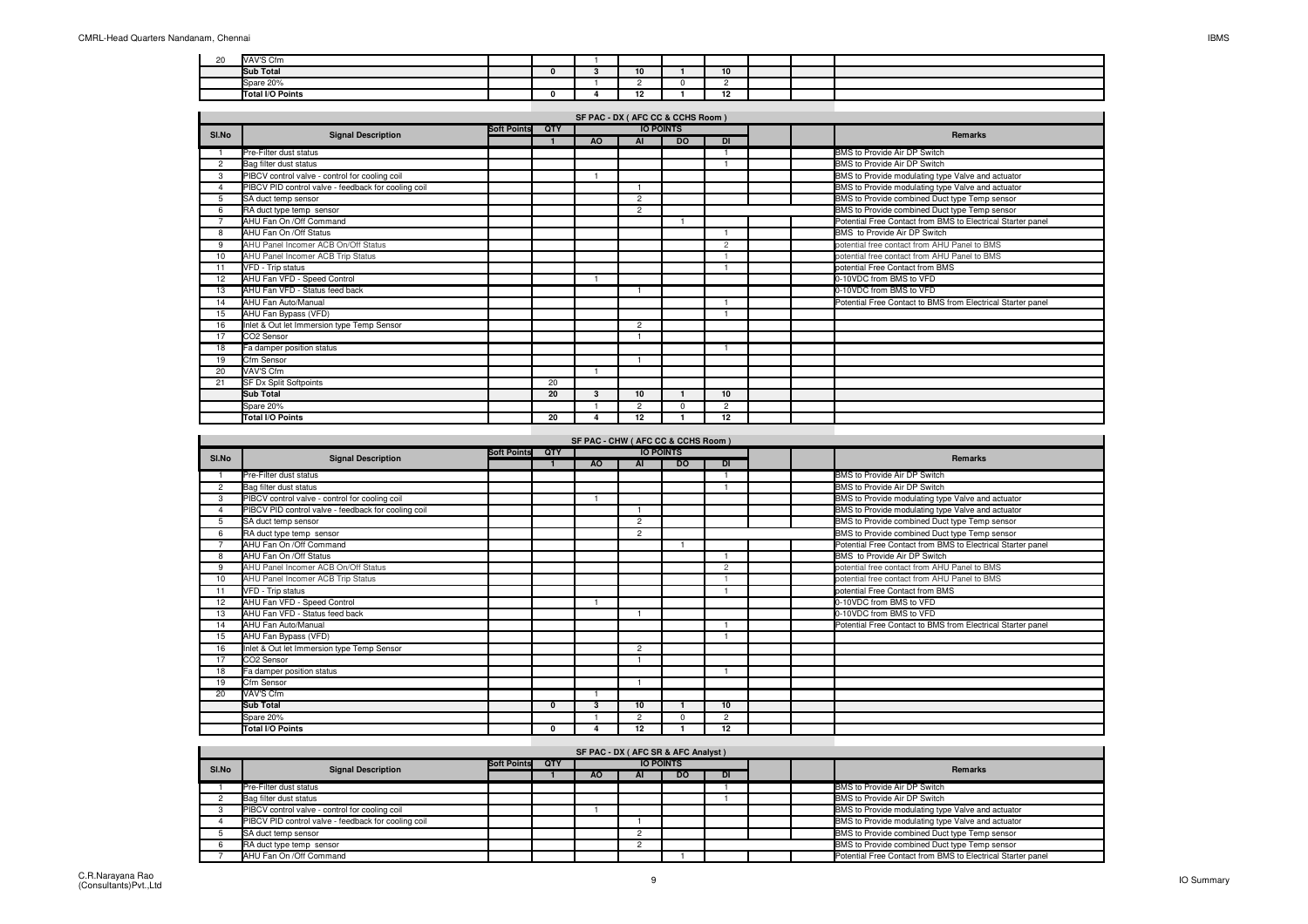| $\sim$<br>2U | VAV'S Cfm        |  |                     |          |  |  |
|--------------|------------------|--|---------------------|----------|--|--|
|              | <b>Sub Total</b> |  | 10                  | 10       |  |  |
|              | Spare 20%        |  |                     |          |  |  |
|              | Total I/O Points |  | $\overline{a}$<br>ĸ | -<br>. . |  |  |

|       |                                                     |                    |     |           |                | SF PAC - DX ( AFC CC & CCHS Room ) |                |  |                                                             |
|-------|-----------------------------------------------------|--------------------|-----|-----------|----------------|------------------------------------|----------------|--|-------------------------------------------------------------|
| SI.No | <b>Signal Description</b>                           | <b>Soft Points</b> | QTY |           |                | <b>IO POINTS</b>                   |                |  | <b>Remarks</b>                                              |
|       |                                                     |                    |     | <b>AO</b> | AI             | <b>DO</b>                          | <b>DI</b>      |  |                                                             |
|       | Pre-Filter dust status                              |                    |     |           |                |                                    |                |  | BMS to Provide Air DP Switch                                |
| 2     | Bag filter dust status                              |                    |     |           |                |                                    |                |  | BMS to Provide Air DP Switch                                |
| 3     | PIBCV control valve - control for cooling coil      |                    |     |           |                |                                    |                |  | BMS to Provide modulating type Valve and actuator           |
|       | PIBCV PID control valve - feedback for cooling coil |                    |     |           |                |                                    |                |  | BMS to Provide modulating type Valve and actuator           |
| 5     | SA duct temp sensor                                 |                    |     |           | $\overline{2}$ |                                    |                |  | BMS to Provide combined Duct type Temp sensor               |
| 6     | RA duct type temp sensor                            |                    |     |           | $\overline{2}$ |                                    |                |  | BMS to Provide combined Duct type Temp sensor               |
|       | AHU Fan On /Off Command                             |                    |     |           |                |                                    |                |  | Potential Free Contact from BMS to Electrical Starter panel |
| 8     | AHU Fan On /Off Status                              |                    |     |           |                |                                    |                |  | BMS to Provide Air DP Switch                                |
| 9     | AHU Panel Incomer ACB On/Off Status                 |                    |     |           |                |                                    | $\overline{c}$ |  | potential free contact from AHU Panel to BMS                |
| 10    | AHU Panel Incomer ACB Trip Status                   |                    |     |           |                |                                    |                |  | potential free contact from AHU Panel to BMS                |
|       | VFD - Trip status                                   |                    |     |           |                |                                    |                |  | potential Free Contact from BMS                             |
| 12    | AHU Fan VFD - Speed Control                         |                    |     |           |                |                                    |                |  | 0-10VDC from BMS to VFD                                     |
| 13    | AHU Fan VFD - Status feed back                      |                    |     |           |                |                                    |                |  | 0-10VDC from BMS to VFD                                     |
| 14    | AHU Fan Auto/Manual                                 |                    |     |           |                |                                    |                |  | Potential Free Contact to BMS from Electrical Starter panel |
| 15    | AHU Fan Bypass (VFD)                                |                    |     |           |                |                                    |                |  |                                                             |
| 16    | Inlet & Out let Immersion type Temp Sensor          |                    |     |           | $\overline{2}$ |                                    |                |  |                                                             |
| 17    | CO2 Sensor                                          |                    |     |           |                |                                    |                |  |                                                             |
| 18    | Fa damper position status                           |                    |     |           |                |                                    |                |  |                                                             |
| 19    | Cfm Sensor                                          |                    |     |           |                |                                    |                |  |                                                             |
| 20    | VAV'S Cfm                                           |                    |     |           |                |                                    |                |  |                                                             |
| 21    | SF Dx Split Softpoints                              |                    | 20  |           |                |                                    |                |  |                                                             |
|       | <b>Sub Total</b>                                    |                    | 20  | 3         | 10             |                                    | 10             |  |                                                             |
|       | Spare 20%                                           |                    |     |           | $\overline{2}$ | $\Omega$                           | $\overline{2}$ |  |                                                             |
|       | <b>Total I/O Points</b>                             |                    | 20  |           | 12             |                                    | 12             |  |                                                             |

|                |                                                     |                    |              |     | <b>IO POINTS</b> | SF PAC - CHW ( AFC CC & CCHS Room ) |                |  |                                                             |
|----------------|-----------------------------------------------------|--------------------|--------------|-----|------------------|-------------------------------------|----------------|--|-------------------------------------------------------------|
| SI.No          | <b>Signal Description</b>                           | <b>Soft Points</b> | QTY          | AO. | <b>AI</b>        | <b>DO</b>                           | <b>DI</b>      |  | <b>Remarks</b>                                              |
|                | Pre-Filter dust status                              |                    |              |     |                  |                                     |                |  | BMS to Provide Air DP Switch                                |
| $\overline{c}$ | Bag filter dust status                              |                    |              |     |                  |                                     |                |  | BMS to Provide Air DP Switch                                |
| 3              | PIBCV control valve - control for cooling coil      |                    |              |     |                  |                                     |                |  | BMS to Provide modulating type Valve and actuator           |
|                | PIBCV PID control valve - feedback for cooling coil |                    |              |     |                  |                                     |                |  | BMS to Provide modulating type Valve and actuator           |
|                | SA duct temp sensor                                 |                    |              |     | $\overline{2}$   |                                     |                |  | BMS to Provide combined Duct type Temp sensor               |
| 6              | RA duct type temp sensor                            |                    |              |     | $\overline{2}$   |                                     |                |  | BMS to Provide combined Duct type Temp sensor               |
|                | AHU Fan On / Off Command                            |                    |              |     |                  |                                     |                |  | Potential Free Contact from BMS to Electrical Starter panel |
| 8              | AHU Fan On /Off Status                              |                    |              |     |                  |                                     |                |  | BMS to Provide Air DP Switch                                |
| 9              | AHU Panel Incomer ACB On/Off Status                 |                    |              |     |                  |                                     | $\overline{2}$ |  | potential free contact from AHU Panel to BMS                |
| 10             | AHU Panel Incomer ACB Trip Status                   |                    |              |     |                  |                                     |                |  | potential free contact from AHU Panel to BMS                |
| 11             | VFD - Trip status                                   |                    |              |     |                  |                                     |                |  | potential Free Contact from BMS                             |
| 12             | AHU Fan VFD - Speed Control                         |                    |              |     |                  |                                     |                |  | 0-10VDC from BMS to VFD                                     |
| 13             | AHU Fan VFD - Status feed back                      |                    |              |     |                  |                                     |                |  | 0-10VDC from BMS to VFD                                     |
| 14             | AHU Fan Auto/Manual                                 |                    |              |     |                  |                                     |                |  | Potential Free Contact to BMS from Electrical Starter panel |
| 15             | AHU Fan Bypass (VFD)                                |                    |              |     |                  |                                     |                |  |                                                             |
| 16             | Inlet & Out let Immersion type Temp Sensor          |                    |              |     | $\overline{2}$   |                                     |                |  |                                                             |
| 17             | CO2 Sensor                                          |                    |              |     |                  |                                     |                |  |                                                             |
| 18             | Fa damper position status                           |                    |              |     |                  |                                     |                |  |                                                             |
| 19             | Cfm Sensor                                          |                    |              |     |                  |                                     |                |  |                                                             |
| 20             | VAV'S Cfm                                           |                    |              |     |                  |                                     |                |  |                                                             |
|                | Sub Total                                           |                    | $\mathbf{0}$ | з   | 10               |                                     | 10             |  |                                                             |
|                | Spare 20%                                           |                    |              |     | $\overline{2}$   | n                                   | 2              |  |                                                             |
|                | <b>Total I/O Points</b>                             |                    | $\Omega$     |     | 12               |                                     | 12             |  |                                                             |

| SF PAC - DX ( AFC SR & AFC Analyst ) |                                                     |                    |     |           |                  |     |    |  |  |                                                             |  |  |
|--------------------------------------|-----------------------------------------------------|--------------------|-----|-----------|------------------|-----|----|--|--|-------------------------------------------------------------|--|--|
| SI.No                                | <b>Signal Description</b>                           | <b>Soft Points</b> | QTY |           | <b>IO POINTS</b> |     |    |  |  | <b>Remarks</b>                                              |  |  |
|                                      |                                                     |                    |     | <b>AO</b> | AI               | DO. | DI |  |  |                                                             |  |  |
|                                      | Pre-Filter dust status                              |                    |     |           |                  |     |    |  |  | BMS to Provide Air DP Switch                                |  |  |
|                                      | Bag filter dust status                              |                    |     |           |                  |     |    |  |  | BMS to Provide Air DP Switch                                |  |  |
|                                      | PIBCV control valve - control for cooling coil      |                    |     |           |                  |     |    |  |  | BMS to Provide modulating type Valve and actuator           |  |  |
|                                      | PIBCV PID control valve - feedback for cooling coil |                    |     |           |                  |     |    |  |  | BMS to Provide modulating type Valve and actuator           |  |  |
|                                      | SA duct temp sensor                                 |                    |     |           |                  |     |    |  |  | BMS to Provide combined Duct type Temp sensor               |  |  |
|                                      | RA duct type temp sensor                            |                    |     |           |                  |     |    |  |  | BMS to Provide combined Duct type Temp sensor               |  |  |
|                                      | AHU Fan On /Off Command                             |                    |     |           |                  |     |    |  |  | Potential Free Contact from BMS to Electrical Starter panel |  |  |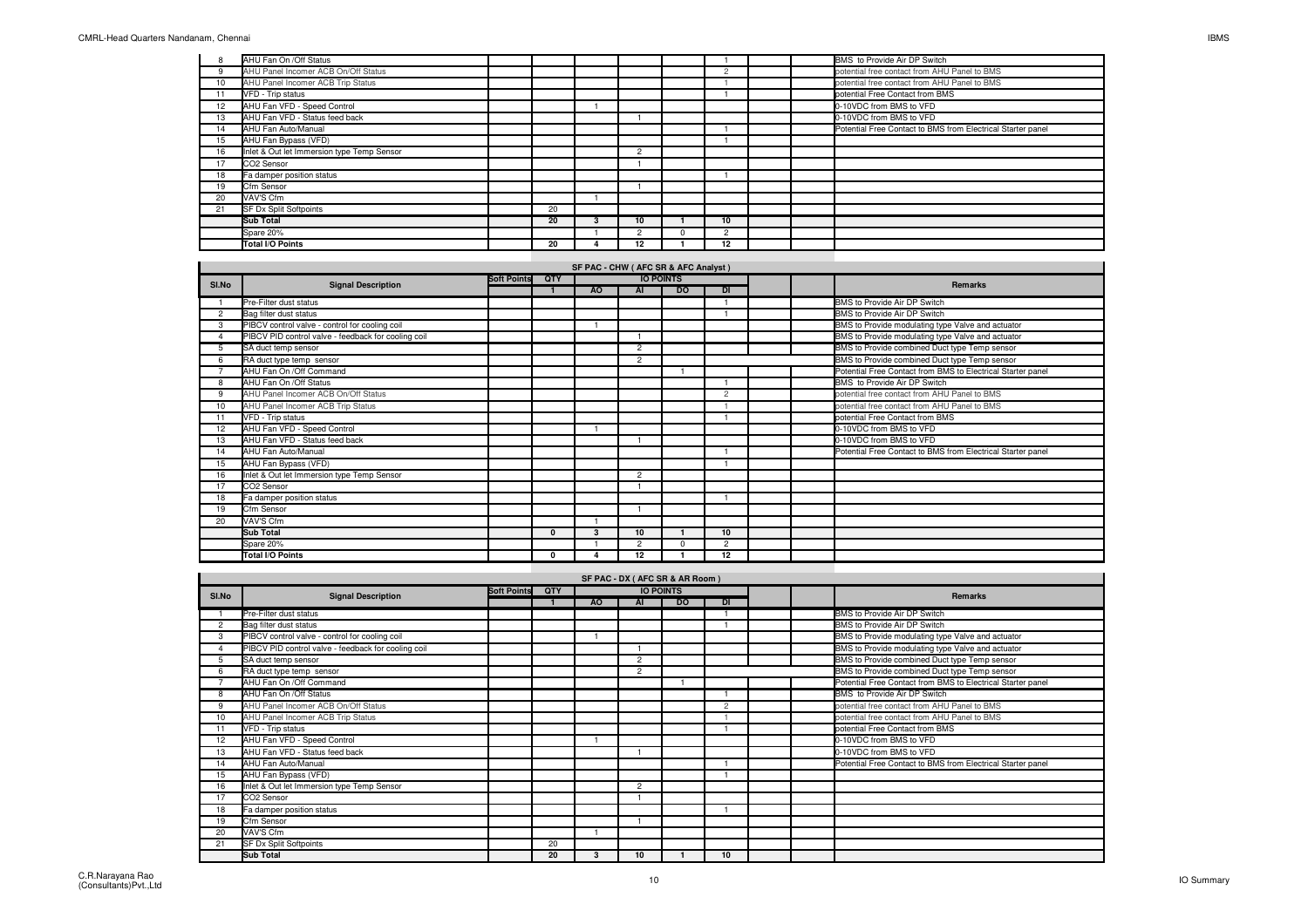$\blacksquare$ 

|                 | AHU Fan On /Off Status                     |    |                |               |  | BMS to Provide Air DP Switch                                |
|-----------------|--------------------------------------------|----|----------------|---------------|--|-------------------------------------------------------------|
|                 | AHU Panel Incomer ACB On/Off Status        |    |                |               |  | potential free contact from AHU Panel to BMS                |
| 10 <sup>1</sup> | AHU Panel Incomer ACB Trip Status          |    |                |               |  | potential free contact from AHU Panel to BMS                |
| 11              | VFD - Trip status                          |    |                |               |  | potential Free Contact from BMS                             |
| 12              | AHU Fan VFD - Speed Control                |    |                |               |  | 0-10VDC from BMS to VFD                                     |
| 13              | AHU Fan VFD - Status feed back             |    |                |               |  | 0-10VDC from BMS to VFD                                     |
| 14              | AHU Fan Auto/Manual                        |    |                |               |  | Potential Free Contact to BMS from Electrical Starter panel |
| 15              | AHU Fan Bypass (VFD)                       |    |                |               |  |                                                             |
| 16              | Inlet & Out let Immersion type Temp Sensor |    | $\overline{2}$ |               |  |                                                             |
| 17              | CO2 Sensor                                 |    |                |               |  |                                                             |
| 18              | Fa damper position status                  |    |                |               |  |                                                             |
| 19              | Cfm Sensor                                 |    |                |               |  |                                                             |
| 20              | VAV'S Cfm                                  |    |                |               |  |                                                             |
| 21              | <b>SF Dx Split Softpoints</b>              | 20 |                |               |  |                                                             |
|                 | <b>Sub Total</b>                           | 20 | 10             | 10            |  |                                                             |
|                 | Spare 20%                                  |    | $\overline{2}$ | $\mathcal{P}$ |  |                                                             |
|                 | Total I/O Points                           | 20 | $12 \,$        | 12            |  |                                                             |

## **SF PAC - CHW ( AFC SR & AFC Analyst )**

| SI.No |                                                     | <b>Soft Points</b> | QTY          |           |                | <b>IO POINTS</b> |                |  |                                                             |
|-------|-----------------------------------------------------|--------------------|--------------|-----------|----------------|------------------|----------------|--|-------------------------------------------------------------|
|       | <b>Signal Description</b>                           |                    |              | <b>AO</b> | AI             | <b>DO</b>        | <b>DI</b>      |  | <b>Remarks</b>                                              |
|       | Pre-Filter dust status                              |                    |              |           |                |                  |                |  | BMS to Provide Air DP Switch                                |
| 2     | Bag filter dust status                              |                    |              |           |                |                  |                |  | BMS to Provide Air DP Switch                                |
| 3     | PIBCV control valve - control for cooling coil      |                    |              |           |                |                  |                |  | BMS to Provide modulating type Valve and actuator           |
|       | PIBCV PID control valve - feedback for cooling coil |                    |              |           |                |                  |                |  | BMS to Provide modulating type Valve and actuator           |
|       | SA duct temp sensor                                 |                    |              |           | $\overline{2}$ |                  |                |  | BMS to Provide combined Duct type Temp sensor               |
| 6     | RA duct type temp sensor                            |                    |              |           | $\overline{2}$ |                  |                |  | BMS to Provide combined Duct type Temp sensor               |
|       | AHU Fan On /Off Command                             |                    |              |           |                |                  |                |  | Potential Free Contact from BMS to Electrical Starter panel |
| 8     | AHU Fan On /Off Status                              |                    |              |           |                |                  |                |  | BMS to Provide Air DP Switch                                |
| 9     | AHU Panel Incomer ACB On/Off Status                 |                    |              |           |                |                  | 2              |  | potential free contact from AHU Panel to BMS                |
| 10    | AHU Panel Incomer ACB Trip Status                   |                    |              |           |                |                  |                |  | potential free contact from AHU Panel to BMS                |
|       | VFD - Trip status                                   |                    |              |           |                |                  |                |  | potential Free Contact from BMS                             |
| 12    | AHU Fan VFD - Speed Control                         |                    |              |           |                |                  |                |  | 0-10VDC from BMS to VFD                                     |
| 13    | AHU Fan VFD - Status feed back                      |                    |              |           |                |                  |                |  | 0-10VDC from BMS to VFD                                     |
| 14    | AHU Fan Auto/Manual                                 |                    |              |           |                |                  |                |  | Potential Free Contact to BMS from Electrical Starter panel |
| 15    | AHU Fan Bypass (VFD)                                |                    |              |           |                |                  |                |  |                                                             |
| 16    | Inlet & Out let Immersion type Temp Sensor          |                    |              |           | $\overline{2}$ |                  |                |  |                                                             |
| 17    | CO2 Sensor                                          |                    |              |           |                |                  |                |  |                                                             |
| 18    | Fa damper position status                           |                    |              |           |                |                  |                |  |                                                             |
| 19    | Cfm Sensor                                          |                    |              |           |                |                  |                |  |                                                             |
| 20    | VAV'S Cfm                                           |                    |              |           |                |                  |                |  |                                                             |
|       | <b>Sub Total</b>                                    |                    | $\mathbf{0}$ | 3         | 10             |                  | 10             |  |                                                             |
|       | Spare 20%                                           |                    |              |           | $\overline{2}$ | $\Omega$         | $\overline{2}$ |  |                                                             |
|       | <b>Total I/O Points</b>                             |                    | 0            |           | 12             |                  | 12             |  |                                                             |

|       | SF PAC - DX ( AFC SR & AR Room )                    |                    |     |     |                |                  |                |  |  |                                                             |  |  |  |  |
|-------|-----------------------------------------------------|--------------------|-----|-----|----------------|------------------|----------------|--|--|-------------------------------------------------------------|--|--|--|--|
| SI.No | <b>Signal Description</b>                           | <b>Soft Points</b> | QTY |     |                | <b>IO POINTS</b> |                |  |  | <b>Remarks</b>                                              |  |  |  |  |
|       |                                                     |                    |     | AO. | AI             | <b>DO</b>        | <b>DI</b>      |  |  |                                                             |  |  |  |  |
|       | Pre-Filter dust status                              |                    |     |     |                |                  |                |  |  | BMS to Provide Air DP Switch                                |  |  |  |  |
| 2     | Bag filter dust status                              |                    |     |     |                |                  |                |  |  | BMS to Provide Air DP Switch                                |  |  |  |  |
| 3     | PIBCV control valve - control for cooling coil      |                    |     |     |                |                  |                |  |  | BMS to Provide modulating type Valve and actuator           |  |  |  |  |
|       | PIBCV PID control valve - feedback for cooling coil |                    |     |     |                |                  |                |  |  | BMS to Provide modulating type Valve and actuator           |  |  |  |  |
| 5     | SA duct temp sensor                                 |                    |     |     | $\overline{2}$ |                  |                |  |  | BMS to Provide combined Duct type Temp sensor               |  |  |  |  |
| 6     | RA duct type temp sensor                            |                    |     |     | $\overline{2}$ |                  |                |  |  | BMS to Provide combined Duct type Temp sensor               |  |  |  |  |
|       | AHU Fan On /Off Command                             |                    |     |     |                |                  |                |  |  | Potential Free Contact from BMS to Electrical Starter panel |  |  |  |  |
|       | AHU Fan On /Off Status                              |                    |     |     |                |                  |                |  |  | BMS to Provide Air DP Switch                                |  |  |  |  |
| 9     | AHU Panel Incomer ACB On/Off Status                 |                    |     |     |                |                  | $\overline{c}$ |  |  | potential free contact from AHU Panel to BMS                |  |  |  |  |
| 10    | AHU Panel Incomer ACB Trip Status                   |                    |     |     |                |                  |                |  |  | potential free contact from AHU Panel to BMS                |  |  |  |  |
| 11    | VFD - Trip status                                   |                    |     |     |                |                  |                |  |  | potential Free Contact from BMS                             |  |  |  |  |
| 12    | AHU Fan VFD - Speed Control                         |                    |     |     |                |                  |                |  |  | 0-10VDC from BMS to VFD                                     |  |  |  |  |
| 13    | AHU Fan VFD - Status feed back                      |                    |     |     |                |                  |                |  |  | 0-10VDC from BMS to VFD                                     |  |  |  |  |
| 14    | AHU Fan Auto/Manual                                 |                    |     |     |                |                  |                |  |  | Potential Free Contact to BMS from Electrical Starter panel |  |  |  |  |
| 15    | AHU Fan Bypass (VFD)                                |                    |     |     |                |                  |                |  |  |                                                             |  |  |  |  |
| 16    | Inlet & Out let Immersion type Temp Sensor          |                    |     |     | $\overline{2}$ |                  |                |  |  |                                                             |  |  |  |  |
| 17    | CO <sub>2</sub> Sensor                              |                    |     |     |                |                  |                |  |  |                                                             |  |  |  |  |
| 18    | Fa damper position status                           |                    |     |     |                |                  |                |  |  |                                                             |  |  |  |  |
| 19    | Cfm Sensor                                          |                    |     |     |                |                  |                |  |  |                                                             |  |  |  |  |
| 20    | VAV'S Cfm                                           |                    |     |     |                |                  |                |  |  |                                                             |  |  |  |  |
| 21    | <b>SF Dx Split Softpoints</b>                       |                    | 20  |     |                |                  |                |  |  |                                                             |  |  |  |  |
|       | <b>Sub Total</b>                                    |                    | 20  | 3   | 10             |                  | 10             |  |  |                                                             |  |  |  |  |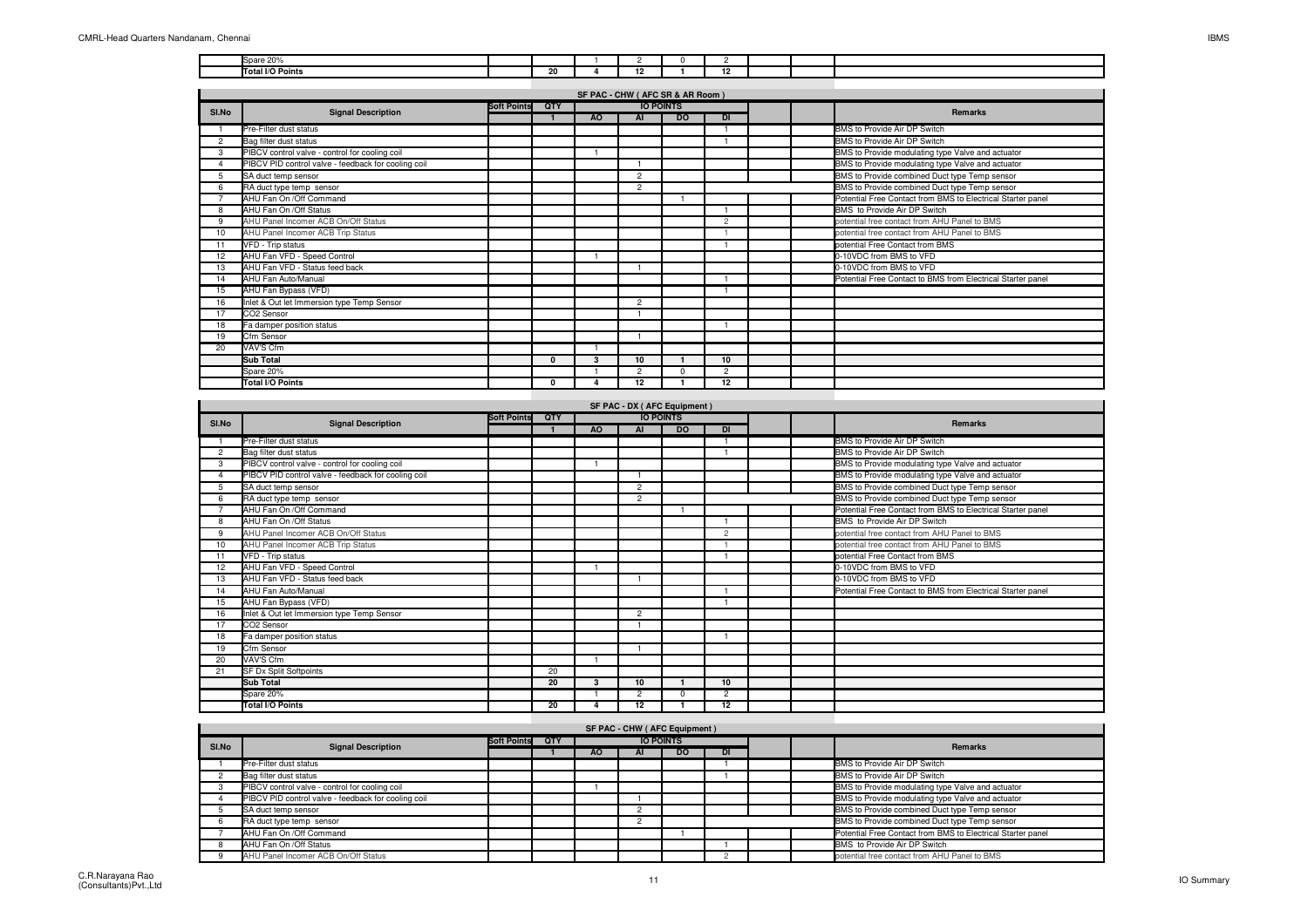| $-00$<br>le-<br>--- |  |                                  |                        |  |  |
|---------------------|--|----------------------------------|------------------------|--|--|
| Total I/O Points    |  | $\overline{\phantom{a}}$<br>- 14 | $\overline{a}$<br>- 14 |  |  |

|                       |                                                     |                    |          | SF PAC - CHW ( AFC SR & AR Room ) |                |                  |                |  |                                                             |
|-----------------------|-----------------------------------------------------|--------------------|----------|-----------------------------------|----------------|------------------|----------------|--|-------------------------------------------------------------|
| SI.No                 | <b>Signal Description</b>                           | <b>Soft Points</b> | QTY      |                                   |                | <b>IO POINTS</b> |                |  | <b>Remarks</b>                                              |
|                       |                                                     |                    |          | A <sub>O</sub>                    | <b>AI</b>      | <b>DO</b>        | DI             |  |                                                             |
|                       | Pre-Filter dust status                              |                    |          |                                   |                |                  |                |  | BMS to Provide Air DP Switch                                |
| $\overline{2}$        | Bag filter dust status                              |                    |          |                                   |                |                  |                |  | BMS to Provide Air DP Switch                                |
| 3                     | PIBCV control valve - control for cooling coil      |                    |          |                                   |                |                  |                |  | BMS to Provide modulating type Valve and actuator           |
| $\boldsymbol{\Delta}$ | PIBCV PID control valve - feedback for cooling coil |                    |          |                                   |                |                  |                |  | BMS to Provide modulating type Valve and actuator           |
| 5                     | SA duct temp sensor                                 |                    |          |                                   | $\overline{2}$ |                  |                |  | BMS to Provide combined Duct type Temp sensor               |
| 6                     | RA duct type temp sensor                            |                    |          |                                   | $\overline{2}$ |                  |                |  | BMS to Provide combined Duct type Temp sensor               |
|                       | AHU Fan On / Off Command                            |                    |          |                                   |                |                  |                |  | Potential Free Contact from BMS to Electrical Starter panel |
| 8                     | AHU Fan On / Off Status                             |                    |          |                                   |                |                  |                |  | BMS to Provide Air DP Switch                                |
| 9                     | AHU Panel Incomer ACB On/Off Status                 |                    |          |                                   |                |                  | $\overline{c}$ |  | potential free contact from AHU Panel to BMS                |
| 10                    | AHU Panel Incomer ACB Trip Status                   |                    |          |                                   |                |                  |                |  | potential free contact from AHU Panel to BMS                |
| 11                    | VFD - Trip status                                   |                    |          |                                   |                |                  |                |  | potential Free Contact from BMS                             |
| 12                    | AHU Fan VFD - Speed Control                         |                    |          |                                   |                |                  |                |  | 0-10VDC from BMS to VFD                                     |
| 13                    | AHU Fan VFD - Status feed back                      |                    |          |                                   |                |                  |                |  | 0-10VDC from BMS to VFD                                     |
| 14                    | AHU Fan Auto/Manual                                 |                    |          |                                   |                |                  |                |  | Potential Free Contact to BMS from Electrical Starter panel |
| 15                    | AHU Fan Bypass (VFD)                                |                    |          |                                   |                |                  |                |  |                                                             |
| 16                    | Inlet & Out let Immersion type Temp Sensor          |                    |          |                                   | $\overline{2}$ |                  |                |  |                                                             |
| 17                    | CO2 Sensor                                          |                    |          |                                   |                |                  |                |  |                                                             |
| 18                    | Fa damper position status                           |                    |          |                                   |                |                  |                |  |                                                             |
| 19                    | Cfm Sensor                                          |                    |          |                                   |                |                  |                |  |                                                             |
| 20                    | VAV'S Cfm                                           |                    |          |                                   |                |                  |                |  |                                                             |
|                       | <b>Sub Total</b>                                    |                    | $\Omega$ | 3                                 | 10             |                  | 10             |  |                                                             |
|                       | Spare 20%                                           |                    |          |                                   | $\overline{2}$ | $\sqrt{2}$       | $\overline{2}$ |  |                                                             |
|                       | <b>Total I/O Points</b>                             |                    | $\Omega$ |                                   | 12             |                  | 12             |  |                                                             |

|                | SF PAC - DX ( AFC Equipment )<br><b>IO POINTS</b>   |                    |     |    |                |           |    |  |  |                                                             |  |  |  |  |
|----------------|-----------------------------------------------------|--------------------|-----|----|----------------|-----------|----|--|--|-------------------------------------------------------------|--|--|--|--|
| SI.No          | <b>Signal Description</b>                           | <b>Soft Points</b> | QTY |    |                |           |    |  |  | Remarks                                                     |  |  |  |  |
|                |                                                     |                    |     | AO | AI             | <b>DO</b> | DI |  |  |                                                             |  |  |  |  |
|                | Pre-Filter dust status                              |                    |     |    |                |           |    |  |  | BMS to Provide Air DP Switch                                |  |  |  |  |
| $\overline{2}$ | Bag filter dust status                              |                    |     |    |                |           |    |  |  | BMS to Provide Air DP Switch                                |  |  |  |  |
| 3              | PIBCV control valve - control for cooling coil      |                    |     |    |                |           |    |  |  | BMS to Provide modulating type Valve and actuator           |  |  |  |  |
|                | PIBCV PID control valve - feedback for cooling coil |                    |     |    |                |           |    |  |  | BMS to Provide modulating type Valve and actuator           |  |  |  |  |
| 5              | SA duct temp sensor                                 |                    |     |    | $\overline{2}$ |           |    |  |  | BMS to Provide combined Duct type Temp sensor               |  |  |  |  |
| 6              | RA duct type temp sensor                            |                    |     |    | $\overline{2}$ |           |    |  |  | BMS to Provide combined Duct type Temp sensor               |  |  |  |  |
|                | AHU Fan On /Off Command                             |                    |     |    |                |           |    |  |  | Potential Free Contact from BMS to Electrical Starter panel |  |  |  |  |
| 8              | AHU Fan On /Off Status                              |                    |     |    |                |           |    |  |  | BMS to Provide Air DP Switch                                |  |  |  |  |
| 9              | AHU Panel Incomer ACB On/Off Status                 |                    |     |    |                |           | 2  |  |  | potential free contact from AHU Panel to BMS                |  |  |  |  |
| 10             | AHU Panel Incomer ACB Trip Status                   |                    |     |    |                |           |    |  |  | potential free contact from AHU Panel to BMS                |  |  |  |  |
| 11             | VFD - Trip status                                   |                    |     |    |                |           |    |  |  | potential Free Contact from BMS                             |  |  |  |  |
| 12             | AHU Fan VFD - Speed Control                         |                    |     |    |                |           |    |  |  | 0-10VDC from BMS to VFD                                     |  |  |  |  |
| 13             | AHU Fan VFD - Status feed back                      |                    |     |    |                |           |    |  |  | 0-10VDC from BMS to VFD                                     |  |  |  |  |
| 14             | AHU Fan Auto/Manual                                 |                    |     |    |                |           |    |  |  | Potential Free Contact to BMS from Electrical Starter panel |  |  |  |  |
| 15             | AHU Fan Bypass (VFD)                                |                    |     |    |                |           |    |  |  |                                                             |  |  |  |  |
| 16             | Inlet & Out let Immersion type Temp Sensor          |                    |     |    | $\overline{2}$ |           |    |  |  |                                                             |  |  |  |  |
| 17             | CO <sub>2</sub> Sensor                              |                    |     |    |                |           |    |  |  |                                                             |  |  |  |  |
| 18             | Fa damper position status                           |                    |     |    |                |           |    |  |  |                                                             |  |  |  |  |
| 19             | Cfm Sensor                                          |                    |     |    |                |           |    |  |  |                                                             |  |  |  |  |
| 20             | VAV'S Cfm                                           |                    |     |    |                |           |    |  |  |                                                             |  |  |  |  |
| 21             | SF Dx Split Softpoints                              |                    | 20  |    |                |           |    |  |  |                                                             |  |  |  |  |
|                | <b>Sub Total</b>                                    |                    | 20  | 3  | 10             |           | 10 |  |  |                                                             |  |  |  |  |
|                | Spare 20%                                           |                    |     |    | $\overline{2}$ | $\Omega$  | 2  |  |  |                                                             |  |  |  |  |
|                | Total I/O Points                                    |                    | 20  |    | 12             |           | 12 |  |  |                                                             |  |  |  |  |

|       |                                                     | SF PAC - CHW (AFC Equipment) |     |     |                  |           |           |  |                                                             |
|-------|-----------------------------------------------------|------------------------------|-----|-----|------------------|-----------|-----------|--|-------------------------------------------------------------|
| SI.No | <b>Signal Description</b>                           | <b>Soft Points</b>           | QTY |     | <b>IO POINTS</b> |           |           |  | Remarks                                                     |
|       |                                                     |                              |     | AO. | ΑI               | <b>DO</b> | <b>DI</b> |  |                                                             |
|       | Pre-Filter dust status                              |                              |     |     |                  |           |           |  | BMS to Provide Air DP Switch                                |
|       | Bag filter dust status                              |                              |     |     |                  |           |           |  | BMS to Provide Air DP Switch                                |
|       | PIBCV control valve - control for cooling coil      |                              |     |     |                  |           |           |  | BMS to Provide modulating type Valve and actuator           |
|       | PIBCV PID control valve - feedback for cooling coil |                              |     |     |                  |           |           |  | BMS to Provide modulating type Valve and actuator           |
|       | SA duct temp sensor                                 |                              |     |     |                  |           |           |  | BMS to Provide combined Duct type Temp sensor               |
|       | RA duct type temp sensor                            |                              |     |     |                  |           |           |  | BMS to Provide combined Duct type Temp sensor               |
|       | AHU Fan On /Off Command                             |                              |     |     |                  |           |           |  | Potential Free Contact from BMS to Electrical Starter panel |
|       | AHU Fan On /Off Status                              |                              |     |     |                  |           |           |  | BMS to Provide Air DP Switch                                |
|       | AHU Panel Incomer ACB On/Off Status                 |                              |     |     |                  |           |           |  | potential free contact from AHU Panel to BMS                |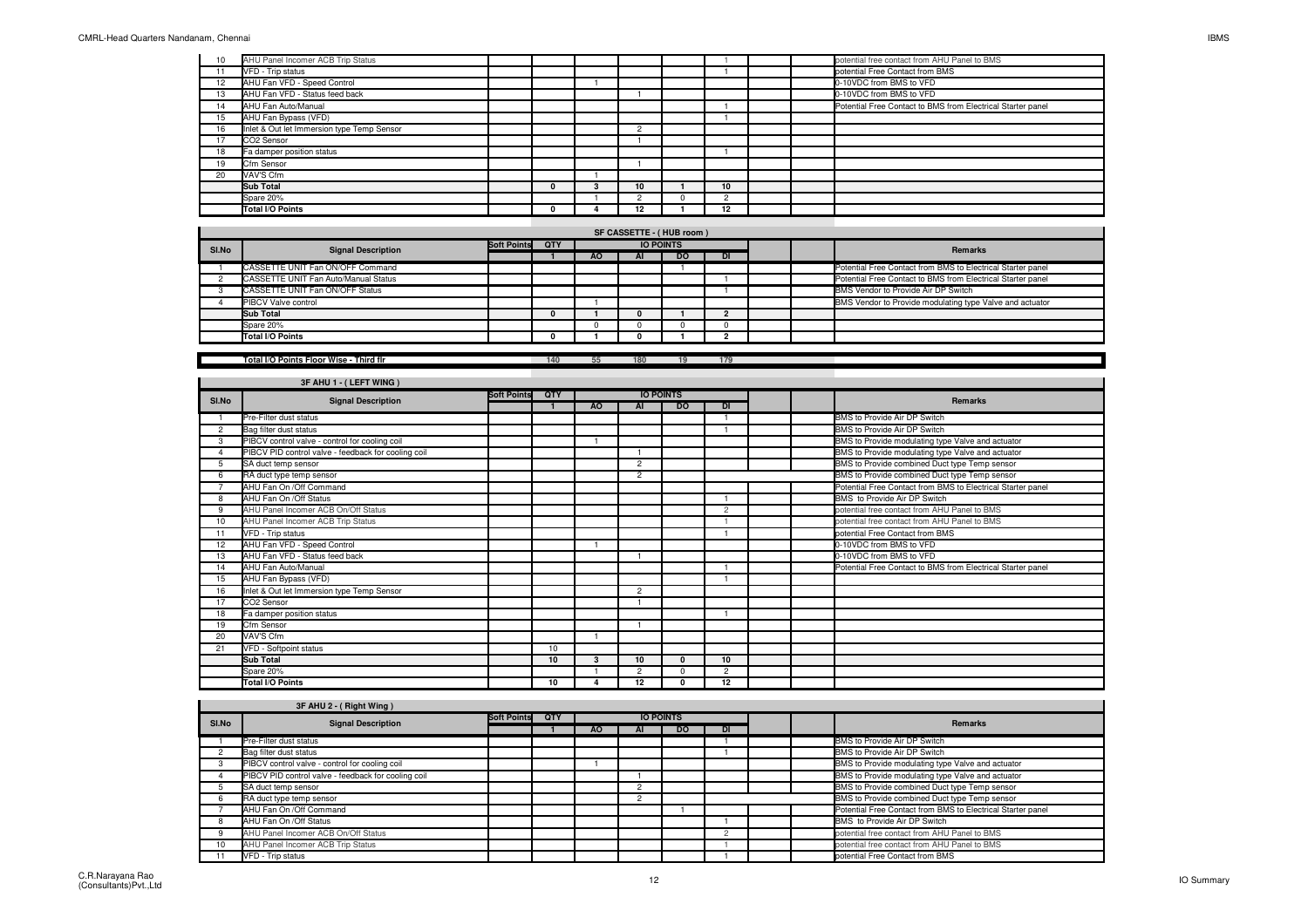| 10 | AHU Panel Incomer ACB Trip Status          |  |                 |    |  | potential free contact from AHU Panel to BMS                |
|----|--------------------------------------------|--|-----------------|----|--|-------------------------------------------------------------|
|    | VFD - Trip status                          |  |                 |    |  | potential Free Contact from BMS                             |
| 12 | AHU Fan VFD - Speed Control                |  |                 |    |  | 0-10VDC from BMS to VFD                                     |
| 13 | AHU Fan VFD - Status feed back             |  |                 |    |  | 0-10VDC from BMS to VFD                                     |
| 14 | AHU Fan Auto/Manual                        |  |                 |    |  | Potential Free Contact to BMS from Electrical Starter panel |
| 15 | AHU Fan Bypass (VFD)                       |  |                 |    |  |                                                             |
| 16 | Inlet & Out let Immersion type Temp Sensor |  | $\sim$          |    |  |                                                             |
| 17 | CO2 Sensor                                 |  |                 |    |  |                                                             |
| 18 | Fa damper position status                  |  |                 |    |  |                                                             |
| 19 | Cfm Sensor                                 |  |                 |    |  |                                                             |
| 20 | VAV'S Cfm                                  |  |                 |    |  |                                                             |
|    | <b>Sub Total</b>                           |  | 10 <sup>1</sup> | 10 |  |                                                             |
|    | Spare 20%                                  |  |                 |    |  |                                                             |
|    | Total I/O Points                           |  | 12              | 12 |  |                                                             |

| SI.No | <b>Signal Description</b>            | <b>Soft Points</b><br><b>IO POINTS</b><br>QTY |  |           |    |           |    |  | Remarks                                                     |
|-------|--------------------------------------|-----------------------------------------------|--|-----------|----|-----------|----|--|-------------------------------------------------------------|
|       |                                      |                                               |  | <b>AO</b> | AI | <b>DO</b> | DI |  |                                                             |
|       | CASSETTE UNIT Fan ON/OFF Command     |                                               |  |           |    |           |    |  | Potential Free Contact from BMS to Electrical Starter panel |
|       | CASSETTE UNIT Fan Auto/Manual Status |                                               |  |           |    |           |    |  | Potential Free Contact to BMS from Electrical Starter panel |
|       | CASSETTE UNIT Fan ON/OFF Status      |                                               |  |           |    |           |    |  | BMS Vendor to Provide Air DP Switch                         |
|       | <b>PIBCV Valve control</b>           |                                               |  |           |    |           |    |  | BMS Vendor to Provide modulating type Valve and actuator    |
|       | Sub Total                            |                                               |  |           |    |           |    |  |                                                             |
|       | Spare 20%                            |                                               |  |           |    |           |    |  |                                                             |
|       | Total I/O Points                     |                                               |  |           |    |           |    |  |                                                             |
|       |                                      |                                               |  |           |    |           |    |  |                                                             |

|  | Total I/O Points Floor Wise - Third flr |  |
|--|-----------------------------------------|--|
|  |                                         |  |

**<sup>140</sup> <sup>55</sup> <sup>180</sup> <sup>19</sup> <sup>179</sup>**

|                | 3F AHU 1 - (LEFT WING )                             |                    |            |           |                |                  |                |  |                                                             |
|----------------|-----------------------------------------------------|--------------------|------------|-----------|----------------|------------------|----------------|--|-------------------------------------------------------------|
| SI.No          | <b>Signal Description</b>                           | <b>Soft Points</b> | <b>QTY</b> |           |                | <b>IO POINTS</b> |                |  | <b>Remarks</b>                                              |
|                |                                                     |                    |            | <b>AO</b> | AI             | <b>DO</b>        | <b>DI</b>      |  |                                                             |
|                | Pre-Filter dust status                              |                    |            |           |                |                  |                |  | BMS to Provide Air DP Switch                                |
| $\overline{2}$ | Bag filter dust status                              |                    |            |           |                |                  |                |  | BMS to Provide Air DP Switch                                |
| 3              | PIBCV control valve - control for cooling coil      |                    |            |           |                |                  |                |  | BMS to Provide modulating type Valve and actuator           |
|                | PIBCV PID control valve - feedback for cooling coil |                    |            |           |                |                  |                |  | BMS to Provide modulating type Valve and actuator           |
|                | SA duct temp sensor                                 |                    |            |           | $\overline{2}$ |                  |                |  | BMS to Provide combined Duct type Temp sensor               |
|                | RA duct type temp sensor                            |                    |            |           | $\overline{2}$ |                  |                |  | BMS to Provide combined Duct type Temp sensor               |
|                | AHU Fan On / Off Command                            |                    |            |           |                |                  |                |  | Potential Free Contact from BMS to Electrical Starter panel |
| 8              | AHU Fan On /Off Status                              |                    |            |           |                |                  |                |  | BMS to Provide Air DP Switch                                |
| 9              | AHU Panel Incomer ACB On/Off Status                 |                    |            |           |                |                  | $\overline{2}$ |  | potential free contact from AHU Panel to BMS                |
| 10             | AHU Panel Incomer ACB Trip Status                   |                    |            |           |                |                  |                |  | potential free contact from AHU Panel to BMS                |
| 11             | VFD - Trip status                                   |                    |            |           |                |                  |                |  | potential Free Contact from BMS                             |
| 12             | AHU Fan VFD - Speed Control                         |                    |            |           |                |                  |                |  | 0-10VDC from BMS to VFD                                     |
| 13             | AHU Fan VFD - Status feed back                      |                    |            |           |                |                  |                |  | 0-10VDC from BMS to VFD                                     |
| 14             | AHU Fan Auto/Manual                                 |                    |            |           |                |                  |                |  | Potential Free Contact to BMS from Electrical Starter panel |
| 15             | AHU Fan Bypass (VFD)                                |                    |            |           |                |                  |                |  |                                                             |
| 16             | Inlet & Out let Immersion type Temp Sensor          |                    |            |           | $\overline{2}$ |                  |                |  |                                                             |
| 17             | CO2 Sensor                                          |                    |            |           |                |                  |                |  |                                                             |
| 18             | Fa damper position status                           |                    |            |           |                |                  |                |  |                                                             |
| 19             | Cfm Sensor                                          |                    |            |           |                |                  |                |  |                                                             |
| 20             | VAV'S Cfm                                           |                    |            |           |                |                  |                |  |                                                             |
| 21             | VFD - Softpoint status                              |                    | 10         |           |                |                  |                |  |                                                             |
|                | <b>Sub Total</b>                                    |                    | 10         | 3         | 10             | <sup>0</sup>     | 10             |  |                                                             |
|                | Spare 20%                                           |                    |            |           | $\overline{2}$ | $\Omega$         | 2              |  |                                                             |
|                | Total I/O Points                                    |                    | 10         |           | 12             | U                | 12             |  |                                                             |

|                 | 3F AHU 2 - (Right Wing)                             |                    |            |     |    |                  |           |  |                                                             |
|-----------------|-----------------------------------------------------|--------------------|------------|-----|----|------------------|-----------|--|-------------------------------------------------------------|
| SI.No           | <b>Signal Description</b>                           | <b>Soft Points</b> | <b>OTY</b> |     |    | <b>IO POINTS</b> |           |  | <b>Remarks</b>                                              |
|                 |                                                     |                    |            | AO. | AI | <b>DO</b>        | <b>DI</b> |  |                                                             |
|                 | Pre-Filter dust status                              |                    |            |     |    |                  |           |  | BMS to Provide Air DP Switch                                |
|                 | Bag filter dust status                              |                    |            |     |    |                  |           |  | BMS to Provide Air DP Switch                                |
|                 | PIBCV control valve - control for cooling coil      |                    |            |     |    |                  |           |  | BMS to Provide modulating type Valve and actuator           |
|                 | PIBCV PID control valve - feedback for cooling coil |                    |            |     |    |                  |           |  | BMS to Provide modulating type Valve and actuator           |
|                 | SA duct temp sensor                                 |                    |            |     | ◠  |                  |           |  | BMS to Provide combined Duct type Temp sensor               |
|                 | RA duct type temp sensor                            |                    |            |     |    |                  |           |  | BMS to Provide combined Duct type Temp sensor               |
|                 | AHU Fan On /Off Command                             |                    |            |     |    |                  |           |  | Potential Free Contact from BMS to Electrical Starter panel |
| 8               | AHU Fan On / Off Status                             |                    |            |     |    |                  |           |  | BMS to Provide Air DP Switch                                |
|                 | AHU Panel Incomer ACB On/Off Status                 |                    |            |     |    |                  |           |  | potential free contact from AHU Panel to BMS                |
| 10 <sup>1</sup> | AHU Panel Incomer ACB Trip Status                   |                    |            |     |    |                  |           |  | potential free contact from AHU Panel to BMS                |
|                 | VFD - Trip status                                   |                    |            |     |    |                  |           |  | potential Free Contact from BMS                             |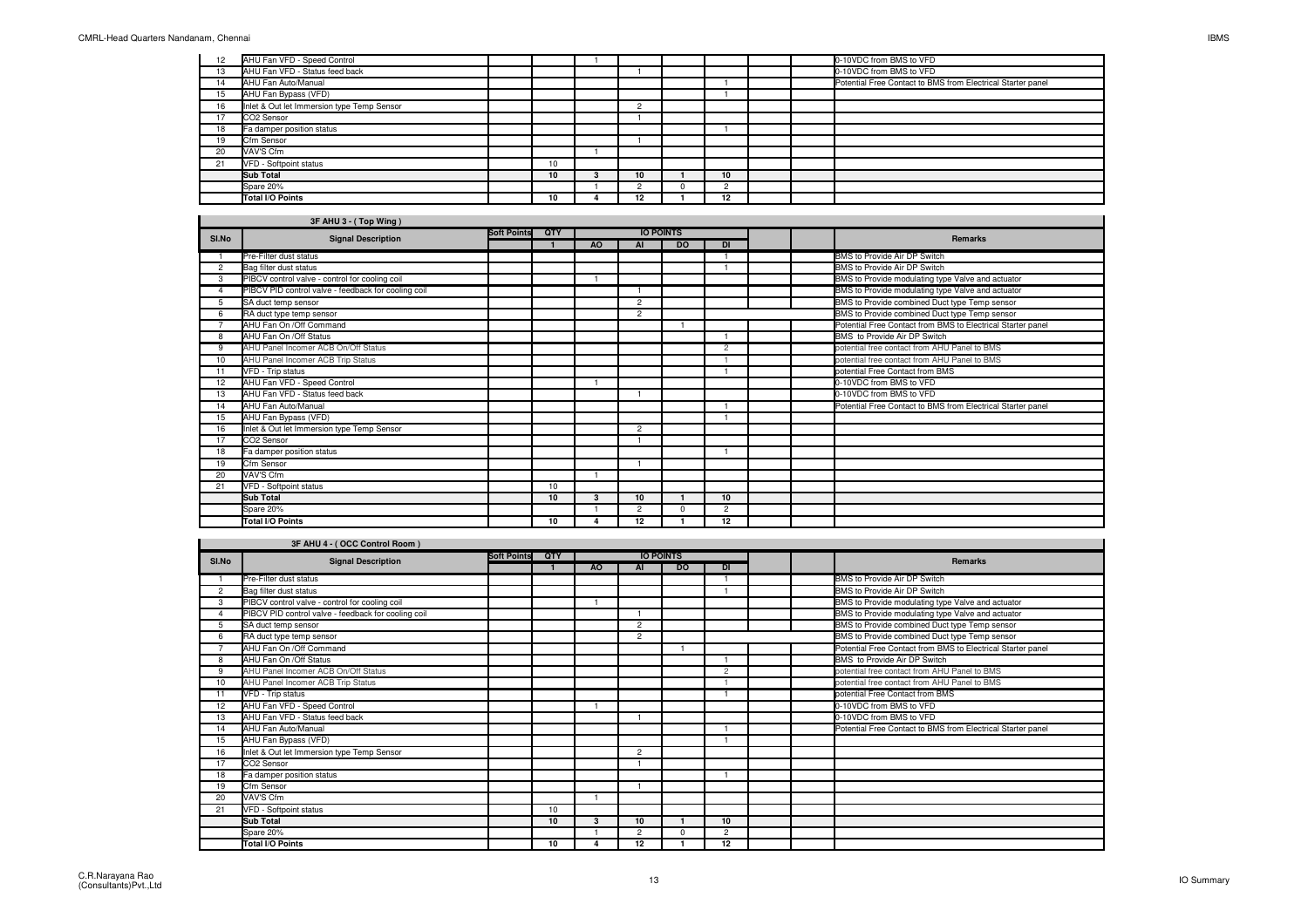| 12 | AHU Fan VFD - Speed Control                |    |    |                 |  | 0-10VDC from BMS to VFD                                     |
|----|--------------------------------------------|----|----|-----------------|--|-------------------------------------------------------------|
| 13 | AHU Fan VFD - Status feed back             |    |    |                 |  | 0-10VDC from BMS to VFD                                     |
| 14 | AHU Fan Auto/Manual                        |    |    |                 |  | Potential Free Contact to BMS from Electrical Starter panel |
| 15 | AHU Fan Bypass (VFD)                       |    |    |                 |  |                                                             |
| 16 | Inlet & Out let Immersion type Temp Sensor |    |    |                 |  |                                                             |
| 17 | CO2 Sensor                                 |    |    |                 |  |                                                             |
| 18 | Fa damper position status                  |    |    |                 |  |                                                             |
| 19 | Cfm Sensor                                 |    |    |                 |  |                                                             |
| 20 | VAV'S Cfm                                  |    |    |                 |  |                                                             |
| 21 | VFD - Softpoint status                     | 10 |    |                 |  |                                                             |
|    | <b>Sub Total</b>                           | 10 | 10 | 10 <sup>1</sup> |  |                                                             |
|    | Spare 20%                                  |    |    |                 |  |                                                             |
|    | Total I/O Points                           | 10 | 12 | 12              |  |                                                             |

|       | 3F AHU 3 - (Top Wing)                               |                    |            |     |                |                  |                |  |                                                             |
|-------|-----------------------------------------------------|--------------------|------------|-----|----------------|------------------|----------------|--|-------------------------------------------------------------|
| SI.No | <b>Signal Description</b>                           | <b>Soft Points</b> | <b>OTY</b> |     |                | <b>IO POINTS</b> |                |  | <b>Remarks</b>                                              |
|       |                                                     |                    |            | AO. | AI             | <b>DO</b>        | <b>DI</b>      |  |                                                             |
|       | Pre-Filter dust status                              |                    |            |     |                |                  |                |  | BMS to Provide Air DP Switch                                |
| 2     | <b>Bag filter dust status</b>                       |                    |            |     |                |                  |                |  | BMS to Provide Air DP Switch                                |
| 3     | PIBCV control valve - control for cooling coil      |                    |            |     |                |                  |                |  | BMS to Provide modulating type Valve and actuator           |
|       | PIBCV PID control valve - feedback for cooling coil |                    |            |     |                |                  |                |  | BMS to Provide modulating type Valve and actuator           |
|       | SA duct temp sensor                                 |                    |            |     | $\overline{2}$ |                  |                |  | BMS to Provide combined Duct type Temp sensor               |
|       | RA duct type temp sensor                            |                    |            |     | 2              |                  |                |  | BMS to Provide combined Duct type Temp sensor               |
|       | AHU Fan On /Off Command                             |                    |            |     |                |                  |                |  | Potential Free Contact from BMS to Electrical Starter panel |
| 8     | AHU Fan On /Off Status                              |                    |            |     |                |                  |                |  | BMS to Provide Air DP Switch                                |
| 9     | AHU Panel Incomer ACB On/Off Status                 |                    |            |     |                |                  | $\overline{2}$ |  | potential free contact from AHU Panel to BMS                |
| 10    | AHU Panel Incomer ACB Trip Status                   |                    |            |     |                |                  |                |  | potential free contact from AHU Panel to BMS                |
| 11    | VFD - Trip status                                   |                    |            |     |                |                  |                |  | potential Free Contact from BMS                             |
| 12    | AHU Fan VFD - Speed Control                         |                    |            |     |                |                  |                |  | 0-10VDC from BMS to VFD                                     |
| 13    | AHU Fan VFD - Status feed back                      |                    |            |     |                |                  |                |  | 0-10VDC from BMS to VFD                                     |
| 14    | AHU Fan Auto/Manual                                 |                    |            |     |                |                  |                |  | Potential Free Contact to BMS from Electrical Starter panel |
| 15    | AHU Fan Bypass (VFD)                                |                    |            |     |                |                  |                |  |                                                             |
| 16    | Inlet & Out let Immersion type Temp Sensor          |                    |            |     | 2              |                  |                |  |                                                             |
| 17    | CO2 Sensor                                          |                    |            |     |                |                  |                |  |                                                             |
| 18    | Fa damper position status                           |                    |            |     |                |                  |                |  |                                                             |
| 19    | Cfm Sensor                                          |                    |            |     |                |                  |                |  |                                                             |
| 20    | VAV'S Cfm                                           |                    |            |     |                |                  |                |  |                                                             |
| 21    | VFD - Softpoint status                              |                    | 10         |     |                |                  |                |  |                                                             |
|       | <b>Sub Total</b>                                    |                    | 10         | з   | 10             |                  | 10             |  |                                                             |
|       | Spare 20%                                           |                    |            |     | $\overline{2}$ | $\Omega$         | $\overline{2}$ |  |                                                             |
|       | <b>Total I/O Points</b>                             |                    | 10         |     | $12 \,$        |                  | 12             |  |                                                             |

|       | 3F AHU 4 - (OCC Control Room)                       |                    |     |                |                |                  |                |                                                             |
|-------|-----------------------------------------------------|--------------------|-----|----------------|----------------|------------------|----------------|-------------------------------------------------------------|
| SI.No | <b>Signal Description</b>                           | <b>Soft Points</b> | QTY |                |                | <b>IO POINTS</b> |                | <b>Remarks</b>                                              |
|       |                                                     |                    |     | A <sub>O</sub> | AI             | <b>DO</b>        | DI             |                                                             |
|       | Pre-Filter dust status                              |                    |     |                |                |                  |                | BMS to Provide Air DP Switch                                |
| 2     | Bag filter dust status                              |                    |     |                |                |                  |                | BMS to Provide Air DP Switch                                |
| 3     | PIBCV control valve - control for cooling coil      |                    |     |                |                |                  |                | BMS to Provide modulating type Valve and actuator           |
|       | PIBCV PID control valve - feedback for cooling coil |                    |     |                |                |                  |                | BMS to Provide modulating type Valve and actuator           |
| 5     | SA duct temp sensor                                 |                    |     |                | $\overline{2}$ |                  |                | BMS to Provide combined Duct type Temp sensor               |
| 6     | RA duct type temp sensor                            |                    |     |                | $\overline{2}$ |                  |                | BMS to Provide combined Duct type Temp sensor               |
|       | AHU Fan On /Off Command                             |                    |     |                |                |                  |                | Potential Free Contact from BMS to Electrical Starter panel |
| 8     | AHU Fan On / Off Status                             |                    |     |                |                |                  |                | BMS to Provide Air DP Switch                                |
| 9     | AHU Panel Incomer ACB On/Off Status                 |                    |     |                |                |                  | $\overline{c}$ | potential free contact from AHU Panel to BMS                |
| 10    | AHU Panel Incomer ACB Trip Status                   |                    |     |                |                |                  |                | potential free contact from AHU Panel to BMS                |
|       | VFD - Trip status                                   |                    |     |                |                |                  |                | potential Free Contact from BMS                             |
| 12    | AHU Fan VFD - Speed Control                         |                    |     |                |                |                  |                | 0-10VDC from BMS to VFD                                     |
| 13    | AHU Fan VFD - Status feed back                      |                    |     |                |                |                  |                | 0-10VDC from BMS to VFD                                     |
| 14    | AHU Fan Auto/Manual                                 |                    |     |                |                |                  |                | Potential Free Contact to BMS from Electrical Starter panel |
| 15    | AHU Fan Bypass (VFD)                                |                    |     |                |                |                  |                |                                                             |
| 16    | Inlet & Out let Immersion type Temp Sensor          |                    |     |                | $\overline{2}$ |                  |                |                                                             |
| 17    | CO2 Sensor                                          |                    |     |                |                |                  |                |                                                             |
| 18    | Fa damper position status                           |                    |     |                |                |                  |                |                                                             |
| 19    | Cfm Sensor                                          |                    |     |                |                |                  |                |                                                             |
| 20    | VAV'S Cfm                                           |                    |     |                |                |                  |                |                                                             |
| 21    | VFD - Softpoint status                              |                    | 10  |                |                |                  |                |                                                             |
|       | <b>Sub Total</b>                                    |                    | 10  | 3              | 10             |                  | 10             |                                                             |
|       | Spare 20%                                           |                    |     |                | $\overline{2}$ | $\Omega$         | $\overline{2}$ |                                                             |
|       | <b>Total I/O Points</b>                             |                    | 10  |                | 12             |                  | 12             |                                                             |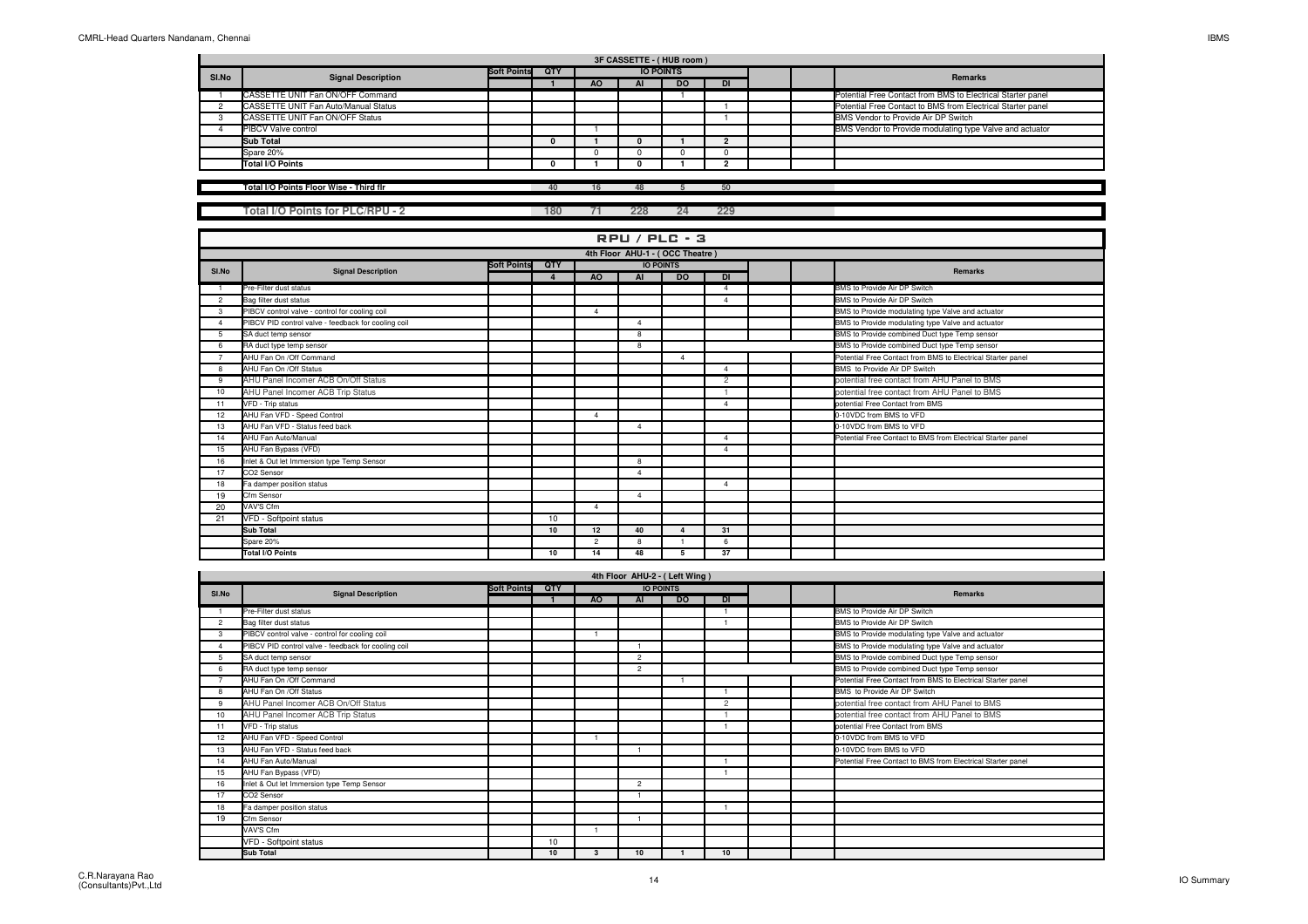|       | 3F CASSETTE - (HUB room)                    |                    |     |     |                  |           |  |  |  |                                                             |  |  |  |
|-------|---------------------------------------------|--------------------|-----|-----|------------------|-----------|--|--|--|-------------------------------------------------------------|--|--|--|
| SI.No | <b>Signal Description</b>                   | <b>Soft Points</b> | QTY |     | <b>IO POINTS</b> |           |  |  |  | Remarks                                                     |  |  |  |
|       |                                             |                    |     | AO. | Al               | <b>DO</b> |  |  |  |                                                             |  |  |  |
|       | CASSETTE UNIT Fan ON/OFF Command            |                    |     |     |                  |           |  |  |  | Potential Free Contact from BMS to Electrical Starter panel |  |  |  |
|       | <b>CASSETTE UNIT Fan Auto/Manual Status</b> |                    |     |     |                  |           |  |  |  | Potential Free Contact to BMS from Electrical Starter panel |  |  |  |
|       | CASSETTE UNIT Fan ON/OFF Status             |                    |     |     |                  |           |  |  |  | BMS Vendor to Provide Air DP Switch                         |  |  |  |
|       | <b>PIBCV Valve control</b>                  |                    |     |     |                  |           |  |  |  | BMS Vendor to Provide modulating type Valve and actuator    |  |  |  |
|       | Sub Total                                   |                    |     |     | 0                |           |  |  |  |                                                             |  |  |  |
|       | Spare 20%                                   |                    |     |     |                  |           |  |  |  |                                                             |  |  |  |
|       | Total I/O Points                            |                    |     |     |                  |           |  |  |  |                                                             |  |  |  |
|       |                                             |                    |     |     |                  |           |  |  |  |                                                             |  |  |  |

**Total I/O Points Floor Wise - Third flr**

**Total I/O Points for PLC/RPU - 2 180 <sup>71</sup> 228 24 229**

**<sup>40</sup> <sup>16</sup> <sup>48</sup> <sup>5</sup> <sup>50</sup>**

|                | <b>RPU / PLC - 3</b>                                |                                               |    |                |                |                        |                      |  |  |                                                             |  |  |  |  |
|----------------|-----------------------------------------------------|-----------------------------------------------|----|----------------|----------------|------------------------|----------------------|--|--|-------------------------------------------------------------|--|--|--|--|
|                | 4th Floor AHU-1 - (OCC Theatre)                     |                                               |    |                |                |                        |                      |  |  |                                                             |  |  |  |  |
| SI.No          | <b>Signal Description</b>                           | QTY<br><b>Soft Points</b><br><b>IO POINTS</b> |    |                |                |                        |                      |  |  | <b>Remarks</b>                                              |  |  |  |  |
|                |                                                     |                                               |    |                |                |                        |                      |  |  |                                                             |  |  |  |  |
|                | Pre-Filter dust status                              |                                               |    |                |                |                        | Λ                    |  |  | BMS to Provide Air DP Switch                                |  |  |  |  |
| $\overline{2}$ | Bag filter dust status                              |                                               |    |                |                |                        | Δ                    |  |  | BMS to Provide Air DP Switch                                |  |  |  |  |
| 3              | PIBCV control valve - control for cooling coil      |                                               |    | $\Lambda$      |                |                        |                      |  |  | BMS to Provide modulating type Valve and actuator           |  |  |  |  |
|                | PIBCV PID control valve - feedback for cooling coil |                                               |    |                | $\Delta$       |                        |                      |  |  | BMS to Provide modulating type Valve and actuator           |  |  |  |  |
| 5              | SA duct temp sensor                                 |                                               |    |                | 8              |                        |                      |  |  | BMS to Provide combined Duct type Temp sensor               |  |  |  |  |
| 6              | RA duct type temp sensor                            |                                               |    |                | 8              |                        |                      |  |  | BMS to Provide combined Duct type Temp sensor               |  |  |  |  |
|                | AHU Fan On /Off Command                             |                                               |    |                |                | $\Delta$               |                      |  |  | Potential Free Contact from BMS to Electrical Starter panel |  |  |  |  |
| 8              | AHU Fan On /Off Status                              |                                               |    |                |                |                        | Δ                    |  |  | BMS to Provide Air DP Switch                                |  |  |  |  |
| 9              | AHU Panel Incomer ACB On/Off Status                 |                                               |    |                |                |                        | $\overline{c}$       |  |  | potential free contact from AHU Panel to BMS                |  |  |  |  |
| 10             | AHU Panel Incomer ACB Trip Status                   |                                               |    |                |                |                        |                      |  |  | potential free contact from AHU Panel to BMS                |  |  |  |  |
| 11             | VFD - Trip status                                   |                                               |    |                |                |                        | $\Delta$             |  |  | potential Free Contact from BMS                             |  |  |  |  |
| 12             | AHU Fan VFD - Speed Control                         |                                               |    | $\Delta$       |                |                        |                      |  |  | 0-10VDC from BMS to VFD                                     |  |  |  |  |
| 13             | AHU Fan VFD - Status feed back                      |                                               |    |                | $\overline{4}$ |                        |                      |  |  | 0-10VDC from BMS to VFD                                     |  |  |  |  |
| 14             | AHU Fan Auto/Manual                                 |                                               |    |                |                |                        | Δ                    |  |  | Potential Free Contact to BMS from Electrical Starter panel |  |  |  |  |
| 15             | AHU Fan Bypass (VFD)                                |                                               |    |                |                |                        | $\overline{\Lambda}$ |  |  |                                                             |  |  |  |  |
| 16             | Inlet & Out let Immersion type Temp Sensor          |                                               |    |                | 8              |                        |                      |  |  |                                                             |  |  |  |  |
| 17             | CO2 Sensor                                          |                                               |    |                | $\Lambda$      |                        |                      |  |  |                                                             |  |  |  |  |
| 18             | Fa damper position status                           |                                               |    |                |                |                        | $\overline{4}$       |  |  |                                                             |  |  |  |  |
| 19             | Cfm Sensor                                          |                                               |    |                | $\overline{4}$ |                        |                      |  |  |                                                             |  |  |  |  |
| 20             | VAV'S Cfm                                           |                                               |    | $\overline{4}$ |                |                        |                      |  |  |                                                             |  |  |  |  |
| 21             | VFD - Softpoint status                              |                                               | 10 |                |                |                        |                      |  |  |                                                             |  |  |  |  |
|                | Sub Total                                           |                                               | 10 | 12             | 40             | $\boldsymbol{\Lambda}$ | 31                   |  |  |                                                             |  |  |  |  |
|                | Spare 20%                                           |                                               |    | $\mathcal{L}$  | 8              |                        | 6                    |  |  |                                                             |  |  |  |  |
|                | Total I/O Points                                    |                                               | 10 | 14             | 48             | 5                      | 37                   |  |  |                                                             |  |  |  |  |

| SI.No          | <b>Signal Description</b>                           | <b>Soft Points</b> | QTY |           | <b>IO POINTS</b> |           |                |  | <b>Remarks</b>                                              |
|----------------|-----------------------------------------------------|--------------------|-----|-----------|------------------|-----------|----------------|--|-------------------------------------------------------------|
|                |                                                     |                    |     | <b>AO</b> | AI               | <b>DO</b> | <b>DI</b>      |  |                                                             |
|                | Pre-Filter dust status                              |                    |     |           |                  |           |                |  | BMS to Provide Air DP Switch                                |
| $\overline{2}$ | Bag filter dust status                              |                    |     |           |                  |           |                |  | BMS to Provide Air DP Switch                                |
| 3              | PIBCV control valve - control for cooling coil      |                    |     |           |                  |           |                |  | BMS to Provide modulating type Valve and actuator           |
|                | PIBCV PID control valve - feedback for cooling coil |                    |     |           |                  |           |                |  | BMS to Provide modulating type Valve and actuator           |
| 5              | SA duct temp sensor                                 |                    |     |           | $\mathcal{P}$    |           |                |  | BMS to Provide combined Duct type Temp sensor               |
| 6              | RA duct type temp sensor                            |                    |     |           | $\mathfrak{p}$   |           |                |  | BMS to Provide combined Duct type Temp sensor               |
|                | AHU Fan On /Off Command                             |                    |     |           |                  |           |                |  | Potential Free Contact from BMS to Electrical Starter panel |
| 8              | AHU Fan On /Off Status                              |                    |     |           |                  |           |                |  | BMS to Provide Air DP Switch                                |
| 9              | AHU Panel Incomer ACB On/Off Status                 |                    |     |           |                  |           | $\overline{c}$ |  | potential free contact from AHU Panel to BMS                |
| 10             | AHU Panel Incomer ACB Trip Status                   |                    |     |           |                  |           |                |  | potential free contact from AHU Panel to BMS                |
| 11             | VFD - Trip status                                   |                    |     |           |                  |           |                |  | potential Free Contact from BMS                             |
| 12             | AHU Fan VFD - Speed Control                         |                    |     |           |                  |           |                |  | 0-10VDC from BMS to VFD                                     |
| 13             | AHU Fan VFD - Status feed back                      |                    |     |           |                  |           |                |  | 0-10VDC from BMS to VFD                                     |
| 14             | AHU Fan Auto/Manual                                 |                    |     |           |                  |           |                |  | Potential Free Contact to BMS from Electrical Starter panel |
| 15             | AHU Fan Bypass (VFD)                                |                    |     |           |                  |           |                |  |                                                             |
| 16             | Inlet & Out let Immersion type Temp Sensor          |                    |     |           | $\mathfrak{p}$   |           |                |  |                                                             |
| 17             | CO2 Sensor                                          |                    |     |           |                  |           |                |  |                                                             |
| 18             | Fa damper position status                           |                    |     |           |                  |           |                |  |                                                             |
| 19             | Cfm Sensor                                          |                    |     |           |                  |           |                |  |                                                             |
|                | VAV'S Cfm                                           |                    |     |           |                  |           |                |  |                                                             |
|                | VFD - Softpoint status                              |                    | 10  |           |                  |           |                |  |                                                             |
|                | <b>Sub Total</b>                                    |                    | 10  | 3         | 10               |           | 10             |  |                                                             |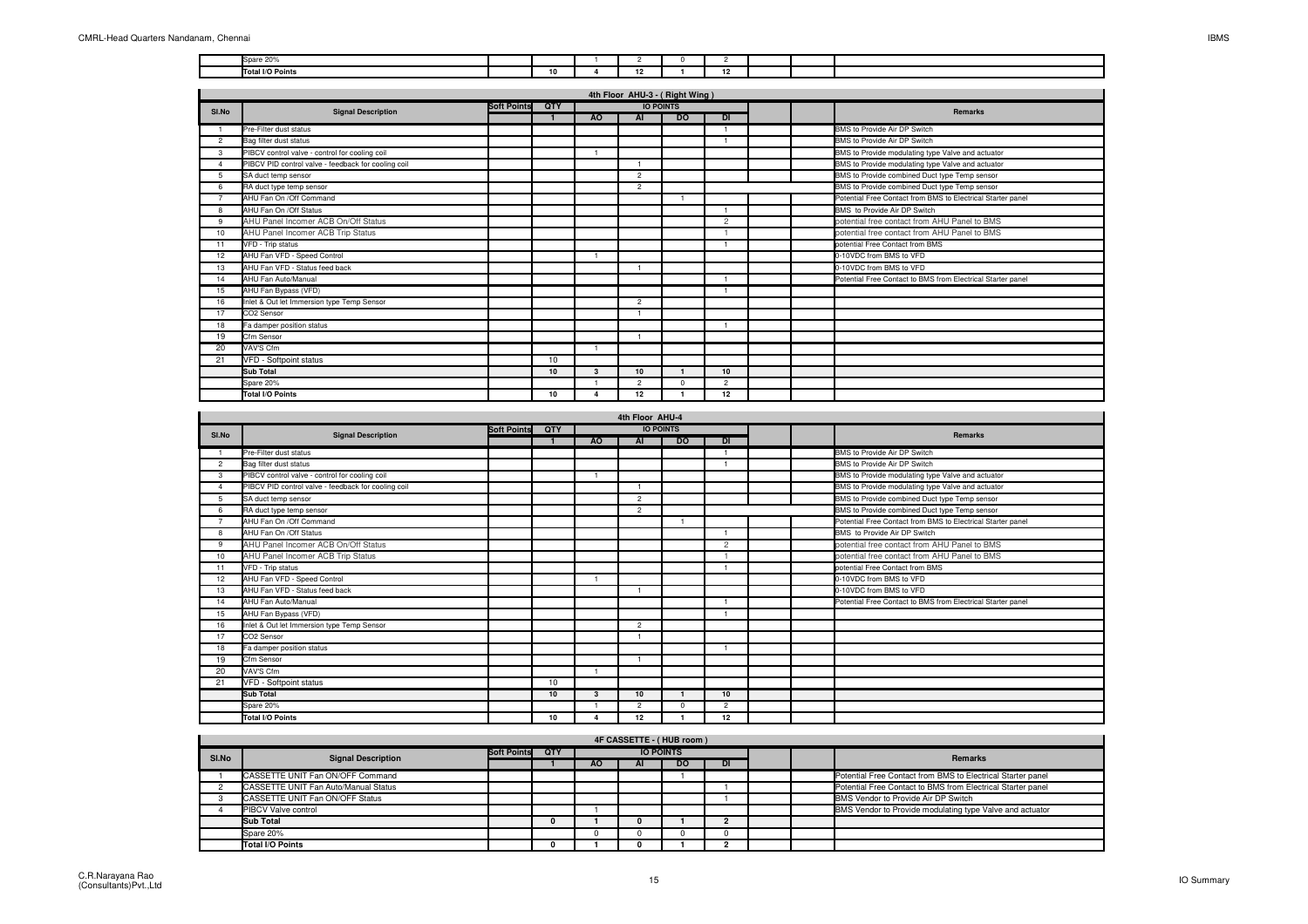| n <sub>1</sub><br>$- - - -$ |    |  |                              |  |  |
|-----------------------------|----|--|------------------------------|--|--|
| <b>Total I/O Points</b>     | 10 |  | $\overline{a}$<br>$\epsilon$ |  |  |

|                        |                                                     |                    |     |              | 4th Floor AHU-3 - (Right Wing) |           |                |  |                                                             |
|------------------------|-----------------------------------------------------|--------------------|-----|--------------|--------------------------------|-----------|----------------|--|-------------------------------------------------------------|
| SI.No                  | <b>Signal Description</b>                           | <b>Soft Points</b> | QTY |              | <b>IO POINTS</b>               |           |                |  | <b>Remarks</b>                                              |
|                        |                                                     |                    |     | AO           | AI                             | <b>DO</b> | DI             |  |                                                             |
|                        | Pre-Filter dust status                              |                    |     |              |                                |           |                |  | BMS to Provide Air DP Switch                                |
| $\overline{2}$         | Bag filter dust status                              |                    |     |              |                                |           |                |  | BMS to Provide Air DP Switch                                |
| $\mathcal{R}$          | PIBCV control valve - control for cooling coil      |                    |     |              |                                |           |                |  | BMS to Provide modulating type Valve and actuator           |
| $\boldsymbol{\Lambda}$ | PIBCV PID control valve - feedback for cooling coil |                    |     |              |                                |           |                |  | BMS to Provide modulating type Valve and actuator           |
| 5                      | SA duct temp sensor                                 |                    |     |              | $\overline{c}$                 |           |                |  | BMS to Provide combined Duct type Temp sensor               |
| $\epsilon$             | RA duct type temp sensor                            |                    |     |              | $\overline{c}$                 |           |                |  | BMS to Provide combined Duct type Temp sensor               |
| $\overline{7}$         | AHU Fan On /Off Command                             |                    |     |              |                                |           |                |  | Potential Free Contact from BMS to Electrical Starter panel |
| $\mathbf{R}$           | AHU Fan On /Off Status                              |                    |     |              |                                |           |                |  | BMS to Provide Air DP Switch                                |
| 9                      | AHU Panel Incomer ACB On/Off Status                 |                    |     |              |                                |           | $\overline{2}$ |  | potential free contact from AHU Panel to BMS                |
| 10                     | AHU Panel Incomer ACB Trip Status                   |                    |     |              |                                |           |                |  | potential free contact from AHU Panel to BMS                |
| 11                     | VFD - Trip status                                   |                    |     |              |                                |           |                |  | potential Free Contact from BMS                             |
| 12                     | AHU Fan VFD - Speed Control                         |                    |     |              |                                |           |                |  | 0-10VDC from BMS to VFD                                     |
| 13                     | AHU Fan VFD - Status feed back                      |                    |     |              |                                |           |                |  | 0-10VDC from BMS to VFD                                     |
| 14                     | AHU Fan Auto/Manual                                 |                    |     |              |                                |           |                |  | Potential Free Contact to BMS from Electrical Starter panel |
| 15                     | AHU Fan Bypass (VFD)                                |                    |     |              |                                |           |                |  |                                                             |
| 16                     | Inlet & Out let Immersion type Temp Sensor          |                    |     |              | $\overline{c}$                 |           |                |  |                                                             |
| 17                     | CO <sub>2</sub> Sensor                              |                    |     |              |                                |           |                |  |                                                             |
| 18                     | Fa damper position status                           |                    |     |              |                                |           |                |  |                                                             |
| 19                     | Cfm Sensor                                          |                    |     |              |                                |           |                |  |                                                             |
| 20                     | VAV'S Cfm                                           |                    |     |              |                                |           |                |  |                                                             |
| 21                     | VFD - Softpoint status                              |                    | 10  |              |                                |           |                |  |                                                             |
|                        | Sub Total                                           |                    | 10  | $\mathbf{3}$ | 10 <sup>1</sup>                |           | 10             |  |                                                             |
|                        | Spare 20%                                           |                    |     |              | $\overline{c}$                 | $\Omega$  | $\overline{2}$ |  |                                                             |
|                        | <b>Total I/O Points</b>                             |                    | 10  |              | 12                             |           | $12 \,$        |  |                                                             |

|                |                                                     |                    |            |           | 4th Floor AHU-4 |                  |                |  |                                                             |
|----------------|-----------------------------------------------------|--------------------|------------|-----------|-----------------|------------------|----------------|--|-------------------------------------------------------------|
| SI.No          | <b>Signal Description</b>                           | <b>Soft Points</b> | <b>OTY</b> |           |                 | <b>IO POINTS</b> |                |  | <b>Remarks</b>                                              |
|                |                                                     |                    |            | <b>AO</b> | <b>AI</b>       | <b>DO</b>        | DI             |  |                                                             |
|                | Pre-Filter dust status                              |                    |            |           |                 |                  |                |  | BMS to Provide Air DP Switch                                |
| $\overline{2}$ | Bag filter dust status                              |                    |            |           |                 |                  |                |  | BMS to Provide Air DP Switch                                |
| 3              | PIBCV control valve - control for cooling coil      |                    |            |           |                 |                  |                |  | BMS to Provide modulating type Valve and actuator           |
|                | PIBCV PID control valve - feedback for cooling coil |                    |            |           |                 |                  |                |  | BMS to Provide modulating type Valve and actuator           |
| 5              | SA duct temp sensor                                 |                    |            |           | $\overline{2}$  |                  |                |  | BMS to Provide combined Duct type Temp sensor               |
| 6              | RA duct type temp sensor                            |                    |            |           | $\overline{c}$  |                  |                |  | BMS to Provide combined Duct type Temp sensor               |
|                | AHU Fan On /Off Command                             |                    |            |           |                 |                  |                |  | Potential Free Contact from BMS to Electrical Starter panel |
| 8              | AHU Fan On /Off Status                              |                    |            |           |                 |                  |                |  | BMS to Provide Air DP Switch                                |
| 9              | AHU Panel Incomer ACB On/Off Status                 |                    |            |           |                 |                  | $\overline{2}$ |  | potential free contact from AHU Panel to BMS                |
| 10             | AHU Panel Incomer ACB Trip Status                   |                    |            |           |                 |                  |                |  | potential free contact from AHU Panel to BMS                |
| 11             | VFD - Trip status                                   |                    |            |           |                 |                  |                |  | potential Free Contact from BMS                             |
| 12             | AHU Fan VFD - Speed Control                         |                    |            |           |                 |                  |                |  | 0-10VDC from BMS to VFD                                     |
| 13             | AHU Fan VFD - Status feed back                      |                    |            |           |                 |                  |                |  | 0-10VDC from BMS to VFD                                     |
| 14             | AHU Fan Auto/Manual                                 |                    |            |           |                 |                  |                |  | Potential Free Contact to BMS from Electrical Starter panel |
| 15             | AHU Fan Bypass (VFD)                                |                    |            |           |                 |                  |                |  |                                                             |
| 16             | Inlet & Out let Immersion type Temp Sensor          |                    |            |           | $\overline{c}$  |                  |                |  |                                                             |
| 17             | CO <sub>2</sub> Sensor                              |                    |            |           |                 |                  |                |  |                                                             |
| 18             | Fa damper position status                           |                    |            |           |                 |                  |                |  |                                                             |
| 19             | Cfm Sensor                                          |                    |            |           |                 |                  |                |  |                                                             |
| 20             | VAV'S Cfm                                           |                    |            |           |                 |                  |                |  |                                                             |
| 21             | VFD - Softpoint status                              |                    | 10         |           |                 |                  |                |  |                                                             |
|                | Sub Total                                           |                    | 10         | 3         | 10              |                  | 10             |  |                                                             |
|                | Spare 20%                                           |                    |            |           | $\overline{2}$  | $\Omega$         | $\mathfrak{p}$ |  |                                                             |
|                | Total I/O Points                                    |                    | 10         |           | 12              |                  | 12             |  |                                                             |

|       |                                      |                    |     |           |    | 4F CASSETTE - (HUB room) |    |  |                                                             |
|-------|--------------------------------------|--------------------|-----|-----------|----|--------------------------|----|--|-------------------------------------------------------------|
| SI.No | <b>Signal Description</b>            | <b>Soft Points</b> | QTY |           |    | <b>IO POINTS</b>         |    |  | <b>Remarks</b>                                              |
|       |                                      |                    |     | <b>AO</b> | AI | <b>DO</b>                | DI |  |                                                             |
|       | CASSETTE UNIT Fan ON/OFF Command     |                    |     |           |    |                          |    |  | Potential Free Contact from BMS to Electrical Starter panel |
|       | CASSETTE UNIT Fan Auto/Manual Status |                    |     |           |    |                          |    |  | Potential Free Contact to BMS from Electrical Starter panel |
|       | CASSETTE UNIT Fan ON/OFF Status      |                    |     |           |    |                          |    |  | BMS Vendor to Provide Air DP Switch                         |
|       | PIBCV Valve control                  |                    |     |           |    |                          |    |  | BMS Vendor to Provide modulating type Valve and actuator    |
|       | Sub Total                            |                    |     |           |    |                          |    |  |                                                             |
|       | Spare 20%                            |                    |     |           |    |                          |    |  |                                                             |
|       | Total I/O Points                     |                    |     |           |    |                          |    |  |                                                             |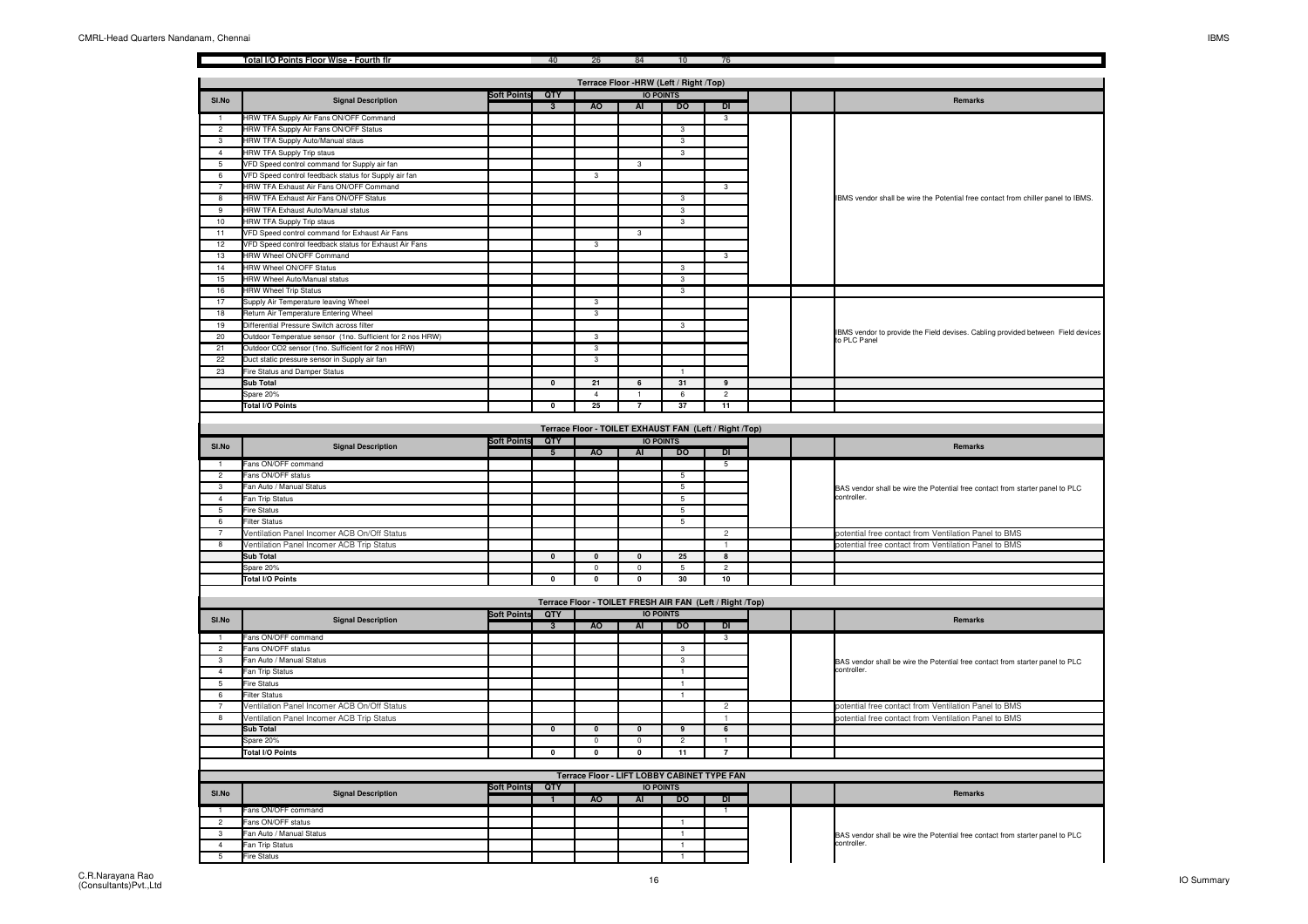|                                   |                                                                                                      |                    |                         |                | 84                                                       |                      |                |  |                                                                                                  |
|-----------------------------------|------------------------------------------------------------------------------------------------------|--------------------|-------------------------|----------------|----------------------------------------------------------|----------------------|----------------|--|--------------------------------------------------------------------------------------------------|
|                                   |                                                                                                      |                    |                         |                | Terrace Floor -HRW (Left / Right /Top)                   |                      |                |  |                                                                                                  |
|                                   |                                                                                                      | <b>Soft Points</b> | QTY                     |                |                                                          | <b>IO POINTS</b>     |                |  |                                                                                                  |
| SI.No                             | <b>Signal Description</b>                                                                            |                    | $\overline{3}$          | <b>AO</b>      | AI                                                       | <b>DO</b>            | DI             |  | Remarks                                                                                          |
|                                   | HRW TFA Supply Air Fans ON/OFF Command                                                               |                    |                         |                |                                                          |                      | $\overline{3}$ |  |                                                                                                  |
| $\overline{2}$                    | HRW TFA Supply Air Fans ON/OFF Status                                                                |                    |                         |                |                                                          | $\overline{3}$       |                |  |                                                                                                  |
| 3                                 | HRW TFA Supply Auto/Manual staus                                                                     |                    |                         |                |                                                          | $\mathbf{3}$         |                |  |                                                                                                  |
| $\overline{4}$                    | <b>HRW TFA Supply Trip staus</b>                                                                     |                    |                         |                |                                                          | 3                    |                |  |                                                                                                  |
| 5<br>6                            | /FD Speed control command for Supply air fan<br>VFD Speed control feedback status for Supply air fan |                    |                         | 3              | 3                                                        |                      |                |  |                                                                                                  |
| $\overline{7}$                    | HRW TFA Exhaust Air Fans ON/OFF Command                                                              |                    |                         |                |                                                          |                      | $\mathbf{3}$   |  |                                                                                                  |
| 8                                 | HRW TFA Exhaust Air Fans ON/OFF Status                                                               |                    |                         |                |                                                          | 3                    |                |  | IBMS vendor shall be wire the Potential free contact from chiller panel to IBMS.                 |
| 9                                 | HRW TFA Exhaust Auto/Manual status                                                                   |                    |                         |                |                                                          | $\overline{3}$       |                |  |                                                                                                  |
| 10                                | HRW TFA Supply Trip staus                                                                            |                    |                         |                |                                                          |                      |                |  |                                                                                                  |
| 11                                | VFD Speed control command for Exhaust Air Fans                                                       |                    |                         |                | 3                                                        |                      |                |  |                                                                                                  |
| 12                                | VFD Speed control feedback status for Exhaust Air Fans                                               |                    |                         | $\overline{3}$ |                                                          |                      |                |  |                                                                                                  |
| 13                                | <b>HRW Wheel ON/OFF Command</b>                                                                      |                    |                         |                |                                                          |                      | 3              |  |                                                                                                  |
| 14                                | <b>HRW Wheel ON/OFF Status</b>                                                                       |                    |                         |                |                                                          | 3                    |                |  |                                                                                                  |
| 15                                | HRW Wheel Auto/Manual status                                                                         |                    |                         |                |                                                          | $\mathbf{3}$         |                |  |                                                                                                  |
| 16                                | <b>HRW Wheel Trip Status</b>                                                                         |                    |                         |                |                                                          | 3                    |                |  |                                                                                                  |
| 17                                | Supply Air Temperature leaving Wheel                                                                 |                    |                         | $\overline{3}$ |                                                          |                      |                |  |                                                                                                  |
| $\overline{18}$                   | Return Air Temperature Entering Wheel                                                                |                    |                         |                |                                                          |                      |                |  |                                                                                                  |
| 19                                | Differential Pressure Switch across filter                                                           |                    |                         |                |                                                          | $\mathbf{3}$         |                |  |                                                                                                  |
| 20                                | Outdoor Temperatue sensor (1no. Sufficient for 2 nos HRW)                                            |                    |                         | $\overline{3}$ |                                                          |                      |                |  | IBMS vendor to provide the Field devises. Cabling provided between Field devices<br>to PLC Panel |
| 21                                | Outdoor CO2 sensor (1no. Sufficient for 2 nos HRW)                                                   |                    |                         | $\overline{3}$ |                                                          |                      |                |  |                                                                                                  |
| 22                                | Duct static pressure sensor in Supply air fan                                                        |                    |                         | $\mathbf{3}$   |                                                          |                      |                |  |                                                                                                  |
| 23                                | Fire Status and Damper Status                                                                        |                    |                         |                |                                                          |                      |                |  |                                                                                                  |
|                                   | <b>Sub Total</b>                                                                                     |                    | $\mathbf{0}$            | 21             | 6                                                        | 31                   | $\overline{9}$ |  |                                                                                                  |
|                                   | Spare 20%                                                                                            |                    |                         | $\overline{4}$ |                                                          | 6                    | $\overline{2}$ |  |                                                                                                  |
|                                   | <b>Total I/O Points</b>                                                                              |                    | $\overline{\mathbf{0}}$ | 25             | $\overline{7}$                                           | 37                   | 11             |  |                                                                                                  |
|                                   |                                                                                                      |                    |                         |                | Terrace Floor - TOILET EXHAUST FAN (Left / Right /Top)   |                      |                |  |                                                                                                  |
|                                   |                                                                                                      | <b>Soft Points</b> | QTY                     |                |                                                          | <b>IO POINTS</b>     |                |  |                                                                                                  |
| SI.No                             | <b>Signal Description</b>                                                                            |                    | 5                       | <b>AO</b>      | AI                                                       | D <sub>0</sub>       | DI             |  | Remarks                                                                                          |
|                                   | Fans ON/OFF command                                                                                  |                    |                         |                |                                                          |                      | $5\overline{}$ |  |                                                                                                  |
| $\overline{2}$                    | Fans ON/OFF status                                                                                   |                    |                         |                |                                                          | $\overline{5}$       |                |  |                                                                                                  |
| 3                                 | Fan Auto / Manual Status                                                                             |                    |                         |                |                                                          | 5                    |                |  | BAS vendor shall be wire the Potential free contact from starter panel to PLC                    |
| $\overline{4}$                    | Fan Trip Status                                                                                      |                    |                         |                |                                                          | 5                    |                |  | controller.                                                                                      |
| 5                                 | Fire Status                                                                                          |                    |                         |                |                                                          | 5                    |                |  |                                                                                                  |
| 6                                 | <b>Filter Status</b>                                                                                 |                    |                         |                |                                                          | $\overline{5}$       |                |  |                                                                                                  |
| $\overline{7}$                    | Ventilation Panel Incomer ACB On/Off Status                                                          |                    |                         |                |                                                          |                      |                |  | potential free contact from Ventilation Panel to BMS                                             |
|                                   |                                                                                                      |                    |                         |                |                                                          |                      | 2              |  |                                                                                                  |
| 8                                 | Ventilation Panel Incomer ACB Trip Status                                                            |                    |                         |                |                                                          |                      | $\overline{1}$ |  | potential free contact from Ventilation Panel to BMS                                             |
|                                   | Sub Total                                                                                            |                    | $\pmb{0}$               | $\mathbf 0$    | $\mathbf 0$                                              | 25                   | 8              |  |                                                                                                  |
|                                   | Spare 20%                                                                                            |                    |                         | $\overline{0}$ | $\mathbf 0$                                              | $\overline{5}$       | $\overline{2}$ |  |                                                                                                  |
|                                   | <b>Total I/O Points</b>                                                                              |                    | $\pmb{0}$               | $\pmb{0}$      | $\pmb{0}$                                                | 30                   | 10             |  |                                                                                                  |
|                                   |                                                                                                      |                    |                         |                |                                                          |                      |                |  |                                                                                                  |
|                                   |                                                                                                      |                    |                         |                | Terrace Floor - TOILET FRESH AIR FAN (Left / Right /Top) |                      |                |  |                                                                                                  |
| SI.No                             | <b>Signal Description</b>                                                                            | <b>Soft Points</b> | QTY                     |                |                                                          | <b>IO POINTS</b>     |                |  | Remarks                                                                                          |
|                                   |                                                                                                      |                    | $\overline{\mathbf{3}}$ | <b>AO</b>      | AI                                                       | <b>DO</b>            | DI             |  |                                                                                                  |
|                                   | Fans ON/OFF command                                                                                  |                    |                         |                |                                                          |                      | $\overline{3}$ |  |                                                                                                  |
| $\overline{2}$<br>3               | Fans ON/OFF status                                                                                   |                    |                         |                |                                                          | $\overline{3}$<br>3  |                |  |                                                                                                  |
| $\overline{4}$                    | Fan Auto / Manual Status                                                                             |                    |                         |                |                                                          | $\overline{1}$       |                |  | BAS vendor shall be wire the Potential free contact from starter panel to PLC<br>controller.     |
| 5                                 | Fan Trip Status<br>Fire Status                                                                       |                    |                         |                |                                                          | $\overline{1}$       |                |  |                                                                                                  |
| 6                                 | <b>Filter Status</b>                                                                                 |                    |                         |                |                                                          | $\overline{1}$       |                |  |                                                                                                  |
| $\overline{7}$                    | Ventilation Panel Incomer ACB On/Off Status                                                          |                    |                         |                |                                                          |                      | $\overline{c}$ |  | potential free contact from Ventilation Panel to BMS                                             |
| 8                                 | Ventilation Panel Incomer ACB Trip Status                                                            |                    |                         |                |                                                          |                      | $\overline{1}$ |  | potential free contact from Ventilation Panel to BMS                                             |
|                                   | Sub Total                                                                                            |                    | $\mathbf{0}$            | $\mathbf{0}$   | $\mathbf{0}$                                             | $\overline{9}$       | 6              |  |                                                                                                  |
|                                   | Spare 20%                                                                                            |                    |                         | $\overline{0}$ | $\overline{0}$                                           | $\overline{2}$       |                |  |                                                                                                  |
|                                   | <b>Total I/O Points</b>                                                                              |                    | $\overline{\mathbf{0}}$ | $\mathbf{0}$   | $\mathbf 0$                                              | 11                   | $\overline{7}$ |  |                                                                                                  |
|                                   |                                                                                                      |                    |                         |                |                                                          |                      |                |  |                                                                                                  |
|                                   |                                                                                                      |                    |                         |                | Terrace Floor - LIFT LOBBY CABINET TYPE FAN              |                      |                |  |                                                                                                  |
| SI.No                             | <b>Signal Description</b>                                                                            | <b>Soft Points</b> | QTY                     |                |                                                          | <b>IO POINTS</b>     |                |  | Remarks                                                                                          |
|                                   |                                                                                                      |                    | $\mathbf{1}$            | AO             | AI                                                       | <b>DO</b>            | $\overline{D}$ |  |                                                                                                  |
|                                   | Fans ON/OFF command                                                                                  |                    |                         |                |                                                          |                      |                |  |                                                                                                  |
| $\mathfrak{D}$                    | Fans ON/OFF status                                                                                   |                    |                         |                |                                                          | $\overline{1}$       |                |  |                                                                                                  |
| 3                                 | Fan Auto / Manual Status                                                                             |                    |                         |                |                                                          | $\overline{1}$       |                |  | BAS vendor shall be wire the Potential free contact from starter panel to PLC<br>controller.     |
| $\overline{4}$<br>$5\overline{5}$ | an Trip Status<br><b>Fire Status</b>                                                                 |                    |                         |                |                                                          | $\overline{1}$<br>-1 |                |  |                                                                                                  |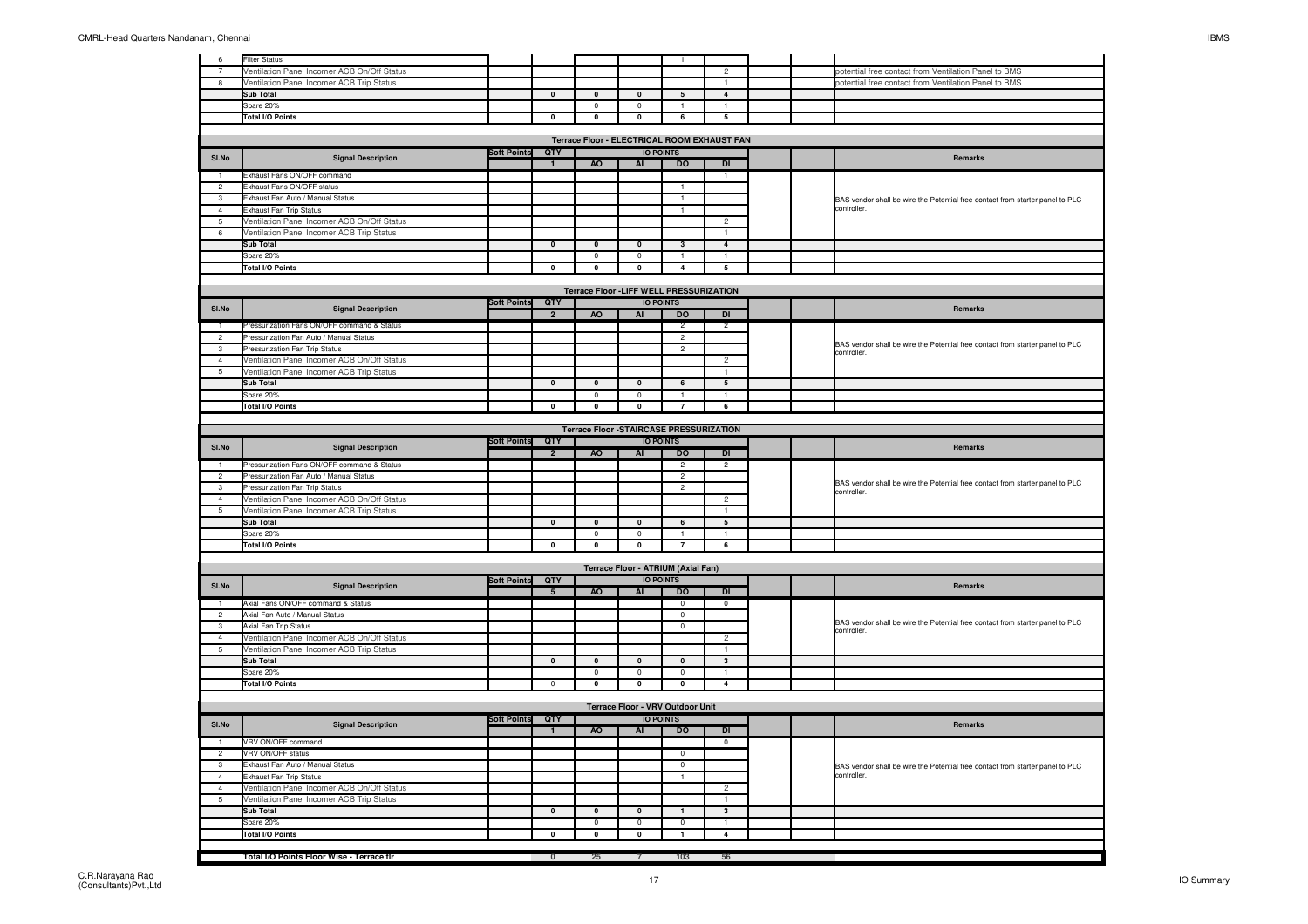| 6              | <b>Filter Status</b>                        |                    |                         |                                                |                           | $\overline{1}$                     |                         |  |                                                                                              |
|----------------|---------------------------------------------|--------------------|-------------------------|------------------------------------------------|---------------------------|------------------------------------|-------------------------|--|----------------------------------------------------------------------------------------------|
| $\overline{7}$ | Ventilation Panel Incomer ACB On/Off Status |                    |                         |                                                |                           |                                    | $\mathfrak{p}$          |  | ootential free contact from Ventilation Panel to BMS                                         |
| 8              | Ventilation Panel Incomer ACB Trip Status   |                    |                         |                                                |                           |                                    |                         |  | ootential free contact from Ventilation Panel to BMS                                         |
|                | <b>Sub Total</b>                            |                    | $\pmb{0}$               | $\pmb{0}$                                      | $\Omega$                  | 5                                  | $\overline{4}$          |  |                                                                                              |
|                | Spare 20%                                   |                    |                         | $\mathbf 0$                                    | 0                         | $\mathbf{1}$                       |                         |  |                                                                                              |
|                | <b>Total I/O Points</b>                     |                    | $\mathbf 0$             | $\overline{\mathbf{0}}$                        | $\overline{\mathbf{0}}$   | $6\overline{}$                     | $\overline{5}$          |  |                                                                                              |
|                |                                             |                    |                         |                                                |                           |                                    |                         |  |                                                                                              |
|                |                                             |                    |                         | Terrace Floor - ELECTRICAL ROOM EXHAUST FAN    |                           |                                    |                         |  |                                                                                              |
| SI.No          | <b>Signal Description</b>                   | <b>Soft Points</b> | QTY<br>-1               | A <sub>O</sub>                                 | $\overline{AI}$           | <b>IO POINTS</b><br>D <sub>O</sub> | $\overline{D}$          |  | Remarks                                                                                      |
| $\overline{1}$ | Exhaust Fans ON/OFF command                 |                    |                         |                                                |                           |                                    | $\mathbf{1}$            |  |                                                                                              |
|                |                                             |                    |                         |                                                |                           |                                    |                         |  |                                                                                              |
| $\overline{2}$ | Exhaust Fans ON/OFF status                  |                    |                         |                                                |                           | $\overline{1}$                     |                         |  |                                                                                              |
| 3              | Exhaust Fan Auto / Manual Status            |                    |                         |                                                |                           | $\mathbf{1}$                       |                         |  | BAS vendor shall be wire the Potential free contact from starter panel to PLC                |
| $\overline{4}$ | Exhaust Fan Trip Status                     |                    |                         |                                                |                           | $\mathbf{1}$                       |                         |  | controller.                                                                                  |
| 5              | Ventilation Panel Incomer ACB On/Off Status |                    |                         |                                                |                           |                                    | $\overline{2}$          |  |                                                                                              |
| 6              | Ventilation Panel Incomer ACB Trip Status   |                    |                         |                                                |                           |                                    |                         |  |                                                                                              |
|                | Sub Total                                   |                    | $\pmb{0}$               | $\mathbf 0$                                    | $\pmb{0}$                 | $\mathbf 3$                        | $\overline{4}$          |  |                                                                                              |
|                | Spare 20%                                   |                    |                         | $\Omega$                                       | $\Omega$                  | $\overline{1}$                     | $\overline{1}$          |  |                                                                                              |
|                | <b>Total I/O Points</b>                     |                    | $\overline{0}$          | $\overline{\bullet}$                           | $\overline{\mathfrak{o}}$ | $\overline{4}$                     | $\overline{5}$          |  |                                                                                              |
|                |                                             |                    |                         |                                                |                           |                                    |                         |  |                                                                                              |
|                |                                             |                    |                         | Terrace Floor -LIFF WELL PRESSURIZATION        |                           |                                    |                         |  |                                                                                              |
| SI.No          | <b>Signal Description</b>                   | Soft Points QTY    |                         |                                                |                           | <b>IO POINTS</b>                   |                         |  | Remarks                                                                                      |
|                |                                             |                    | $\overline{2}$          | <b>AO</b>                                      | AI                        | DO                                 | $\overline{D}$          |  |                                                                                              |
| 1              | Pressurization Fans ON/OFF command & Status |                    |                         |                                                |                           | $\overline{2}$                     | $\overline{2}$          |  |                                                                                              |
| $\overline{2}$ | Pressurization Fan Auto / Manual Status     |                    |                         |                                                |                           | $\overline{c}$                     |                         |  |                                                                                              |
| $\mathcal{R}$  | Pressurization Fan Trip Status              |                    |                         |                                                |                           | $\overline{2}$                     |                         |  | BAS vendor shall be wire the Potential free contact from starter panel to PLC<br>controller. |
| $\overline{4}$ | Ventilation Panel Incomer ACB On/Off Status |                    |                         |                                                |                           |                                    | 2                       |  |                                                                                              |
| 5              | Ventilation Panel Incomer ACB Trip Status   |                    |                         |                                                |                           |                                    |                         |  |                                                                                              |
|                | Sub Total                                   |                    | $\pmb{0}$               | $\overline{\mathbf{0}}$                        | $\pmb{\mathsf{o}}$        | 6                                  | $5\phantom{.0}$         |  |                                                                                              |
|                | Spare 20%                                   |                    |                         | $\mathbf 0$                                    | $\mathbf 0$               | $\mathbf{1}$                       | $\mathbf{1}$            |  |                                                                                              |
|                | <b>Total I/O Points</b>                     |                    | $\mathbf 0$             | 0                                              | 0                         | $\overline{7}$                     | 6                       |  |                                                                                              |
|                |                                             |                    |                         |                                                |                           |                                    |                         |  |                                                                                              |
|                |                                             |                    |                         | <b>Terrace Floor -STAIRCASE PRESSURIZATION</b> |                           |                                    |                         |  |                                                                                              |
|                |                                             | <b>Soft Points</b> | QTY                     |                                                |                           | <b>IO POINTS</b>                   |                         |  |                                                                                              |
| SI.No          | <b>Signal Description</b>                   |                    | $\overline{2}$          | <b>AO</b>                                      | AI                        | DO                                 | DI                      |  | Remarks                                                                                      |
| $\overline{1}$ | Pressurization Fans ON/OFF command & Status |                    |                         |                                                |                           | $\overline{2}$                     | $\overline{c}$          |  |                                                                                              |
| $\overline{2}$ | Pressurization Fan Auto / Manual Status     |                    |                         |                                                |                           | $\overline{c}$                     |                         |  |                                                                                              |
|                |                                             |                    |                         |                                                |                           |                                    |                         |  | BAS vendor shall be wire the Potential free contact from starter panel to PLC                |
|                |                                             |                    |                         |                                                |                           |                                    |                         |  |                                                                                              |
| $\mathbf{3}$   | Pressurization Fan Trip Status              |                    |                         |                                                |                           | $\overline{c}$                     |                         |  | controller.                                                                                  |
| $\overline{4}$ | Ventilation Panel Incomer ACB On/Off Status |                    |                         |                                                |                           |                                    | $\overline{c}$          |  |                                                                                              |
| 5              | Ventilation Panel Incomer ACB Trip Status   |                    |                         |                                                |                           |                                    |                         |  |                                                                                              |
|                | <b>Sub Total</b>                            |                    | $\mathbf{0}$            | $\mathbf 0$                                    | $\mathbf 0$               | 6                                  | $\overline{5}$          |  |                                                                                              |
|                | Spare 20%                                   |                    |                         | $\mathbf 0$                                    | $\mathsf 0$               | $\overline{1}$                     |                         |  |                                                                                              |
|                | <b>Total I/O Points</b>                     |                    | 0                       | $\pmb{0}$                                      | $\pmb{0}$                 | $\overline{\mathbf{7}}$            | 6                       |  |                                                                                              |
|                |                                             |                    |                         |                                                |                           |                                    |                         |  |                                                                                              |
|                |                                             |                    |                         |                                                |                           | Terrace Floor - ATRIUM (Axial Fan) |                         |  |                                                                                              |
| SI.No          | <b>Signal Description</b>                   | <b>Soft Points</b> | QTY                     |                                                |                           | <b>IO POINTS</b>                   |                         |  | Remarks                                                                                      |
|                |                                             |                    | $5\overline{5}$         | AO                                             | AI                        | <b>DO</b>                          | $\overline{D}$          |  |                                                                                              |
|                | Axial Fans ON/OFF command & Status          |                    |                         |                                                |                           | $\Omega$                           | $\Omega$                |  |                                                                                              |
| $\overline{2}$ | Axial Fan Auto / Manual Status              |                    |                         |                                                |                           | $\mathbf 0$                        |                         |  |                                                                                              |
| 3              | Axial Fan Trip Status                       |                    |                         |                                                |                           | $\mathbf 0$                        |                         |  | BAS vendor shall be wire the Potential free contact from starter panel to PLC<br>controller. |
| $\overline{4}$ | Ventilation Panel Incomer ACB On/Off Status |                    |                         |                                                |                           |                                    | $\sqrt{2}$              |  |                                                                                              |
| 5              | Ventilation Panel Incomer ACB Trip Status   |                    |                         |                                                |                           |                                    | $\overline{1}$          |  |                                                                                              |
|                | <b>Sub Total</b>                            |                    | $\pmb{0}$               | $\pmb{0}$                                      | $\pmb{0}$                 | $\pmb{0}$                          | $\mathbf{3}$            |  |                                                                                              |
|                | Spare 20%                                   |                    |                         | $\mathbf 0$                                    | $\mathbf 0$               | $\mathbf 0$                        |                         |  |                                                                                              |
|                | <b>Total I/O Points</b>                     |                    | $\overline{0}$          | $\overline{\mathbf{0}}$                        | $\overline{\mathbf{0}}$   | $\overline{\mathbf{0}}$            | $\overline{4}$          |  |                                                                                              |
|                |                                             |                    |                         |                                                |                           |                                    |                         |  |                                                                                              |
|                |                                             |                    |                         |                                                |                           | Terrace Floor - VRV Outdoor Unit   |                         |  |                                                                                              |
|                |                                             | <b>Soft Points</b> | QTY                     |                                                |                           | <b>IO POINTS</b>                   |                         |  |                                                                                              |
| SI.No          | <b>Signal Description</b>                   |                    | $\mathbf{1}$            | AO                                             | <b>AI</b>                 | <b>DO</b>                          | <b>DI</b>               |  | <b>Remarks</b>                                                                               |
|                | VRV ON/OFF command                          |                    |                         |                                                |                           |                                    | $\overline{0}$          |  |                                                                                              |
| $\overline{2}$ | <b>VRV ON/OFF status</b>                    |                    |                         |                                                |                           | $\pmb{0}$                          |                         |  |                                                                                              |
| $\overline{3}$ | Exhaust Fan Auto / Manual Status            |                    |                         |                                                |                           | $\overline{0}$                     |                         |  |                                                                                              |
| $\Delta$       |                                             |                    |                         |                                                |                           | $\overline{1}$                     |                         |  | BAS vendor shall be wire the Potential free contact from starter panel to PLC<br>controller. |
| $\overline{4}$ | Exhaust Fan Trip Status                     |                    |                         |                                                |                           |                                    |                         |  |                                                                                              |
|                | Ventilation Panel Incomer ACB On/Off Status |                    |                         |                                                |                           |                                    | $\overline{c}$          |  |                                                                                              |
| 5              | Ventilation Panel Incomer ACB Trip Status   |                    |                         |                                                |                           |                                    |                         |  |                                                                                              |
|                | <b>Sub Total</b>                            |                    | $\pmb{0}$               | $\Omega$                                       | $\mathbf{0}$              | $\mathbf{1}$                       | $\mathbf{3}$            |  |                                                                                              |
|                | Spare 20%                                   |                    |                         | $^{\circ}$                                     | $^{\circ}$                | $^{\circ}$                         | $\mathbf{1}$            |  |                                                                                              |
|                | <b>Total I/O Points</b>                     |                    | 0                       | $\mathbf 0$                                    | $\mathbf 0$               | $\mathbf{1}$                       | $\overline{\mathbf{4}}$ |  |                                                                                              |
|                | Total I/O Points Floor Wise - Terrace flr   |                    | $\overline{\mathbf{0}}$ | 25                                             | $\overline{7}$            | 103                                | 56                      |  |                                                                                              |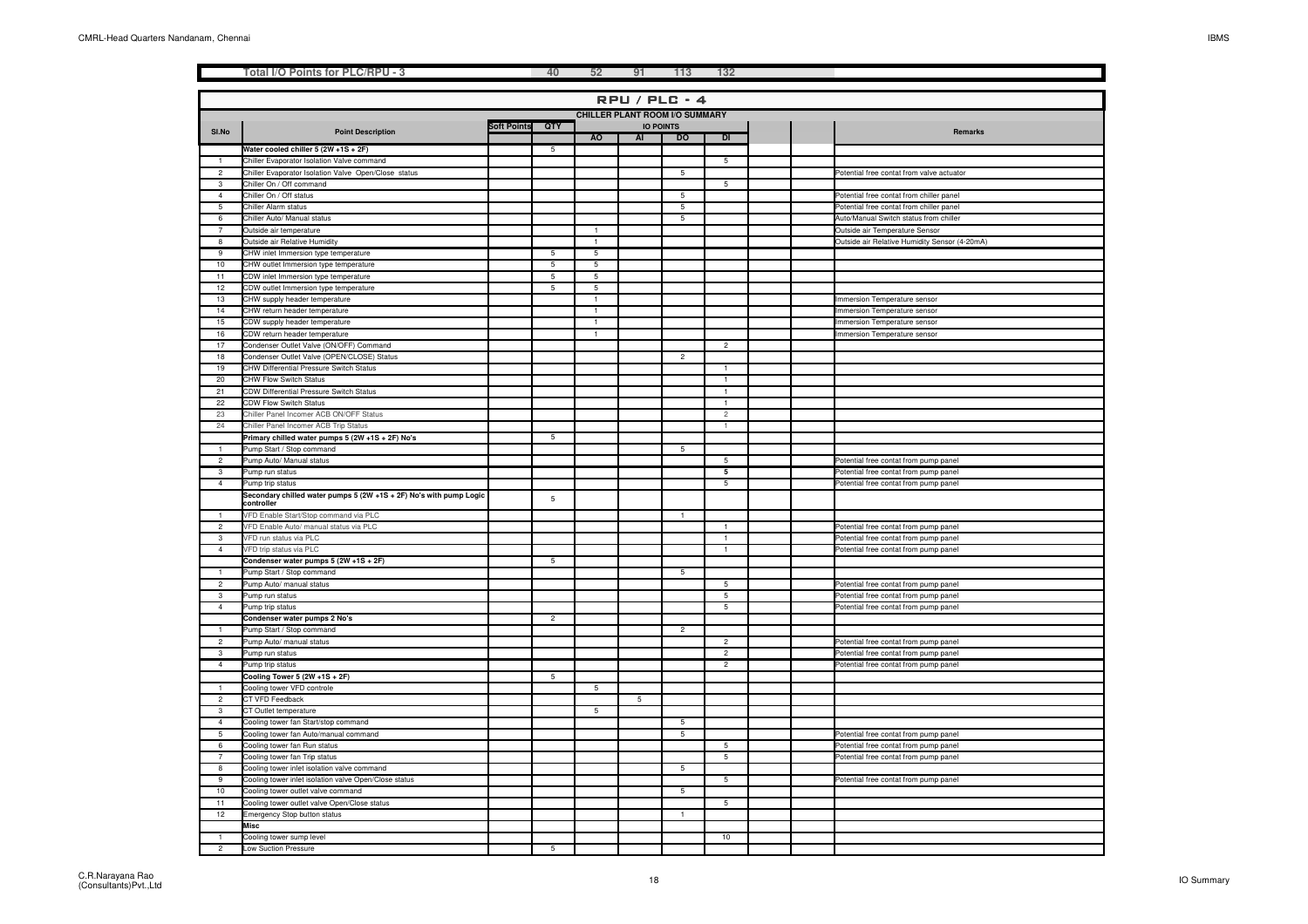|                 | Total I/O Points for PLC/RPU - 3                                                      |                    | 40             | 52                   | 91 | 113                                   | 132             |  |                                                                                |
|-----------------|---------------------------------------------------------------------------------------|--------------------|----------------|----------------------|----|---------------------------------------|-----------------|--|--------------------------------------------------------------------------------|
|                 |                                                                                       |                    |                |                      |    |                                       |                 |  |                                                                                |
|                 |                                                                                       |                    |                |                      |    | <b>RPU / PLC - 4</b>                  |                 |  |                                                                                |
|                 |                                                                                       |                    |                |                      |    | <b>CHILLER PLANT ROOM I/O SUMMARY</b> |                 |  |                                                                                |
|                 |                                                                                       | <b>Soft Points</b> | QTY            |                      |    | <b>IO POINTS</b>                      |                 |  |                                                                                |
| SI.No           | <b>Point Description</b>                                                              |                    |                | <b>AO</b>            | AI | DO                                    | $\overline{D}$  |  | Remarks                                                                        |
|                 | Water cooled chiller 5 (2W +1S + 2F)                                                  |                    | -5             |                      |    |                                       |                 |  |                                                                                |
| $\mathbf{1}$    | Chiller Evaporator Isolation Valve command                                            |                    |                |                      |    |                                       | 5               |  |                                                                                |
| $\overline{2}$  | Chiller Evaporator Isolation Valve Open/Close status                                  |                    |                |                      |    | 5                                     |                 |  | Potential free contat from valve actuator                                      |
| 3               | Chiller On / Off command                                                              |                    |                |                      |    |                                       | $5\phantom{.0}$ |  |                                                                                |
| $\overline{4}$  | Chiller On / Off status                                                               |                    |                |                      |    | 5                                     |                 |  | Potential free contat from chiller panel                                       |
| $\overline{5}$  | Chiller Alarm status                                                                  |                    |                |                      |    | 5                                     |                 |  | Potential free contat from chiller panel                                       |
| 6               | Chiller Auto/ Manual status                                                           |                    |                |                      |    | 5                                     |                 |  | Auto/Manual Switch status from chiller                                         |
| $\overline{7}$  | Outside air temperature                                                               |                    |                | $\overline{1}$       |    |                                       |                 |  | Outside air Temperature Sensor                                                 |
| 8               | Outside air Relative Humidity                                                         |                    |                | $\blacktriangleleft$ |    |                                       |                 |  | Outside air Relative Humidity Sensor (4-20mA)                                  |
| 9               | CHW inlet Immersion type temperature                                                  |                    | 5              | 5                    |    |                                       |                 |  |                                                                                |
| 10              | CHW outlet Immersion type temperature                                                 |                    | 5              | 5                    |    |                                       |                 |  |                                                                                |
| 11              | CDW inlet Immersion type temperature                                                  |                    | 5              | 5                    |    |                                       |                 |  |                                                                                |
| 12              | CDW outlet Immersion type temperature                                                 |                    | 5              | $5\phantom{.0}$      |    |                                       |                 |  |                                                                                |
| 13              | CHW supply header temperature                                                         |                    |                | $\mathbf{1}$         |    |                                       |                 |  | Immersion Temperature sensor                                                   |
| 14              | CHW return header temperature                                                         |                    |                | $\overline{1}$       |    |                                       |                 |  | Immersion Temperature sensor                                                   |
| 15              | CDW supply header temperature                                                         |                    |                | $\mathbf{1}$         |    |                                       |                 |  | mmersion Temperature sensor                                                    |
| 16              | CDW return header temperature                                                         |                    |                | $\mathbf{1}$         |    |                                       |                 |  | Immersion Temperature sensor                                                   |
| 17<br>18        | Condenser Outlet Valve (ON/OFF) Command<br>Condenser Outlet Valve (OPEN/CLOSE) Status |                    |                |                      |    | $\overline{2}$                        | $\overline{c}$  |  |                                                                                |
| 19              | CHW Differential Pressure Switch Status                                               |                    |                |                      |    |                                       | $\overline{1}$  |  |                                                                                |
| 20              | CHW Flow Switch Status                                                                |                    |                |                      |    |                                       | $\mathbf{1}$    |  |                                                                                |
| 21              | CDW Differential Pressure Switch Status                                               |                    |                |                      |    |                                       | $\overline{1}$  |  |                                                                                |
| 22              | CDW Flow Switch Status                                                                |                    |                |                      |    |                                       | $\mathbf{1}$    |  |                                                                                |
| 23              | Chiller Panel Incomer ACB ON/OFF Status                                               |                    |                |                      |    |                                       | $\overline{2}$  |  |                                                                                |
| 24              | Chiller Panel Incomer ACB Trip Status                                                 |                    |                |                      |    |                                       | $\mathbf{1}$    |  |                                                                                |
|                 | Primary chilled water pumps 5 (2W +1S + 2F) No's                                      |                    | 5              |                      |    |                                       |                 |  |                                                                                |
| 1               | Pump Start / Stop command                                                             |                    |                |                      |    | 5                                     |                 |  |                                                                                |
| $\overline{c}$  | Pump Auto/ Manual status                                                              |                    |                |                      |    |                                       | -5              |  | Potential free contat from pump panel                                          |
| 3               | Pump run status                                                                       |                    |                |                      |    |                                       | 5               |  | Potential free contat from pump panel                                          |
| $\overline{4}$  | Pump trip status                                                                      |                    |                |                      |    |                                       | $\overline{5}$  |  | Potential free contat from pump panel                                          |
|                 | Secondary chilled water pumps 5 (2W +1S + 2F) No's with pump Logic                    |                    | 5              |                      |    |                                       |                 |  |                                                                                |
|                 | controller                                                                            |                    |                |                      |    |                                       |                 |  |                                                                                |
| $\overline{1}$  | VFD Enable Start/Stop command via PLC                                                 |                    |                |                      |    | $\mathbf{1}$                          |                 |  |                                                                                |
| $\overline{2}$  | VFD Enable Auto/ manual status via PLC                                                |                    |                |                      |    |                                       | $\overline{1}$  |  | Potential free contat from pump panel                                          |
| 3               | /FD run status via PLC                                                                |                    |                |                      |    |                                       | $\overline{1}$  |  | Potential free contat from pump panel                                          |
| $\overline{4}$  | VFD trip status via PLC                                                               |                    |                |                      |    |                                       | $\mathbf{1}$    |  | Potential free contat from pump panel                                          |
| $\overline{1}$  | Condenser water pumps 5 (2W +1S + 2F)<br>ump Start / Stop command                     |                    | 5              |                      |    | 5                                     |                 |  |                                                                                |
| $\overline{2}$  | Pump Auto/ manual status                                                              |                    |                |                      |    |                                       | $5\overline{)}$ |  |                                                                                |
| 3               | Pump run status                                                                       |                    |                |                      |    |                                       | 5               |  | Potential free contat from pump panel<br>Potential free contat from pump panel |
| $\overline{4}$  | Pump trip status                                                                      |                    |                |                      |    |                                       | 5               |  | Potential free contat from pump panel                                          |
|                 | Condenser water pumps 2 No's                                                          |                    | $\overline{2}$ |                      |    |                                       |                 |  |                                                                                |
| $\mathbf{1}$    | Pump Start / Stop command                                                             |                    |                |                      |    | $\overline{2}$                        |                 |  |                                                                                |
| $\overline{2}$  | Pump Auto/ manual status                                                              |                    |                |                      |    |                                       | $\overline{2}$  |  | Potential free contat from pump panel                                          |
| 3               | Pump run status                                                                       |                    |                |                      |    |                                       | $\overline{c}$  |  | Potential free contat from pump panel                                          |
| $\overline{4}$  | ump trip status                                                                       |                    |                |                      |    |                                       | $\overline{2}$  |  | Potential free contat from pump panel                                          |
|                 | Cooling Tower 5 $(2W + 1S + 2F)$                                                      |                    | 5              |                      |    |                                       |                 |  |                                                                                |
| $\mathbf{1}$    | Cooling tower VFD controle                                                            |                    |                | 5                    |    |                                       |                 |  |                                                                                |
| $\overline{2}$  | CT VFD Feedback                                                                       |                    |                |                      | 5  |                                       |                 |  |                                                                                |
| 3               | CT Outlet temperature                                                                 |                    |                | 5                    |    |                                       |                 |  |                                                                                |
| $\overline{4}$  | Cooling tower fan Start/stop command                                                  |                    |                |                      |    | 5                                     |                 |  |                                                                                |
| $5\overline{)}$ | Cooling tower fan Auto/manual command                                                 |                    |                |                      |    | $5\overline{)}$                       |                 |  | Potential free contat from pump panel                                          |
| 6               | Cooling tower fan Run status                                                          |                    |                |                      |    |                                       | 5               |  | Potential free contat from pump panel                                          |
| $\overline{7}$  | Cooling tower fan Trip status                                                         |                    |                |                      |    |                                       | 5               |  | Potential free contat from pump panel                                          |
| 8               | Cooling tower inlet isolation valve command                                           |                    |                |                      |    | $\overline{5}$                        |                 |  |                                                                                |
| 9               | Cooling tower inlet isolation valve Open/Close status                                 |                    |                |                      |    |                                       | 5               |  | Potential free contat from pump panel                                          |
| 10              | Cooling tower outlet valve command                                                    |                    |                |                      |    | 5                                     |                 |  |                                                                                |
| 11              | Cooling tower outlet valve Open/Close status                                          |                    |                |                      |    |                                       | 5               |  |                                                                                |
| 12              | Emergency Stop button status                                                          |                    |                |                      |    | $\ddot{1}$                            |                 |  |                                                                                |
|                 | <b>Misc</b>                                                                           |                    |                |                      |    |                                       |                 |  |                                                                                |
|                 | Cooling tower sump level                                                              |                    |                |                      |    |                                       | 10              |  |                                                                                |
| $\overline{c}$  | Low Suction Pressure                                                                  |                    | 5              |                      |    |                                       |                 |  |                                                                                |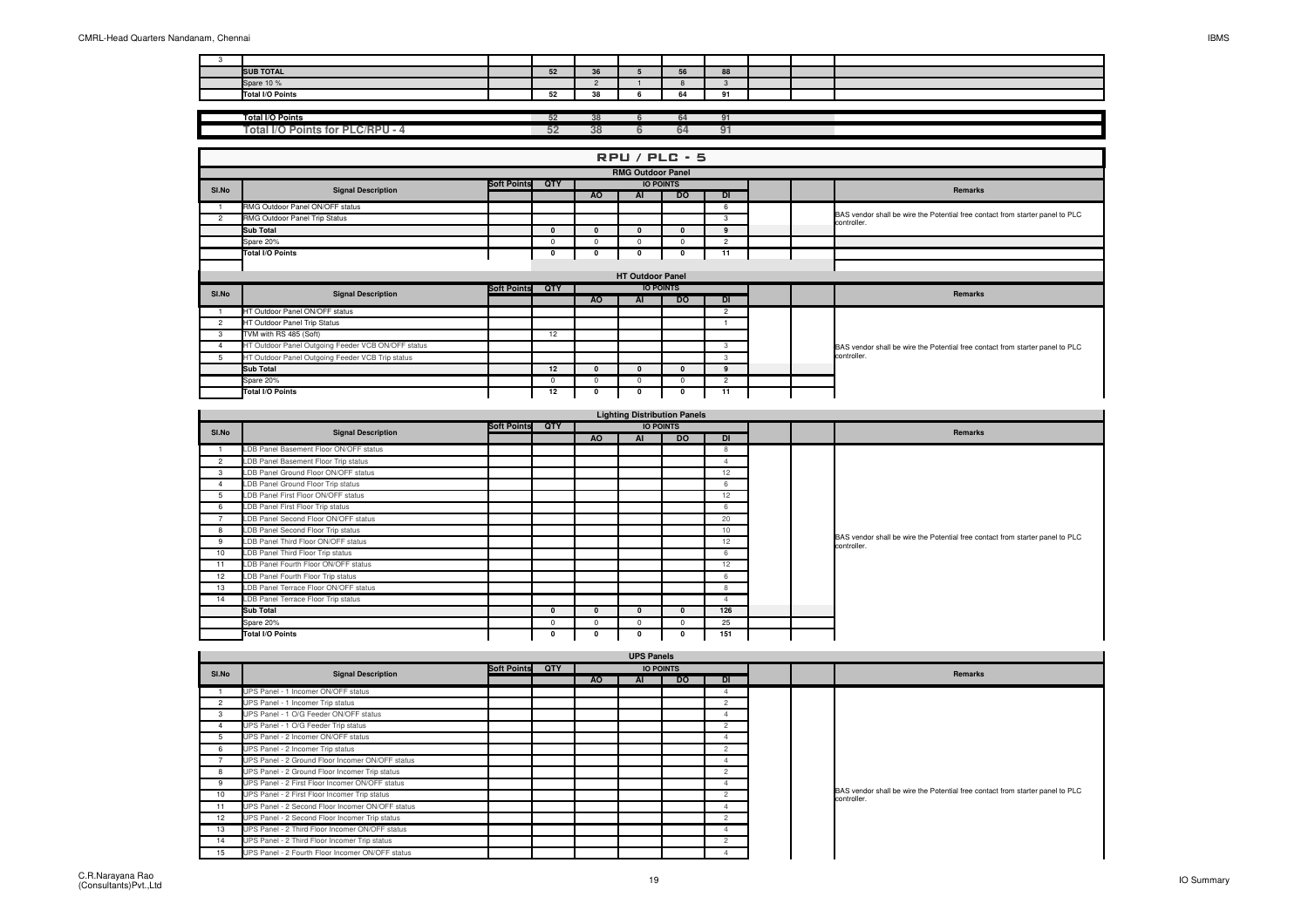| <b>SUB TOTAL</b>        | JZ.         | 36 | --           | $\sim$<br>$\circ$ |  |  |
|-------------------------|-------------|----|--------------|-------------------|--|--|
| Spare 10 %              |             |    |              |                   |  |  |
| <b>Total I/O Points</b> | $-1$<br>JZ. | 38 | $\sim$<br>04 | $\sim$            |  |  |

| <b>Total I/O Points</b>                          |      |  |  |  |
|--------------------------------------------------|------|--|--|--|
|                                                  | --   |  |  |  |
| LC/RPU<br>Γotal I/O<br><b>Points for Pl</b><br>. | - 77 |  |  |  |
|                                                  |      |  |  |  |

|                |                                                    |                    |          |           |                          | $RPU / PLC - 5$  |                |  |                                                                               |
|----------------|----------------------------------------------------|--------------------|----------|-----------|--------------------------|------------------|----------------|--|-------------------------------------------------------------------------------|
|                |                                                    |                    |          |           | <b>RMG Outdoor Panel</b> |                  |                |  |                                                                               |
| SI.No          | <b>Signal Description</b>                          | <b>Soft Points</b> | QTY      |           |                          | <b>IO POINTS</b> |                |  | Remarks                                                                       |
|                |                                                    |                    |          | AO.       | <b>AI</b>                | <b>DO</b>        | <b>DI</b>      |  |                                                                               |
|                | RMG Outdoor Panel ON/OFF status                    |                    |          |           |                          |                  | - 6            |  | BAS vendor shall be wire the Potential free contact from starter panel to PLC |
| $\overline{2}$ | RMG Outdoor Panel Trip Status                      |                    |          |           |                          |                  | 3              |  | controller.                                                                   |
|                | <b>Sub Total</b>                                   |                    | $\Omega$ | $\Omega$  | $\Omega$                 | $\Omega$         | $\mathbf{q}$   |  |                                                                               |
|                | Spare 20%                                          |                    | $\Omega$ | 0         | $\Omega$                 | 0                | $\overline{2}$ |  |                                                                               |
|                | <b>Total I/O Points</b>                            |                    |          |           | 0                        | 0                | 11             |  |                                                                               |
|                |                                                    |                    |          |           |                          |                  |                |  |                                                                               |
|                |                                                    |                    |          |           | <b>HT Outdoor Panel</b>  |                  |                |  |                                                                               |
| SI.No          | <b>Signal Description</b>                          | <b>Soft Points</b> | QTY      |           |                          | <b>IO POINTS</b> |                |  | Remarks                                                                       |
|                |                                                    |                    |          | <b>AO</b> | AI                       | <b>DO</b>        | DI             |  |                                                                               |
|                | HT Outdoor Panel ON/OFF status                     |                    |          |           |                          |                  | $\overline{2}$ |  |                                                                               |
| $\overline{2}$ | HT Outdoor Panel Trip Status                       |                    |          |           |                          |                  |                |  |                                                                               |
| 3              | TVM with RS 485 (Soft)                             |                    | 12       |           |                          |                  |                |  |                                                                               |
|                | HT Outdoor Panel Outgoing Feeder VCB ON/OFF status |                    |          |           |                          |                  | 3              |  | BAS vendor shall be wire the Potential free contact from starter panel to PLC |
| 5              | HT Outdoor Panel Outgoing Feeder VCB Trip status   |                    |          |           |                          |                  | 3              |  | controller.                                                                   |
|                | <b>Sub Total</b>                                   |                    | 12       | $\Omega$  | n                        | $\Omega$         | $\mathbf{q}$   |  |                                                                               |
|                | Spare 20%                                          |                    | $\Omega$ | $\Omega$  | $\Omega$                 | $\Omega$         | $\overline{2}$ |  |                                                                               |
|                | <b>Total I/O Points</b>                            |                    | 12       |           | 0                        | 0                | 11             |  |                                                                               |

|                 |                                        |                 |   |              | <b>Lighting Distribution Panels</b> |                  |                |  |                                                                                              |
|-----------------|----------------------------------------|-----------------|---|--------------|-------------------------------------|------------------|----------------|--|----------------------------------------------------------------------------------------------|
| SI.No           | <b>Signal Description</b>              | Soft Points QTY |   |              |                                     | <b>IO POINTS</b> |                |  | Remarks                                                                                      |
|                 |                                        |                 |   | AO           | AI                                  | <b>DO</b>        | <b>DI</b>      |  |                                                                                              |
|                 | LDB Panel Basement Floor ON/OFF status |                 |   |              |                                     |                  | 8              |  |                                                                                              |
| $\overline{2}$  | LDB Panel Basement Floor Trip status   |                 |   |              |                                     |                  | 4              |  |                                                                                              |
|                 | LDB Panel Ground Floor ON/OFF status   |                 |   |              |                                     |                  | 12             |  |                                                                                              |
|                 | LDB Panel Ground Floor Trip status     |                 |   |              |                                     |                  | 6              |  |                                                                                              |
| 5               | LDB Panel First Floor ON/OFF status    |                 |   |              |                                     |                  | 12             |  |                                                                                              |
|                 | LDB Panel First Floor Trip status      |                 |   |              |                                     |                  | 6              |  |                                                                                              |
|                 | LDB Panel Second Floor ON/OFF status   |                 |   |              |                                     |                  | 20             |  |                                                                                              |
| 8               | LDB Panel Second Floor Trip status     |                 |   |              |                                     |                  | 10             |  |                                                                                              |
| 9               | LDB Panel Third Floor ON/OFF status    |                 |   |              |                                     |                  | 12             |  | BAS vendor shall be wire the Potential free contact from starter panel to PLC<br>controller. |
| 10 <sub>1</sub> | LDB Panel Third Floor Trip status      |                 |   |              |                                     |                  | 6              |  |                                                                                              |
| 11              | LDB Panel Fourth Floor ON/OFF status   |                 |   |              |                                     |                  | 12             |  |                                                                                              |
| 12              | LDB Panel Fourth Floor Trip status     |                 |   |              |                                     |                  | 6              |  |                                                                                              |
| 13              | LDB Panel Terrace Floor ON/OFF status  |                 |   |              |                                     |                  | 8              |  |                                                                                              |
| 14              | LDB Panel Terrace Floor Trip status    |                 |   |              |                                     |                  | $\overline{4}$ |  |                                                                                              |
|                 | <b>Sub Total</b>                       |                 | n | $\mathbf{0}$ | $\mathbf{0}$                        | $\Omega$         | 126            |  |                                                                                              |
|                 | Spare 20%                              |                 |   | $\Omega$     | $\Omega$                            |                  | 25             |  |                                                                                              |
|                 | <b>Total I/O Points</b>                |                 |   | 0            | $\mathbf 0$                         |                  | 151            |  |                                                                                              |
|                 |                                        |                 |   |              | $\cdots$ $\cdots$                   |                  |                |  |                                                                                              |

|                |                                                  |                    |     |     | <b>UPS Panels</b> |                  |                |  |                                                                                              |
|----------------|--------------------------------------------------|--------------------|-----|-----|-------------------|------------------|----------------|--|----------------------------------------------------------------------------------------------|
| SI.No          | <b>Signal Description</b>                        | <b>Soft Points</b> | QTY |     |                   | <b>IO POINTS</b> |                |  | Remarks                                                                                      |
|                |                                                  |                    |     | AO. | AI                | <b>DO</b>        | <b>DI</b>      |  |                                                                                              |
|                | UPS Panel - 1 Incomer ON/OFF status              |                    |     |     |                   |                  |                |  |                                                                                              |
| $\overline{2}$ | UPS Panel - 1 Incomer Trip status                |                    |     |     |                   |                  | $\Omega$       |  |                                                                                              |
| 3              | UPS Panel - 1 O/G Feeder ON/OFF status           |                    |     |     |                   |                  |                |  |                                                                                              |
|                | UPS Panel - 1 O/G Feeder Trip status             |                    |     |     |                   |                  |                |  |                                                                                              |
| 5              | UPS Panel - 2 Incomer ON/OFF status              |                    |     |     |                   |                  |                |  |                                                                                              |
| 6              | UPS Panel - 2 Incomer Trip status                |                    |     |     |                   |                  | $\mathfrak{p}$ |  |                                                                                              |
|                | UPS Panel - 2 Ground Floor Incomer ON/OFF status |                    |     |     |                   |                  |                |  |                                                                                              |
| 8              | UPS Panel - 2 Ground Floor Incomer Trip status   |                    |     |     |                   |                  | $\Omega$       |  |                                                                                              |
| 9              | UPS Panel - 2 First Floor Incomer ON/OFF status  |                    |     |     |                   |                  |                |  |                                                                                              |
| 10             | UPS Panel - 2 First Floor Incomer Trip status    |                    |     |     |                   |                  | $\circ$        |  | BAS vendor shall be wire the Potential free contact from starter panel to PLC<br>controller. |
| 11             | UPS Panel - 2 Second Floor Incomer ON/OFF status |                    |     |     |                   |                  |                |  |                                                                                              |
| 12             | UPS Panel - 2 Second Floor Incomer Trip status   |                    |     |     |                   |                  | $\Omega$       |  |                                                                                              |
| 13             | UPS Panel - 2 Third Floor Incomer ON/OFF status  |                    |     |     |                   |                  |                |  |                                                                                              |
| 14             | UPS Panel - 2 Third Floor Incomer Trip status    |                    |     |     |                   |                  | $\Omega$       |  |                                                                                              |
| 15             | UPS Panel - 2 Fourth Floor Incomer ON/OFF status |                    |     |     |                   |                  |                |  |                                                                                              |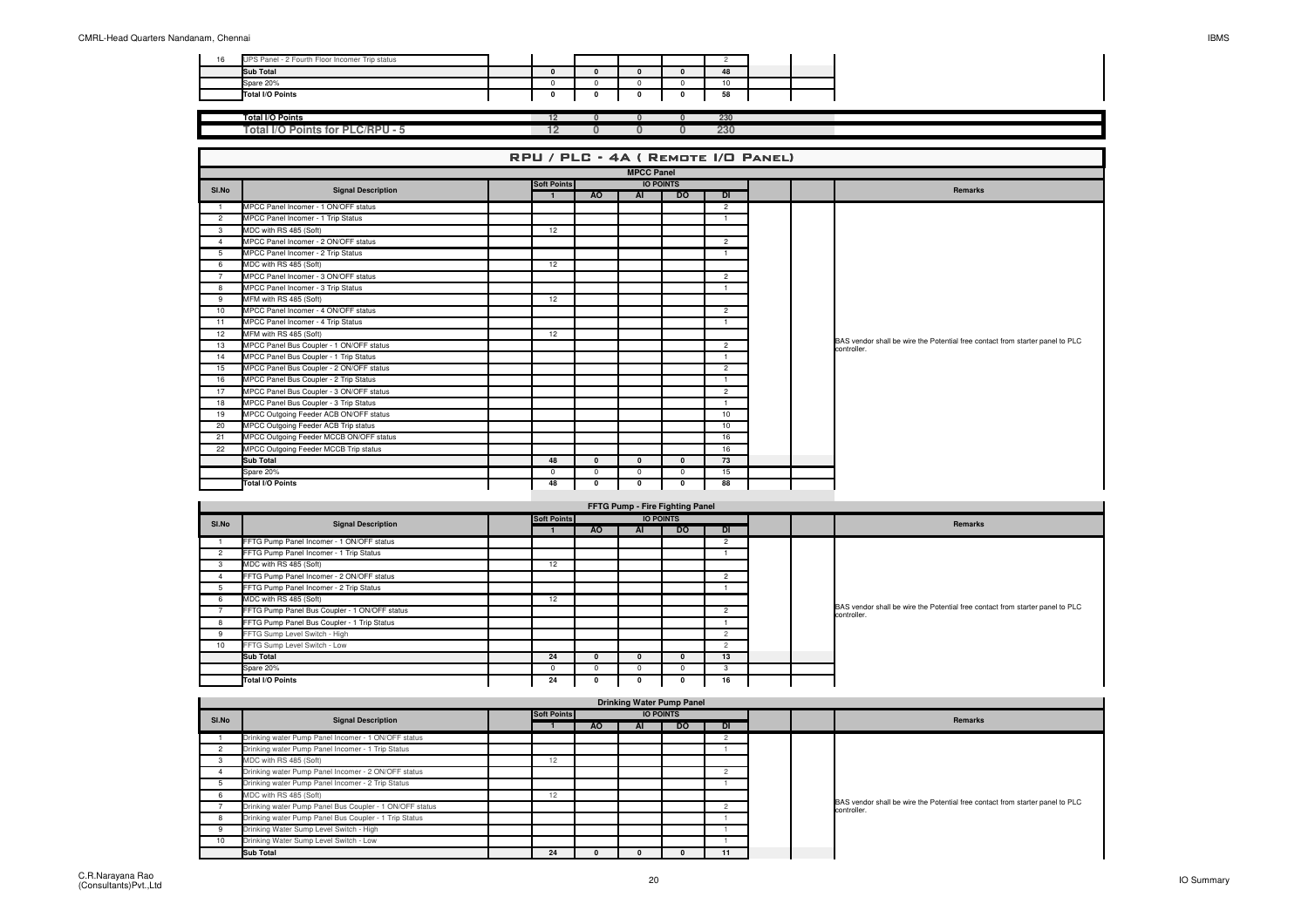| 16 | UPS Panel - 2 Fourth Floor Incomer Trip status |  |  |   |     |  |
|----|------------------------------------------------|--|--|---|-----|--|
|    | <b>Sub Total</b>                               |  |  |   | 48  |  |
|    | Spare 20%                                      |  |  |   | 10  |  |
|    | Total I/O Points                               |  |  | n |     |  |
|    |                                                |  |  |   |     |  |
|    | <b>Total I/O Points</b>                        |  |  |   | 230 |  |
|    | Total I/O Points for PLC/RPU - 5               |  |  |   | 230 |  |

| RPU / PLC - 4A ( REMOTE I/O PANEL) |                                          |  |                    |                  |          |              |                |  |  |                                                                                              |  |  |
|------------------------------------|------------------------------------------|--|--------------------|------------------|----------|--------------|----------------|--|--|----------------------------------------------------------------------------------------------|--|--|
|                                    | <b>MPCC Panel</b>                        |  |                    |                  |          |              |                |  |  |                                                                                              |  |  |
| SI.No                              | <b>Signal Description</b>                |  | <b>Soft Points</b> | <b>IO POINTS</b> |          |              |                |  |  | Remarks                                                                                      |  |  |
|                                    |                                          |  | $\mathbf{1}$       | <b>AO</b>        | AI       | <b>DO</b>    | DI             |  |  |                                                                                              |  |  |
|                                    | MPCC Panel Incomer - 1 ON/OFF status     |  |                    |                  |          |              | $\overline{2}$ |  |  |                                                                                              |  |  |
| $\overline{2}$                     | MPCC Panel Incomer - 1 Trip Status       |  |                    |                  |          |              |                |  |  |                                                                                              |  |  |
| 3                                  | MDC with RS 485 (Soft)                   |  | 12                 |                  |          |              |                |  |  |                                                                                              |  |  |
| 4                                  | MPCC Panel Incomer - 2 ON/OFF status     |  |                    |                  |          |              | $\overline{2}$ |  |  |                                                                                              |  |  |
| 5                                  | MPCC Panel Incomer - 2 Trip Status       |  |                    |                  |          |              |                |  |  |                                                                                              |  |  |
| 6                                  | MDC with RS 485 (Soft)                   |  | 12                 |                  |          |              |                |  |  |                                                                                              |  |  |
| $\overline{7}$                     | MPCC Panel Incomer - 3 ON/OFF status     |  |                    |                  |          |              | $\overline{2}$ |  |  |                                                                                              |  |  |
| 8                                  | MPCC Panel Incomer - 3 Trip Status       |  |                    |                  |          |              |                |  |  |                                                                                              |  |  |
| 9                                  | MFM with RS 485 (Soft)                   |  | 12                 |                  |          |              |                |  |  |                                                                                              |  |  |
| 10                                 | MPCC Panel Incomer - 4 ON/OFF status     |  |                    |                  |          |              | $\overline{2}$ |  |  | BAS vendor shall be wire the Potential free contact from starter panel to PLC<br>controller. |  |  |
| 11                                 | MPCC Panel Incomer - 4 Trip Status       |  |                    |                  |          |              |                |  |  |                                                                                              |  |  |
| 12                                 | MFM with RS 485 (Soft)                   |  | 12                 |                  |          |              |                |  |  |                                                                                              |  |  |
| 13                                 | MPCC Panel Bus Coupler - 1 ON/OFF status |  |                    |                  |          |              | $\overline{2}$ |  |  |                                                                                              |  |  |
| 14                                 | MPCC Panel Bus Coupler - 1 Trip Status   |  |                    |                  |          |              |                |  |  |                                                                                              |  |  |
| 15                                 | MPCC Panel Bus Coupler - 2 ON/OFF status |  |                    |                  |          |              | $\overline{2}$ |  |  |                                                                                              |  |  |
| 16                                 | MPCC Panel Bus Coupler - 2 Trip Status   |  |                    |                  |          |              |                |  |  |                                                                                              |  |  |
| 17                                 | MPCC Panel Bus Coupler - 3 ON/OFF status |  |                    |                  |          |              | $\overline{2}$ |  |  |                                                                                              |  |  |
| 18                                 | MPCC Panel Bus Coupler - 3 Trip Status   |  |                    |                  |          |              |                |  |  |                                                                                              |  |  |
| 19                                 | MPCC Outgoing Feeder ACB ON/OFF status   |  |                    |                  |          |              | 10             |  |  |                                                                                              |  |  |
| 20                                 | MPCC Outgoing Feeder ACB Trip status     |  |                    |                  |          |              | 10             |  |  |                                                                                              |  |  |
| 21                                 | MPCC Outgoing Feeder MCCB ON/OFF status  |  |                    |                  |          |              | 16             |  |  |                                                                                              |  |  |
| 22                                 | MPCC Outgoing Feeder MCCB Trip status    |  |                    |                  |          |              | 16             |  |  |                                                                                              |  |  |
|                                    | Sub Total                                |  | 48                 | $\Omega$         | $\Omega$ | $\mathbf{0}$ | 73             |  |  |                                                                                              |  |  |
|                                    | Spare 20%                                |  | $^{\circ}$         | $\Omega$         | $\Omega$ | $^{\circ}$   | 15             |  |  |                                                                                              |  |  |
|                                    | <b>Total I/O Points</b>                  |  | 48                 | $\Omega$         | $\Omega$ | $\mathbf 0$  | 88             |  |  |                                                                                              |  |  |

|       | FFTG Pump - Fire Fighting Panel               |  |             |     |                  |           |                |  |  |                                                                                              |  |  |  |
|-------|-----------------------------------------------|--|-------------|-----|------------------|-----------|----------------|--|--|----------------------------------------------------------------------------------------------|--|--|--|
| SI.No | <b>Signal Description</b>                     |  | Soft Points |     | <b>IO POINTS</b> |           |                |  |  | Remarks                                                                                      |  |  |  |
|       |                                               |  |             | AO. | AI               | <b>DO</b> | DI             |  |  |                                                                                              |  |  |  |
|       | FFTG Pump Panel Incomer - 1 ON/OFF status     |  |             |     |                  |           | $\mathfrak{p}$ |  |  |                                                                                              |  |  |  |
|       | FFTG Pump Panel Incomer - 1 Trip Status       |  |             |     |                  |           |                |  |  |                                                                                              |  |  |  |
|       | MDC with RS 485 (Soft)                        |  | 12          |     |                  |           |                |  |  |                                                                                              |  |  |  |
|       | FFTG Pump Panel Incomer - 2 ON/OFF status     |  |             |     |                  |           | 2              |  |  |                                                                                              |  |  |  |
|       | FFTG Pump Panel Incomer - 2 Trip Status       |  |             |     |                  |           |                |  |  |                                                                                              |  |  |  |
| ь.    | MDC with RS 485 (Soft)                        |  | 12          |     |                  |           |                |  |  |                                                                                              |  |  |  |
|       | FFTG Pump Panel Bus Coupler - 1 ON/OFF status |  |             |     |                  |           | $\overline{2}$ |  |  | BAS vendor shall be wire the Potential free contact from starter panel to PLC<br>controller. |  |  |  |
| 8     | FFTG Pump Panel Bus Coupler - 1 Trip Status   |  |             |     |                  |           |                |  |  |                                                                                              |  |  |  |
|       | FFTG Sump Level Switch - High                 |  |             |     |                  |           | $\mathfrak{p}$ |  |  |                                                                                              |  |  |  |
| 10    | FFTG Sump Level Switch - Low                  |  |             |     |                  |           | $\overline{c}$ |  |  |                                                                                              |  |  |  |
|       | <b>Sub Total</b>                              |  | 24          |     | 0                | n.        | 13             |  |  |                                                                                              |  |  |  |
|       | Spare 20%                                     |  |             | n   |                  |           |                |  |  |                                                                                              |  |  |  |
|       | Total I/O Points                              |  | 24          |     |                  |           | 16             |  |  |                                                                                              |  |  |  |

|       | <b>Drinking Water Pump Panel</b>                        |  |             |           |    |                  |           |  |  |                                                                                              |  |  |  |
|-------|---------------------------------------------------------|--|-------------|-----------|----|------------------|-----------|--|--|----------------------------------------------------------------------------------------------|--|--|--|
| SI.No | <b>Signal Description</b>                               |  | Soft Points |           |    | <b>IO POINTS</b> |           |  |  | Remarks                                                                                      |  |  |  |
|       |                                                         |  |             | <b>AO</b> | AI | <b>DO</b>        | <b>DI</b> |  |  |                                                                                              |  |  |  |
|       | Drinking water Pump Panel Incomer - 1 ON/OFF status     |  |             |           |    |                  |           |  |  |                                                                                              |  |  |  |
|       | Drinking water Pump Panel Incomer - 1 Trip Status       |  |             |           |    |                  |           |  |  |                                                                                              |  |  |  |
|       | MDC with RS 485 (Soft)                                  |  | 12          |           |    |                  |           |  |  |                                                                                              |  |  |  |
|       | Drinking water Pump Panel Incomer - 2 ON/OFF status     |  |             |           |    |                  |           |  |  |                                                                                              |  |  |  |
|       | Drinking water Pump Panel Incomer - 2 Trip Status       |  |             |           |    |                  |           |  |  |                                                                                              |  |  |  |
|       | MDC with RS 485 (Soft)                                  |  | 12          |           |    |                  |           |  |  |                                                                                              |  |  |  |
|       | Drinking water Pump Panel Bus Coupler - 1 ON/OFF status |  |             |           |    |                  |           |  |  | BAS vendor shall be wire the Potential free contact from starter panel to PLC<br>controller. |  |  |  |
|       | Drinking water Pump Panel Bus Coupler - 1 Trip Status   |  |             |           |    |                  |           |  |  |                                                                                              |  |  |  |
|       | Drinking Water Sump Level Switch - High                 |  |             |           |    |                  |           |  |  |                                                                                              |  |  |  |
| 10    | Drinking Water Sump Level Switch - Low                  |  |             |           |    |                  |           |  |  |                                                                                              |  |  |  |
|       | <b>Sub Total</b>                                        |  | 24          |           |    |                  | 11        |  |  |                                                                                              |  |  |  |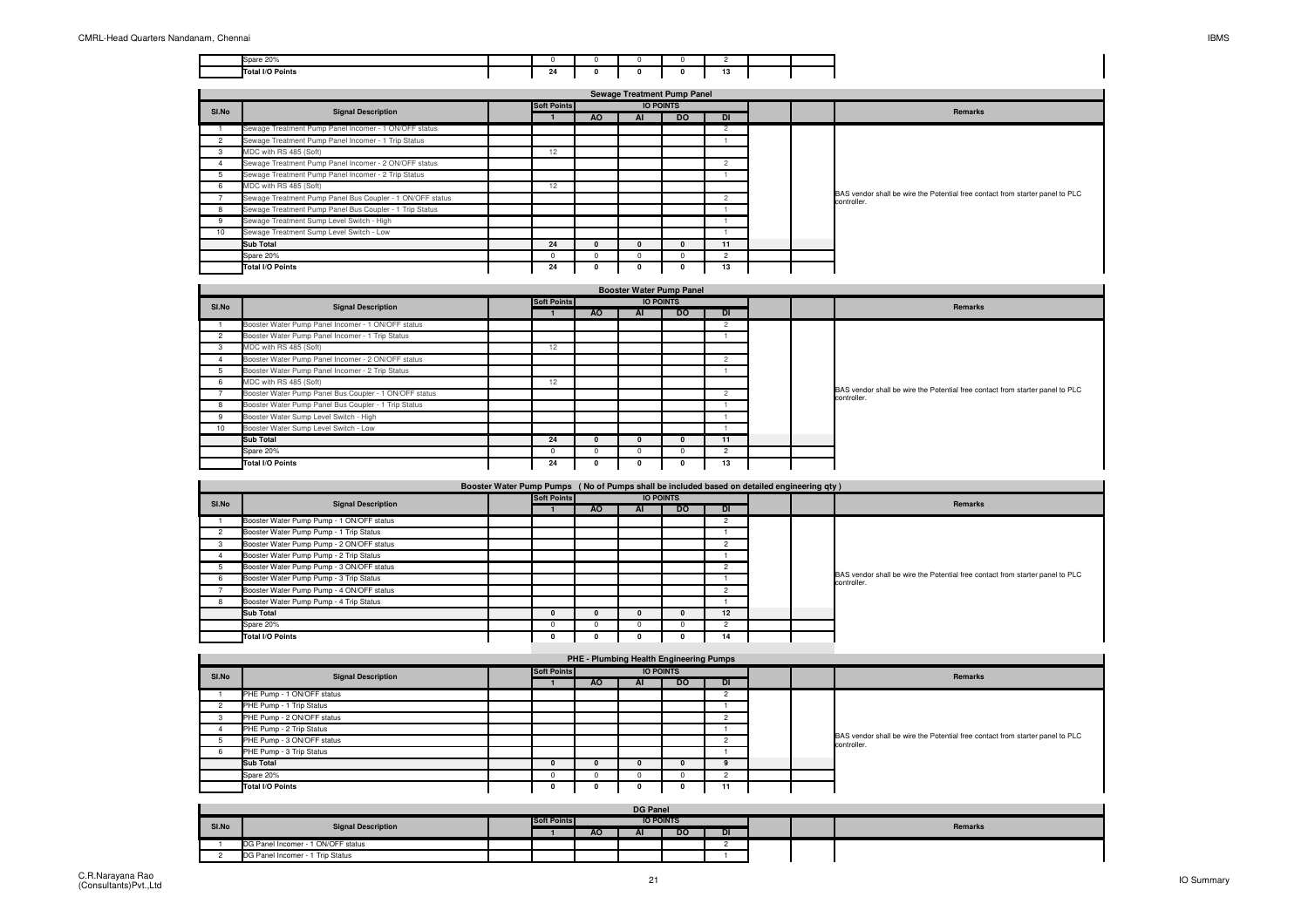| Spare 20%               |           |  |          |  |
|-------------------------|-----------|--|----------|--|
| <b>Total I/O Points</b> | 24<br>. . |  | --<br>19 |  |

|       | <b>Sewage Treatment Pump Panel</b>                        |  |                    |    |                  |           |                |  |  |                                                                                              |  |  |
|-------|-----------------------------------------------------------|--|--------------------|----|------------------|-----------|----------------|--|--|----------------------------------------------------------------------------------------------|--|--|
| SI.No | <b>Signal Description</b>                                 |  | <b>Soft Points</b> |    | <b>IO POINTS</b> |           |                |  |  | Remarks                                                                                      |  |  |
|       |                                                           |  |                    | AO | ΑI               | <b>DO</b> | DI             |  |  |                                                                                              |  |  |
|       | Sewage Treatment Pump Panel Incomer - 1 ON/OFF status     |  |                    |    |                  |           |                |  |  |                                                                                              |  |  |
|       | Sewage Treatment Pump Panel Incomer - 1 Trip Status       |  |                    |    |                  |           |                |  |  |                                                                                              |  |  |
| 3     | MDC with RS 485 (Soft)                                    |  | 12                 |    |                  |           |                |  |  |                                                                                              |  |  |
|       | Sewage Treatment Pump Panel Incomer - 2 ON/OFF status     |  |                    |    |                  |           |                |  |  |                                                                                              |  |  |
| 5     | Sewage Treatment Pump Panel Incomer - 2 Trip Status       |  |                    |    |                  |           |                |  |  |                                                                                              |  |  |
| 6     | MDC with RS 485 (Soft)                                    |  | 12                 |    |                  |           |                |  |  | BAS vendor shall be wire the Potential free contact from starter panel to PLC<br>controller. |  |  |
|       | Sewage Treatment Pump Panel Bus Coupler - 1 ON/OFF status |  |                    |    |                  |           | $\mathfrak{p}$ |  |  |                                                                                              |  |  |
| 8     | Sewage Treatment Pump Panel Bus Coupler - 1 Trip Status   |  |                    |    |                  |           |                |  |  |                                                                                              |  |  |
| 9     | Sewage Treatment Sump Level Switch - High                 |  |                    |    |                  |           |                |  |  |                                                                                              |  |  |
| 10    | Sewage Treatment Sump Level Switch - Low                  |  |                    |    |                  |           |                |  |  |                                                                                              |  |  |
|       | <b>Sub Total</b>                                          |  | 24                 |    |                  | 0         | 11             |  |  |                                                                                              |  |  |
|       | Spare 20%                                                 |  |                    |    |                  |           | 2              |  |  |                                                                                              |  |  |
|       | Total I/O Points                                          |  | 24                 |    |                  |           | 13             |  |  |                                                                                              |  |  |

| <b>Booster Water Pump Panel</b> |                                                        |  |             |              |                  |           |                |  |  |                                                                                              |
|---------------------------------|--------------------------------------------------------|--|-------------|--------------|------------------|-----------|----------------|--|--|----------------------------------------------------------------------------------------------|
| SI.No                           | <b>Signal Description</b>                              |  | Soft Points |              | <b>IO POINTS</b> |           |                |  |  | Remarks                                                                                      |
|                                 |                                                        |  |             | AO.          | AI               | <b>DO</b> | DI.            |  |  |                                                                                              |
|                                 | Booster Water Pump Panel Incomer - 1 ON/OFF status     |  |             |              |                  |           |                |  |  |                                                                                              |
|                                 | Booster Water Pump Panel Incomer - 1 Trip Status       |  |             |              |                  |           |                |  |  |                                                                                              |
|                                 | MDC with RS 485 (Soft)                                 |  | 12          |              |                  |           |                |  |  |                                                                                              |
|                                 | Booster Water Pump Panel Incomer - 2 ON/OFF status     |  |             |              |                  |           | $\Omega$       |  |  |                                                                                              |
|                                 | Booster Water Pump Panel Incomer - 2 Trip Status       |  |             |              |                  |           |                |  |  |                                                                                              |
| 6                               | MDC with RS 485 (Soft)                                 |  | 12          |              |                  |           |                |  |  |                                                                                              |
|                                 | Booster Water Pump Panel Bus Coupler - 1 ON/OFF status |  |             |              |                  |           | $\mathfrak{p}$ |  |  | BAS vendor shall be wire the Potential free contact from starter panel to PLC<br>controller. |
|                                 | Booster Water Pump Panel Bus Coupler - 1 Trip Status   |  |             |              |                  |           |                |  |  |                                                                                              |
| 9                               | Booster Water Sump Level Switch - High                 |  |             |              |                  |           |                |  |  |                                                                                              |
| 10 <sup>1</sup>                 | Booster Water Sump Level Switch - Low                  |  |             |              |                  |           |                |  |  |                                                                                              |
|                                 | <b>Sub Total</b>                                       |  | 24          | 0            |                  |           | 11             |  |  |                                                                                              |
|                                 | Spare 20%                                              |  |             | <sup>n</sup> |                  |           | $\Omega$       |  |  |                                                                                              |
|                                 | Total I/O Points                                       |  | 24          |              |                  |           | 13             |  |  |                                                                                              |

|       | Booster Water Pump Pumps (No of Pumps shall be included based on detailed engineering gty) |  |                                 |     |    |           |                |  |  |                                                                                              |  |  |
|-------|--------------------------------------------------------------------------------------------|--|---------------------------------|-----|----|-----------|----------------|--|--|----------------------------------------------------------------------------------------------|--|--|
| SI.No | <b>Signal Description</b>                                                                  |  | Soft Points<br><b>IO POINTS</b> |     |    |           |                |  |  | Remarks                                                                                      |  |  |
|       |                                                                                            |  |                                 | AO. | AI | <b>DO</b> | <b>DI</b>      |  |  |                                                                                              |  |  |
|       | Booster Water Pump Pump - 1 ON/OFF status                                                  |  |                                 |     |    |           |                |  |  |                                                                                              |  |  |
|       | Booster Water Pump Pump - 1 Trip Status                                                    |  |                                 |     |    |           |                |  |  |                                                                                              |  |  |
|       | Booster Water Pump Pump - 2 ON/OFF status                                                  |  |                                 |     |    |           |                |  |  |                                                                                              |  |  |
|       | Booster Water Pump Pump - 2 Trip Status                                                    |  |                                 |     |    |           |                |  |  |                                                                                              |  |  |
|       | Booster Water Pump Pump - 3 ON/OFF status                                                  |  |                                 |     |    |           |                |  |  |                                                                                              |  |  |
|       | Booster Water Pump Pump - 3 Trip Status                                                    |  |                                 |     |    |           |                |  |  | BAS vendor shall be wire the Potential free contact from starter panel to PLC<br>controller. |  |  |
|       | Booster Water Pump Pump - 4 ON/OFF status                                                  |  |                                 |     |    |           | $\mathfrak{p}$ |  |  |                                                                                              |  |  |
|       | Booster Water Pump Pump - 4 Trip Status                                                    |  |                                 |     |    |           |                |  |  |                                                                                              |  |  |
|       | <b>Sub Total</b>                                                                           |  |                                 |     |    |           | 12             |  |  |                                                                                              |  |  |
|       | Spare 20%                                                                                  |  |                                 |     |    |           |                |  |  |                                                                                              |  |  |
|       | Total I/O Points                                                                           |  |                                 |     |    |           |                |  |  |                                                                                              |  |  |
|       |                                                                                            |  |                                 |     |    |           |                |  |  |                                                                                              |  |  |

| PHE - Plumbing Health Engineering Pumps |                            |  |                                 |           |    |           |           |         |  |                                                                                              |  |  |
|-----------------------------------------|----------------------------|--|---------------------------------|-----------|----|-----------|-----------|---------|--|----------------------------------------------------------------------------------------------|--|--|
| SI.No                                   | <b>Signal Description</b>  |  | Soft Points<br><b>IO POINTS</b> |           |    |           |           | Remarks |  |                                                                                              |  |  |
|                                         |                            |  |                                 | <b>AO</b> | AI | <b>DO</b> | <b>DI</b> |         |  |                                                                                              |  |  |
|                                         | PHE Pump - 1 ON/OFF status |  |                                 |           |    |           |           |         |  |                                                                                              |  |  |
|                                         | PHE Pump - 1 Trip Status   |  |                                 |           |    |           |           |         |  |                                                                                              |  |  |
|                                         | PHE Pump - 2 ON/OFF status |  |                                 |           |    |           |           |         |  | BAS vendor shall be wire the Potential free contact from starter panel to PLC<br>controller. |  |  |
|                                         | PHE Pump - 2 Trip Status   |  |                                 |           |    |           |           |         |  |                                                                                              |  |  |
|                                         | PHE Pump - 3 ON/OFF status |  |                                 |           |    |           |           |         |  |                                                                                              |  |  |
|                                         | PHE Pump - 3 Trip Status   |  |                                 |           |    |           |           |         |  |                                                                                              |  |  |
|                                         | Sub Total                  |  |                                 |           |    |           |           |         |  |                                                                                              |  |  |
|                                         | Spare 20%                  |  |                                 |           |    |           |           |         |  |                                                                                              |  |  |
|                                         | Total I/O Points           |  |                                 |           |    |           | 11        |         |  |                                                                                              |  |  |

|       | <b>DG Panel</b>                    |  |  |           |    |                  |           |  |  |         |  |  |
|-------|------------------------------------|--|--|-----------|----|------------------|-----------|--|--|---------|--|--|
| SI.No | <b>Signal Description</b>          |  |  |           |    | <b>IO POINTS</b> |           |  |  | Remarks |  |  |
|       |                                    |  |  | <b>AO</b> | AI | <b>DO</b>        | <b>DI</b> |  |  |         |  |  |
|       | DG Panel Incomer - 1 ON/OFF status |  |  |           |    |                  |           |  |  |         |  |  |
|       | DG Panel Incomer - 1 Trip Status   |  |  |           |    |                  |           |  |  |         |  |  |